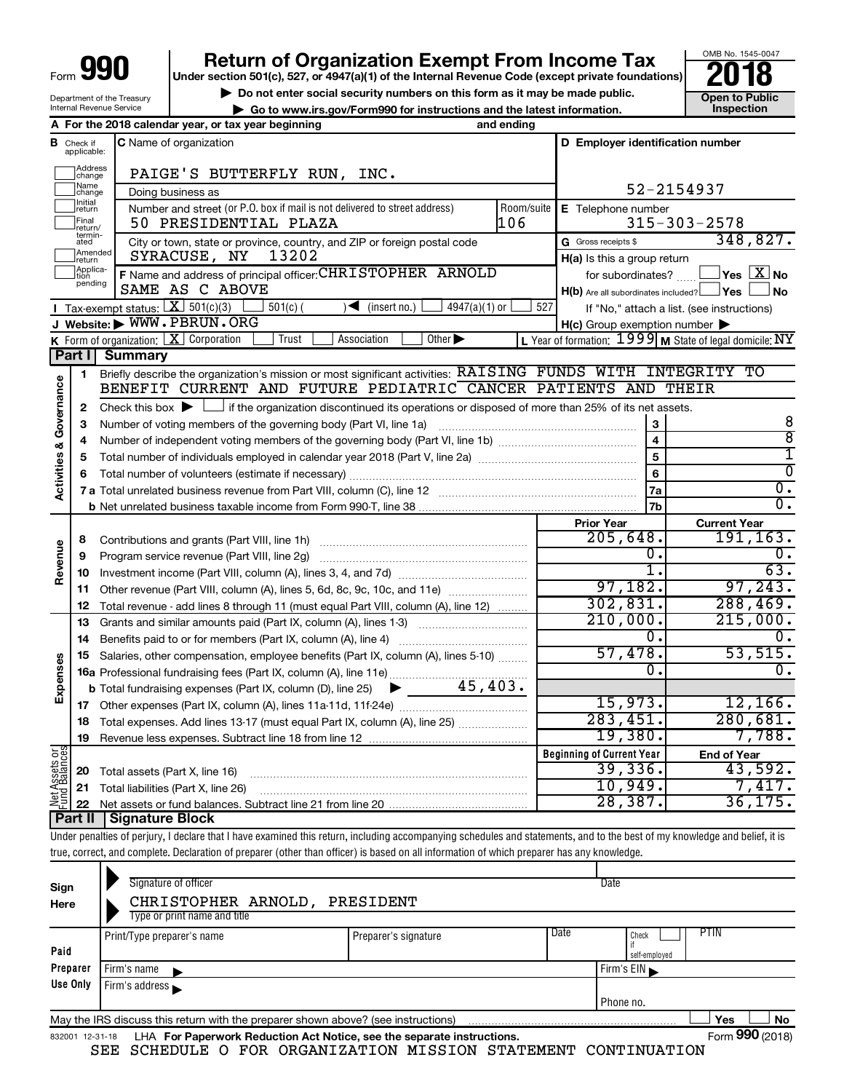| l<br>I<br>$\blacksquare$<br>Form |
|----------------------------------|
|----------------------------------|

# **990** Return of Organization Exempt From Income Tax **Punce 1845-004 Puncer section 501(c), 527, or 4947(a)(1)** of the Internal Revenue Code (except private foundations) **2018**



| Department of the Treasury<br>Internal Revenue Service |                                                                                                                                               |                                        | $\triangleright$ Do not enter social security numbers on this form as it may be made public.                                                                               |            |                                                                                                                | <b>Open to Public</b><br>Inspection                 |
|--------------------------------------------------------|-----------------------------------------------------------------------------------------------------------------------------------------------|----------------------------------------|----------------------------------------------------------------------------------------------------------------------------------------------------------------------------|------------|----------------------------------------------------------------------------------------------------------------|-----------------------------------------------------|
|                                                        | ► Go to www.irs.gov/Form990 for instructions and the latest information.<br>A For the 2018 calendar year, or tax year beginning<br>and ending |                                        |                                                                                                                                                                            |            |                                                                                                                |                                                     |
|                                                        | <b>B</b> Check if                                                                                                                             |                                        | C Name of organization                                                                                                                                                     |            | D Employer identification number                                                                               |                                                     |
|                                                        | applicable:                                                                                                                                   |                                        |                                                                                                                                                                            |            |                                                                                                                |                                                     |
|                                                        | Address<br>change                                                                                                                             |                                        | PAIGE'S BUTTERFLY RUN, INC.                                                                                                                                                |            |                                                                                                                |                                                     |
|                                                        | Name<br>change                                                                                                                                |                                        | Doing business as                                                                                                                                                          |            | 52-2154937                                                                                                     |                                                     |
|                                                        | Initial<br>return                                                                                                                             |                                        | Number and street (or P.O. box if mail is not delivered to street address)                                                                                                 | Room/suite | E Telephone number                                                                                             |                                                     |
|                                                        | Final<br>return/                                                                                                                              |                                        | 50 PRESIDENTIAL PLAZA                                                                                                                                                      | 106        |                                                                                                                | $315 - 303 - 2578$                                  |
|                                                        | termin-<br>ated                                                                                                                               |                                        | City or town, state or province, country, and ZIP or foreign postal code                                                                                                   |            | G Gross receipts \$                                                                                            | 348, 827.                                           |
|                                                        | Amended<br>return<br>Applica-                                                                                                                 |                                        | 13202<br>SYRACUSE, NY                                                                                                                                                      |            | H(a) Is this a group return                                                                                    |                                                     |
|                                                        | tion<br>pending                                                                                                                               |                                        | F Name and address of principal officer: CHRISTOPHER ARNOLD                                                                                                                |            | for subordinates?                                                                                              | $\sqrt{}$ Yes $\sqrt{}\frac{\text{X}}{\text{N}}$ No |
|                                                        |                                                                                                                                               | Tax-exempt status: $X \over 301(c)(3)$ | SAME AS C ABOVE                                                                                                                                                            | 527        | $H(b)$ Are all subordinates included? $\Box$ Yes                                                               | l No                                                |
|                                                        |                                                                                                                                               |                                        | $501(c)$ (<br>$\sqrt{\frac{1}{1}}$ (insert no.)<br>4947(a)(1) or<br>J Website: WWW.PBRUN.ORG                                                                               |            |                                                                                                                | If "No," attach a list. (see instructions)          |
|                                                        |                                                                                                                                               |                                        | K Form of organization: $X$ Corporation<br>Other $\blacktriangleright$<br>Trust<br>Association                                                                             |            | $H(c)$ Group exemption number $\blacktriangleright$<br>L Year of formation: 1999 M State of legal domicile: NY |                                                     |
|                                                        | Part I                                                                                                                                        | <b>Summary</b>                         |                                                                                                                                                                            |            |                                                                                                                |                                                     |
|                                                        | 1                                                                                                                                             |                                        | Briefly describe the organization's mission or most significant activities: RAISING FUNDS WITH INTEGRITY TO                                                                |            |                                                                                                                |                                                     |
|                                                        |                                                                                                                                               |                                        | BENEFIT CURRENT AND FUTURE PEDIATRIC CANCER PATIENTS AND THEIR                                                                                                             |            |                                                                                                                |                                                     |
| <b>Activities &amp; Governance</b>                     | 2                                                                                                                                             |                                        | Check this box $\blacktriangleright$ $\Box$ if the organization discontinued its operations or disposed of more than 25% of its net assets.                                |            |                                                                                                                |                                                     |
|                                                        | З                                                                                                                                             |                                        |                                                                                                                                                                            |            | 3                                                                                                              | 8                                                   |
|                                                        | 4                                                                                                                                             |                                        |                                                                                                                                                                            |            | $\overline{\mathbf{4}}$                                                                                        | $\overline{8}$                                      |
|                                                        | 5                                                                                                                                             |                                        |                                                                                                                                                                            |            | 6                                                                                                              | ī                                                   |
|                                                        |                                                                                                                                               |                                        |                                                                                                                                                                            |            |                                                                                                                | $\overline{\mathfrak{o}}$                           |
|                                                        |                                                                                                                                               |                                        |                                                                                                                                                                            |            | <b>7a</b>                                                                                                      | $\overline{0}$ .                                    |
|                                                        |                                                                                                                                               |                                        |                                                                                                                                                                            |            | <b>7b</b>                                                                                                      | $\overline{0}$ .                                    |
|                                                        |                                                                                                                                               |                                        |                                                                                                                                                                            |            | <b>Prior Year</b><br>205,648.                                                                                  | <b>Current Year</b><br>191, 163.                    |
|                                                        | 8<br>9                                                                                                                                        |                                        | Program service revenue (Part VIII, line 2g)                                                                                                                               |            | $0$ .                                                                                                          | $0$ .                                               |
| Revenue                                                | 10                                                                                                                                            |                                        |                                                                                                                                                                            |            | $\overline{1}$ .                                                                                               | 63.                                                 |
|                                                        | 11                                                                                                                                            |                                        | Other revenue (Part VIII, column (A), lines 5, 6d, 8c, 9c, 10c, and 11e)                                                                                                   |            | 97,182.                                                                                                        | 97, 243.                                            |
|                                                        | 12                                                                                                                                            |                                        | Total revenue - add lines 8 through 11 (must equal Part VIII, column (A), line 12)                                                                                         |            | 302,831.                                                                                                       | 288, 469.                                           |
|                                                        | 13                                                                                                                                            |                                        | Grants and similar amounts paid (Part IX, column (A), lines 1-3)                                                                                                           |            | 210,000.                                                                                                       | 215,000.                                            |
|                                                        | 14                                                                                                                                            |                                        |                                                                                                                                                                            |            | 0.                                                                                                             | 0.                                                  |
|                                                        | 15                                                                                                                                            |                                        | Salaries, other compensation, employee benefits (Part IX, column (A), lines 5-10)                                                                                          |            | 57,478.                                                                                                        | 53,515.                                             |
|                                                        |                                                                                                                                               |                                        | 16a Professional fundraising fees (Part IX, column (A), line 11e)                                                                                                          |            | 0.                                                                                                             | 0.                                                  |
| Expenses                                               |                                                                                                                                               |                                        | 45,403.<br><b>b</b> Total fundraising expenses (Part IX, column (D), line 25) $\blacktriangleright$                                                                        |            |                                                                                                                |                                                     |
|                                                        |                                                                                                                                               |                                        |                                                                                                                                                                            |            | 15,973 <b>.</b>                                                                                                | 12,166.                                             |
|                                                        | 18                                                                                                                                            |                                        |                                                                                                                                                                            |            | 283,451.<br>19,380.                                                                                            | 280,681.<br>7,788.                                  |
|                                                        | 19                                                                                                                                            |                                        |                                                                                                                                                                            |            | <b>Beginning of Current Year</b>                                                                               | <b>End of Year</b>                                  |
| Net Assets or                                          | 20                                                                                                                                            | Total assets (Part X, line 16)         |                                                                                                                                                                            |            | 39,336.                                                                                                        | 43,592.                                             |
|                                                        | 21                                                                                                                                            |                                        | Total liabilities (Part X, line 26)                                                                                                                                        |            | 10,949.                                                                                                        | 7,417.                                              |
|                                                        | 22                                                                                                                                            |                                        |                                                                                                                                                                            |            | 28,387.                                                                                                        | 36, 175.                                            |
|                                                        | Part II                                                                                                                                       | Signature Block                        |                                                                                                                                                                            |            |                                                                                                                |                                                     |
|                                                        |                                                                                                                                               |                                        | Under penalties of perjury, I declare that I have examined this return, including accompanying schedules and statements, and to the best of my knowledge and belief, it is |            |                                                                                                                |                                                     |
|                                                        |                                                                                                                                               |                                        | true, correct, and complete. Declaration of preparer (other than officer) is based on all information of which preparer has any knowledge.                                 |            |                                                                                                                |                                                     |

| Sign<br>Here    | Signature of officer<br>CHRISTOPHER ARNOLD,<br>Type or print name and title       | PRESIDENT            |      | Date                                  |
|-----------------|-----------------------------------------------------------------------------------|----------------------|------|---------------------------------------|
| Paid            | Print/Type preparer's name                                                        | Preparer's signature | Date | <b>PTIN</b><br>Check<br>self-employed |
| Preparer        | Firm's name $\blacktriangleright$                                                 | Firm's $EIN$         |      |                                       |
| Use Only        | Firm's address                                                                    |                      |      |                                       |
|                 |                                                                                   |                      |      | Phone no.                             |
|                 | May the IRS discuss this return with the preparer shown above? (see instructions) |                      |      | Yes<br>No                             |
| 832001 12-31-18 | LHA For Paperwork Reduction Act Notice, see the separate instructions.            |                      |      | Form 990 (2018)                       |

SEE SCHEDULE O FOR ORGANIZATION MISSION STATEMENT CONTINUATION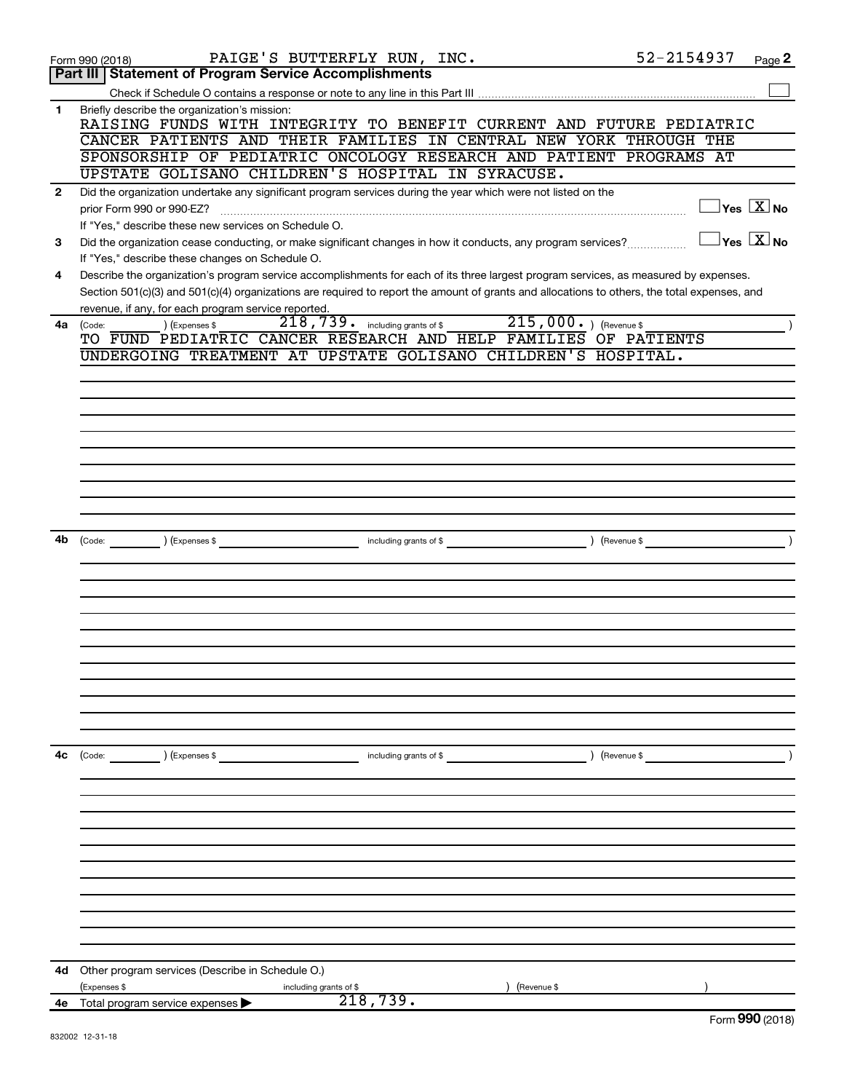|                | PAIGE'S BUTTERFLY RUN, INC.<br>Form 990 (2018)                                                                                                                                                                                                                                                                                              | 52-2154937    | Page 2                                    |
|----------------|---------------------------------------------------------------------------------------------------------------------------------------------------------------------------------------------------------------------------------------------------------------------------------------------------------------------------------------------|---------------|-------------------------------------------|
|                | Part III   Statement of Program Service Accomplishments                                                                                                                                                                                                                                                                                     |               |                                           |
|                |                                                                                                                                                                                                                                                                                                                                             |               |                                           |
| $\mathbf{1}$   | Briefly describe the organization's mission:<br>RAISING FUNDS WITH INTEGRITY TO BENEFIT CURRENT AND FUTURE PEDIATRIC<br>CANCER PATIENTS AND THEIR FAMILIES IN CENTRAL NEW YORK THROUGH THE                                                                                                                                                  |               |                                           |
|                | SPONSORSHIP OF PEDIATRIC ONCOLOGY RESEARCH AND PATIENT PROGRAMS AT                                                                                                                                                                                                                                                                          |               |                                           |
|                | UPSTATE GOLISANO CHILDREN'S HOSPITAL IN SYRACUSE.                                                                                                                                                                                                                                                                                           |               |                                           |
| $\overline{2}$ | Did the organization undertake any significant program services during the year which were not listed on the                                                                                                                                                                                                                                |               |                                           |
|                |                                                                                                                                                                                                                                                                                                                                             |               | $\exists$ Yes $\boxed{\text{X}}$ No       |
|                | prior Form 990 or 990-EZ?                                                                                                                                                                                                                                                                                                                   |               |                                           |
|                | If "Yes," describe these new services on Schedule O.                                                                                                                                                                                                                                                                                        |               | $\overline{\ }$ Yes $\overline{\ \ X}$ No |
| 3              | Did the organization cease conducting, or make significant changes in how it conducts, any program services?                                                                                                                                                                                                                                |               |                                           |
|                | If "Yes," describe these changes on Schedule O.                                                                                                                                                                                                                                                                                             |               |                                           |
| 4              | Describe the organization's program service accomplishments for each of its three largest program services, as measured by expenses.<br>Section 501(c)(3) and 501(c)(4) organizations are required to report the amount of grants and allocations to others, the total expenses, and<br>revenue, if any, for each program service reported. |               |                                           |
| 4a             | 215,000. ) (Revenue \$<br>218,739. including grants of \$<br>) (Expenses \$<br>(Code:                                                                                                                                                                                                                                                       |               |                                           |
|                | TO FUND PEDIATRIC CANCER RESEARCH AND HELP FAMILIES OF PATIENTS                                                                                                                                                                                                                                                                             |               |                                           |
|                | UNDERGOING TREATMENT AT UPSTATE GOLISANO CHILDREN'S HOSPITAL.                                                                                                                                                                                                                                                                               |               |                                           |
|                |                                                                                                                                                                                                                                                                                                                                             |               |                                           |
|                |                                                                                                                                                                                                                                                                                                                                             |               |                                           |
|                |                                                                                                                                                                                                                                                                                                                                             |               |                                           |
|                |                                                                                                                                                                                                                                                                                                                                             |               |                                           |
|                |                                                                                                                                                                                                                                                                                                                                             |               |                                           |
|                |                                                                                                                                                                                                                                                                                                                                             |               |                                           |
|                |                                                                                                                                                                                                                                                                                                                                             |               |                                           |
|                |                                                                                                                                                                                                                                                                                                                                             |               |                                           |
|                |                                                                                                                                                                                                                                                                                                                                             |               |                                           |
|                |                                                                                                                                                                                                                                                                                                                                             |               |                                           |
| 4b             | $\left(\text{Code:} \right) \left(\text{Expenses } \$\right)$<br>including grants of \$                                                                                                                                                                                                                                                     | (Revenue \$   |                                           |
|                |                                                                                                                                                                                                                                                                                                                                             |               |                                           |
|                |                                                                                                                                                                                                                                                                                                                                             |               |                                           |
|                |                                                                                                                                                                                                                                                                                                                                             |               |                                           |
|                |                                                                                                                                                                                                                                                                                                                                             |               |                                           |
|                |                                                                                                                                                                                                                                                                                                                                             |               |                                           |
|                |                                                                                                                                                                                                                                                                                                                                             |               |                                           |
|                |                                                                                                                                                                                                                                                                                                                                             |               |                                           |
|                |                                                                                                                                                                                                                                                                                                                                             |               |                                           |
|                |                                                                                                                                                                                                                                                                                                                                             |               |                                           |
|                |                                                                                                                                                                                                                                                                                                                                             |               |                                           |
|                |                                                                                                                                                                                                                                                                                                                                             |               |                                           |
|                |                                                                                                                                                                                                                                                                                                                                             |               |                                           |
| 4с             | (Code: ) (Expenses \$<br>including grants of \$                                                                                                                                                                                                                                                                                             | ) (Revenue \$ | $\rightarrow$                             |
|                |                                                                                                                                                                                                                                                                                                                                             |               |                                           |
|                |                                                                                                                                                                                                                                                                                                                                             |               |                                           |
|                |                                                                                                                                                                                                                                                                                                                                             |               |                                           |
|                |                                                                                                                                                                                                                                                                                                                                             |               |                                           |
|                |                                                                                                                                                                                                                                                                                                                                             |               |                                           |
|                |                                                                                                                                                                                                                                                                                                                                             |               |                                           |
|                |                                                                                                                                                                                                                                                                                                                                             |               |                                           |
|                |                                                                                                                                                                                                                                                                                                                                             |               |                                           |
|                |                                                                                                                                                                                                                                                                                                                                             |               |                                           |
|                |                                                                                                                                                                                                                                                                                                                                             |               |                                           |
|                |                                                                                                                                                                                                                                                                                                                                             |               |                                           |
|                |                                                                                                                                                                                                                                                                                                                                             |               |                                           |
| 4d             | Other program services (Describe in Schedule O.)                                                                                                                                                                                                                                                                                            |               |                                           |
|                | (Expenses \$<br>(Revenue \$<br>including grants of \$                                                                                                                                                                                                                                                                                       |               |                                           |
|                | 218,739.<br>4e Total program service expenses                                                                                                                                                                                                                                                                                               |               |                                           |
|                |                                                                                                                                                                                                                                                                                                                                             |               | $T_{\text{arm}}$ 000 (2010)               |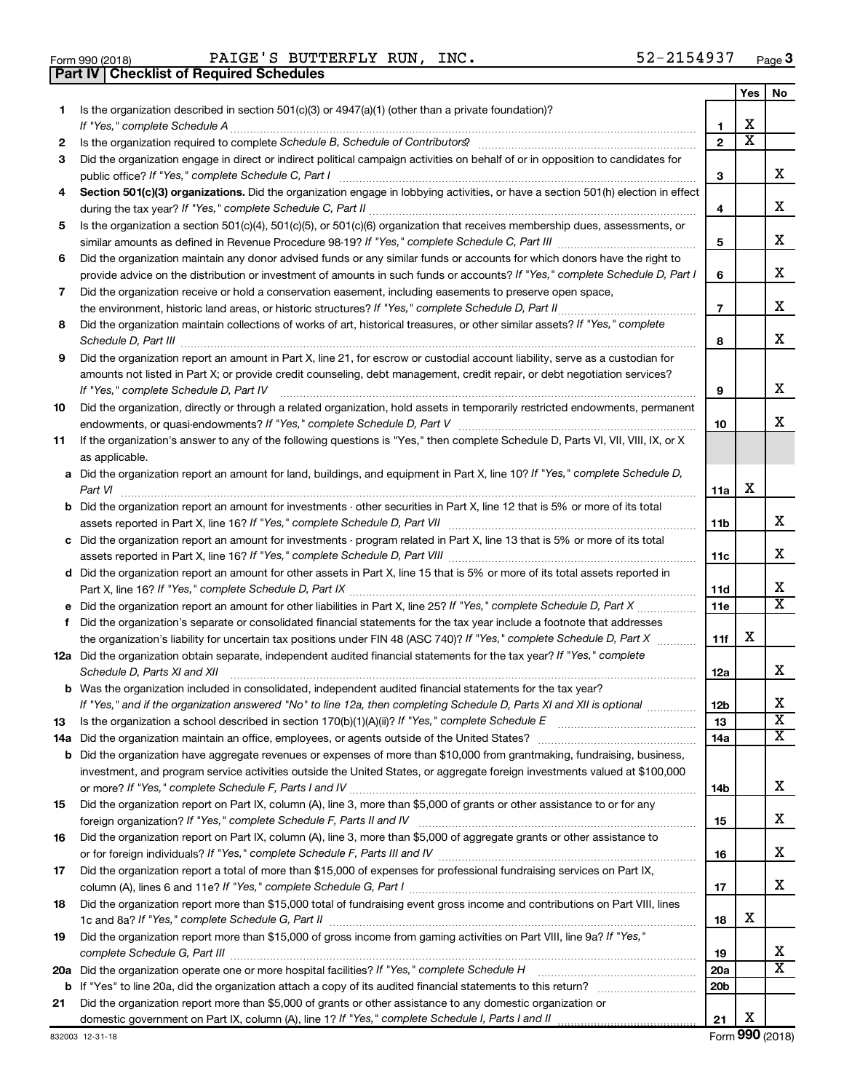| Form 990 (2018) |  |  |
|-----------------|--|--|

**Part IV Checklist of Required Schedules**

Form 990 (2018) Page PAIGE'S BUTTERFLY RUN, INC. 52-2154937

|    |                                                                                                                                      |                               | Yes                        | No.                        |
|----|--------------------------------------------------------------------------------------------------------------------------------------|-------------------------------|----------------------------|----------------------------|
| 1. | Is the organization described in section $501(c)(3)$ or $4947(a)(1)$ (other than a private foundation)?                              |                               |                            |                            |
|    |                                                                                                                                      | 1                             | х<br>$\overline{\text{x}}$ |                            |
| 2  |                                                                                                                                      | $\mathbf{2}$                  |                            |                            |
| 3  | Did the organization engage in direct or indirect political campaign activities on behalf of or in opposition to candidates for      |                               |                            | x                          |
|    | public office? If "Yes," complete Schedule C, Part I                                                                                 | З                             |                            |                            |
| 4  | Section 501(c)(3) organizations. Did the organization engage in lobbying activities, or have a section 501(h) election in effect     |                               |                            | x                          |
| 5  | Is the organization a section 501(c)(4), 501(c)(5), or 501(c)(6) organization that receives membership dues, assessments, or         | 4                             |                            |                            |
|    |                                                                                                                                      | 5                             |                            | х                          |
| 6  | Did the organization maintain any donor advised funds or any similar funds or accounts for which donors have the right to            |                               |                            |                            |
|    | provide advice on the distribution or investment of amounts in such funds or accounts? If "Yes," complete Schedule D, Part I         | 6                             |                            | х                          |
| 7  | Did the organization receive or hold a conservation easement, including easements to preserve open space,                            |                               |                            |                            |
|    | the environment, historic land areas, or historic structures? If "Yes," complete Schedule D, Part II                                 | $\overline{7}$                |                            | х                          |
| 8  | Did the organization maintain collections of works of art, historical treasures, or other similar assets? If "Yes," complete         |                               |                            |                            |
|    | Schedule D, Part III                                                                                                                 | 8                             |                            | x                          |
| 9  | Did the organization report an amount in Part X, line 21, for escrow or custodial account liability, serve as a custodian for        |                               |                            |                            |
|    | amounts not listed in Part X; or provide credit counseling, debt management, credit repair, or debt negotiation services?            |                               |                            |                            |
|    | If "Yes," complete Schedule D, Part IV                                                                                               | 9                             |                            | х                          |
| 10 | Did the organization, directly or through a related organization, hold assets in temporarily restricted endowments, permanent        |                               |                            |                            |
|    |                                                                                                                                      | 10                            |                            | x                          |
| 11 | If the organization's answer to any of the following questions is "Yes," then complete Schedule D, Parts VI, VII, VIII, IX, or X     |                               |                            |                            |
|    | as applicable.                                                                                                                       |                               |                            |                            |
|    | a Did the organization report an amount for land, buildings, and equipment in Part X, line 10? If "Yes," complete Schedule D,        |                               | х                          |                            |
|    | <b>b</b> Did the organization report an amount for investments - other securities in Part X, line 12 that is 5% or more of its total | 11a                           |                            |                            |
|    |                                                                                                                                      | 11b                           |                            | x                          |
|    | c Did the organization report an amount for investments - program related in Part X, line 13 that is 5% or more of its total         |                               |                            |                            |
|    |                                                                                                                                      | 11c                           |                            | x                          |
|    | d Did the organization report an amount for other assets in Part X, line 15 that is 5% or more of its total assets reported in       |                               |                            |                            |
|    |                                                                                                                                      | 11d                           |                            | x                          |
|    |                                                                                                                                      | 11e                           |                            | $\overline{\texttt{x}}$    |
| f  | Did the organization's separate or consolidated financial statements for the tax year include a footnote that addresses              |                               |                            |                            |
|    | the organization's liability for uncertain tax positions under FIN 48 (ASC 740)? If "Yes," complete Schedule D, Part X               | 11f                           | x                          |                            |
|    | 12a Did the organization obtain separate, independent audited financial statements for the tax year? If "Yes," complete              |                               |                            |                            |
|    | Schedule D, Parts XI and XII                                                                                                         | 12a                           |                            | x                          |
|    | <b>b</b> Was the organization included in consolidated, independent audited financial statements for the tax year?                   |                               |                            | х                          |
|    | If "Yes," and if the organization answered "No" to line 12a, then completing Schedule D, Parts XI and XII is optional                | 12 <sub>b</sub>               |                            | $\overline{\textbf{x}}$    |
| 13 |                                                                                                                                      | 13                            |                            | х                          |
|    | <b>b</b> Did the organization have aggregate revenues or expenses of more than \$10,000 from grantmaking, fundraising, business,     | 14a                           |                            |                            |
|    | investment, and program service activities outside the United States, or aggregate foreign investments valued at \$100,000           |                               |                            |                            |
|    |                                                                                                                                      | 14b                           |                            | x                          |
| 15 | Did the organization report on Part IX, column (A), line 3, more than \$5,000 of grants or other assistance to or for any            |                               |                            |                            |
|    |                                                                                                                                      | 15                            |                            | x                          |
| 16 | Did the organization report on Part IX, column (A), line 3, more than \$5,000 of aggregate grants or other assistance to             |                               |                            |                            |
|    |                                                                                                                                      | 16                            |                            | x                          |
| 17 | Did the organization report a total of more than \$15,000 of expenses for professional fundraising services on Part IX,              |                               |                            |                            |
|    |                                                                                                                                      | 17                            |                            | x                          |
| 18 | Did the organization report more than \$15,000 total of fundraising event gross income and contributions on Part VIII, lines         |                               |                            |                            |
|    |                                                                                                                                      | 18                            | х                          |                            |
| 19 | Did the organization report more than \$15,000 of gross income from gaming activities on Part VIII, line 9a? If "Yes,"               |                               |                            |                            |
|    |                                                                                                                                      | 19                            |                            | x<br>$\overline{\text{X}}$ |
|    |                                                                                                                                      | <b>20a</b><br>20 <sub>b</sub> |                            |                            |
| 21 | Did the organization report more than \$5,000 of grants or other assistance to any domestic organization or                          |                               |                            |                            |
|    |                                                                                                                                      | 21                            | х                          |                            |
|    |                                                                                                                                      |                               |                            |                            |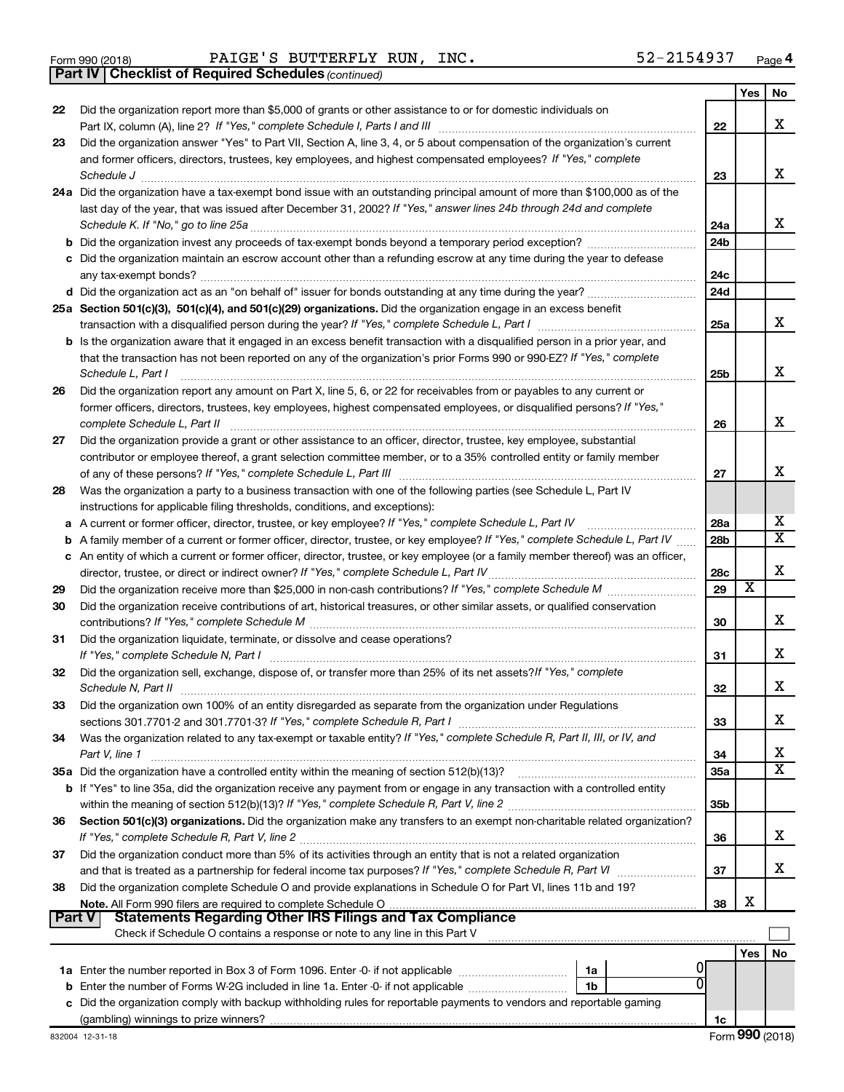|  | Form 990 (2018) |
|--|-----------------|
|  |                 |

Form 990 (2018) Page PAIGE'S BUTTERFLY RUN, INC. 52-2154937

*(continued)* **Part IV Checklist of Required Schedules**

|               |                                                                                                                                                                                                                                              |                 | Yes | No                      |
|---------------|----------------------------------------------------------------------------------------------------------------------------------------------------------------------------------------------------------------------------------------------|-----------------|-----|-------------------------|
| 22            | Did the organization report more than \$5,000 of grants or other assistance to or for domestic individuals on                                                                                                                                |                 |     | x                       |
|               |                                                                                                                                                                                                                                              | 22              |     |                         |
| 23            | Did the organization answer "Yes" to Part VII, Section A, line 3, 4, or 5 about compensation of the organization's current<br>and former officers, directors, trustees, key employees, and highest compensated employees? If "Yes," complete |                 |     |                         |
|               | Schedule J <b>www.communications.communications.communications</b> .com                                                                                                                                                                      | 23              |     | x                       |
|               | 24a Did the organization have a tax-exempt bond issue with an outstanding principal amount of more than \$100,000 as of the                                                                                                                  |                 |     |                         |
|               | last day of the year, that was issued after December 31, 2002? If "Yes," answer lines 24b through 24d and complete                                                                                                                           |                 |     |                         |
|               |                                                                                                                                                                                                                                              | 24a             |     | x                       |
|               |                                                                                                                                                                                                                                              | 24 <sub>b</sub> |     |                         |
|               | c Did the organization maintain an escrow account other than a refunding escrow at any time during the year to defease                                                                                                                       |                 |     |                         |
|               | any tax-exempt bonds?                                                                                                                                                                                                                        | 24c             |     |                         |
|               |                                                                                                                                                                                                                                              | 24d             |     |                         |
|               | 25a Section 501(c)(3), 501(c)(4), and 501(c)(29) organizations. Did the organization engage in an excess benefit                                                                                                                             |                 |     |                         |
|               |                                                                                                                                                                                                                                              | 25a             |     | x                       |
|               | b Is the organization aware that it engaged in an excess benefit transaction with a disqualified person in a prior year, and                                                                                                                 |                 |     |                         |
|               | that the transaction has not been reported on any of the organization's prior Forms 990 or 990-EZ? If "Yes," complete                                                                                                                        |                 |     |                         |
|               | Schedule L, Part I                                                                                                                                                                                                                           | 25b             |     | х                       |
| 26            | Did the organization report any amount on Part X, line 5, 6, or 22 for receivables from or payables to any current or                                                                                                                        |                 |     |                         |
|               | former officers, directors, trustees, key employees, highest compensated employees, or disqualified persons? If "Yes,"                                                                                                                       |                 |     | x                       |
|               | complete Schedule L, Part II<br>Did the organization provide a grant or other assistance to an officer, director, trustee, key employee, substantial                                                                                         | 26              |     |                         |
| 27            | contributor or employee thereof, a grant selection committee member, or to a 35% controlled entity or family member                                                                                                                          |                 |     |                         |
|               |                                                                                                                                                                                                                                              | 27              |     | x                       |
| 28            | Was the organization a party to a business transaction with one of the following parties (see Schedule L, Part IV                                                                                                                            |                 |     |                         |
|               | instructions for applicable filing thresholds, conditions, and exceptions):                                                                                                                                                                  |                 |     |                         |
|               | a A current or former officer, director, trustee, or key employee? If "Yes," complete Schedule L, Part IV                                                                                                                                    | 28a             |     | х                       |
| b             | A family member of a current or former officer, director, trustee, or key employee? If "Yes," complete Schedule L, Part IV                                                                                                                   | 28b             |     | $\overline{\texttt{x}}$ |
|               | c An entity of which a current or former officer, director, trustee, or key employee (or a family member thereof) was an officer,                                                                                                            |                 |     |                         |
|               | director, trustee, or direct or indirect owner? If "Yes," complete Schedule L, Part IV                                                                                                                                                       | 28c             |     | х                       |
| 29            |                                                                                                                                                                                                                                              | 29              | х   |                         |
| 30            | Did the organization receive contributions of art, historical treasures, or other similar assets, or qualified conservation                                                                                                                  |                 |     |                         |
|               |                                                                                                                                                                                                                                              | 30              |     | x                       |
| 31            | Did the organization liquidate, terminate, or dissolve and cease operations?                                                                                                                                                                 |                 |     |                         |
|               | If "Yes," complete Schedule N, Part I                                                                                                                                                                                                        | 31              |     | x                       |
| 32            | Did the organization sell, exchange, dispose of, or transfer more than 25% of its net assets? If "Yes," complete                                                                                                                             |                 |     | х                       |
|               | Schedule N, Part II                                                                                                                                                                                                                          | 32              |     |                         |
| 33            | Did the organization own 100% of an entity disregarded as separate from the organization under Regulations                                                                                                                                   | 33              |     | х                       |
| 34            | Was the organization related to any tax-exempt or taxable entity? If "Yes," complete Schedule R, Part II, III, or IV, and                                                                                                                    |                 |     |                         |
|               | Part V, line 1                                                                                                                                                                                                                               | 34              |     | х                       |
|               |                                                                                                                                                                                                                                              | 35a             |     | $\overline{\text{X}}$   |
|               | b If "Yes" to line 35a, did the organization receive any payment from or engage in any transaction with a controlled entity                                                                                                                  |                 |     |                         |
|               |                                                                                                                                                                                                                                              | 35b             |     |                         |
| 36            | Section 501(c)(3) organizations. Did the organization make any transfers to an exempt non-charitable related organization?                                                                                                                   |                 |     |                         |
|               |                                                                                                                                                                                                                                              | 36              |     | х                       |
| 37            | Did the organization conduct more than 5% of its activities through an entity that is not a related organization                                                                                                                             |                 |     |                         |
|               | and that is treated as a partnership for federal income tax purposes? If "Yes," complete Schedule R, Part VI                                                                                                                                 | 37              |     | x                       |
| 38            | Did the organization complete Schedule O and provide explanations in Schedule O for Part VI, lines 11b and 19?                                                                                                                               |                 | х   |                         |
| <b>Part V</b> | <b>Statements Regarding Other IRS Filings and Tax Compliance</b>                                                                                                                                                                             | 38              |     |                         |
|               | Check if Schedule O contains a response or note to any line in this Part V                                                                                                                                                                   |                 |     |                         |
|               |                                                                                                                                                                                                                                              |                 | Yes | No                      |
|               | 1a                                                                                                                                                                                                                                           |                 |     |                         |
|               | O<br>1b                                                                                                                                                                                                                                      |                 |     |                         |
|               | c Did the organization comply with backup withholding rules for reportable payments to vendors and reportable gaming                                                                                                                         |                 |     |                         |
|               |                                                                                                                                                                                                                                              | 1c              |     |                         |
|               |                                                                                                                                                                                                                                              |                 |     |                         |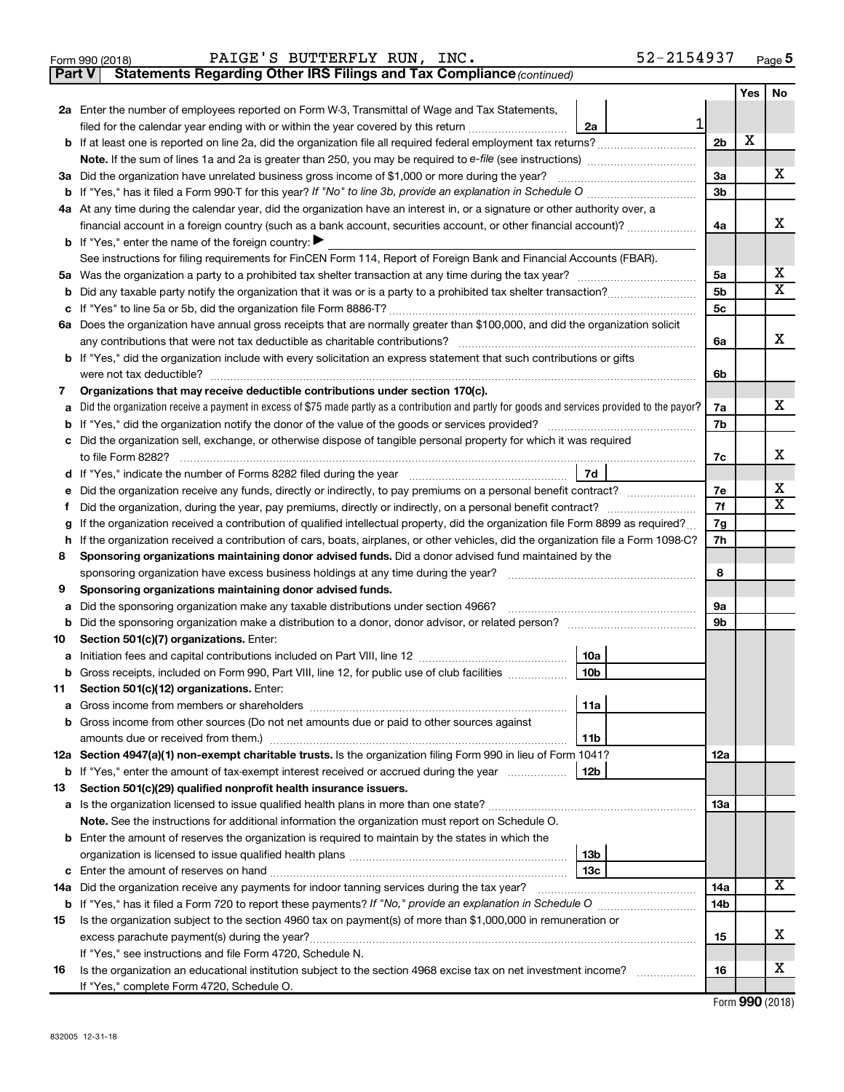|  | Form 990 (2018) |
|--|-----------------|
|  |                 |

**Part V** Statements Regarding Other IRS Filings and Tax Compliance (continued)

|    |                                                                                                                                                 |                 | Yes | No                      |
|----|-------------------------------------------------------------------------------------------------------------------------------------------------|-----------------|-----|-------------------------|
|    | 2a Enter the number of employees reported on Form W-3, Transmittal of Wage and Tax Statements,                                                  |                 |     |                         |
|    | 1<br>filed for the calendar year ending with or within the year covered by this return <i></i><br>2a                                            |                 |     |                         |
|    |                                                                                                                                                 | 2 <sub>b</sub>  | X   |                         |
|    |                                                                                                                                                 |                 |     |                         |
|    | 3a Did the organization have unrelated business gross income of \$1,000 or more during the year?                                                | 3a              |     | x                       |
|    |                                                                                                                                                 | 3b              |     |                         |
|    | 4a At any time during the calendar year, did the organization have an interest in, or a signature or other authority over, a                    |                 |     |                         |
|    | financial account in a foreign country (such as a bank account, securities account, or other financial account)?                                | 4a              |     | х                       |
|    | <b>b</b> If "Yes," enter the name of the foreign country:                                                                                       |                 |     |                         |
|    | See instructions for filing requirements for FinCEN Form 114, Report of Foreign Bank and Financial Accounts (FBAR).                             |                 |     |                         |
|    |                                                                                                                                                 | 5a              |     | х                       |
|    |                                                                                                                                                 | 5b              |     | $\overline{\mathtt{x}}$ |
|    |                                                                                                                                                 | 5c              |     |                         |
|    | 6a Does the organization have annual gross receipts that are normally greater than \$100,000, and did the organization solicit                  |                 |     |                         |
|    |                                                                                                                                                 | 6a              |     | x                       |
|    | <b>b</b> If "Yes," did the organization include with every solicitation an express statement that such contributions or gifts                   |                 |     |                         |
|    | were not tax deductible?                                                                                                                        | 6b              |     |                         |
| 7  | Organizations that may receive deductible contributions under section 170(c).                                                                   |                 |     | x                       |
| a  | Did the organization receive a payment in excess of \$75 made partly as a contribution and partly for goods and services provided to the payor? | 7a              |     |                         |
|    | c Did the organization sell, exchange, or otherwise dispose of tangible personal property for which it was required                             | 7b              |     |                         |
|    |                                                                                                                                                 | 7c              |     | х                       |
|    | 7d                                                                                                                                              |                 |     |                         |
| е  | Did the organization receive any funds, directly or indirectly, to pay premiums on a personal benefit contract?                                 | 7e              |     | x                       |
| Ť. | Did the organization, during the year, pay premiums, directly or indirectly, on a personal benefit contract?                                    | 7f              |     | $\overline{\mathtt{x}}$ |
| g  | If the organization received a contribution of qualified intellectual property, did the organization file Form 8899 as required?                | 7g              |     |                         |
|    | h If the organization received a contribution of cars, boats, airplanes, or other vehicles, did the organization file a Form 1098-C?            | 7h              |     |                         |
| 8  | Sponsoring organizations maintaining donor advised funds. Did a donor advised fund maintained by the                                            |                 |     |                         |
|    | sponsoring organization have excess business holdings at any time during the year?                                                              | 8               |     |                         |
| 9  | Sponsoring organizations maintaining donor advised funds.                                                                                       |                 |     |                         |
| а  | Did the sponsoring organization make any taxable distributions under section 4966?                                                              | 9а              |     |                         |
| b  |                                                                                                                                                 | 9b              |     |                         |
| 10 | Section 501(c)(7) organizations. Enter:                                                                                                         |                 |     |                         |
|    | 10a                                                                                                                                             |                 |     |                         |
|    | 10 <sub>b</sub><br>b Gross receipts, included on Form 990, Part VIII, line 12, for public use of club facilities                                |                 |     |                         |
| 11 | Section 501(c)(12) organizations. Enter:                                                                                                        |                 |     |                         |
|    | 11a<br>Gross income from members or shareholders                                                                                                |                 |     |                         |
|    | <b>b</b> Gross income from other sources (Do not net amounts due or paid to other sources against                                               |                 |     |                         |
|    | 11 <sub>b</sub>                                                                                                                                 |                 |     |                         |
|    | 12a Section 4947(a)(1) non-exempt charitable trusts. Is the organization filing Form 990 in lieu of Form 1041?                                  | 12a             |     |                         |
|    | 12 <sub>b</sub><br><b>b</b> If "Yes," enter the amount of tax-exempt interest received or accrued during the year                               |                 |     |                         |
| 13 | Section 501(c)(29) qualified nonprofit health insurance issuers.                                                                                | 13a             |     |                         |
|    | Note. See the instructions for additional information the organization must report on Schedule O.                                               |                 |     |                         |
|    | <b>b</b> Enter the amount of reserves the organization is required to maintain by the states in which the                                       |                 |     |                         |
|    | 13 <sub>b</sub>                                                                                                                                 |                 |     |                         |
|    | 13 <sub>c</sub>                                                                                                                                 |                 |     |                         |
|    | 14a Did the organization receive any payments for indoor tanning services during the tax year?                                                  | 14a             |     | $\overline{\text{X}}$   |
|    |                                                                                                                                                 | 14 <sub>b</sub> |     |                         |
| 15 | Is the organization subject to the section 4960 tax on payment(s) of more than \$1,000,000 in remuneration or                                   |                 |     |                         |
|    |                                                                                                                                                 | 15              |     | х                       |
|    | If "Yes," see instructions and file Form 4720, Schedule N.                                                                                      |                 |     |                         |
| 16 | Is the organization an educational institution subject to the section 4968 excise tax on net investment income?                                 | 16              |     | х                       |
|    | If "Yes," complete Form 4720, Schedule O.                                                                                                       |                 |     |                         |

Form (2018) **990**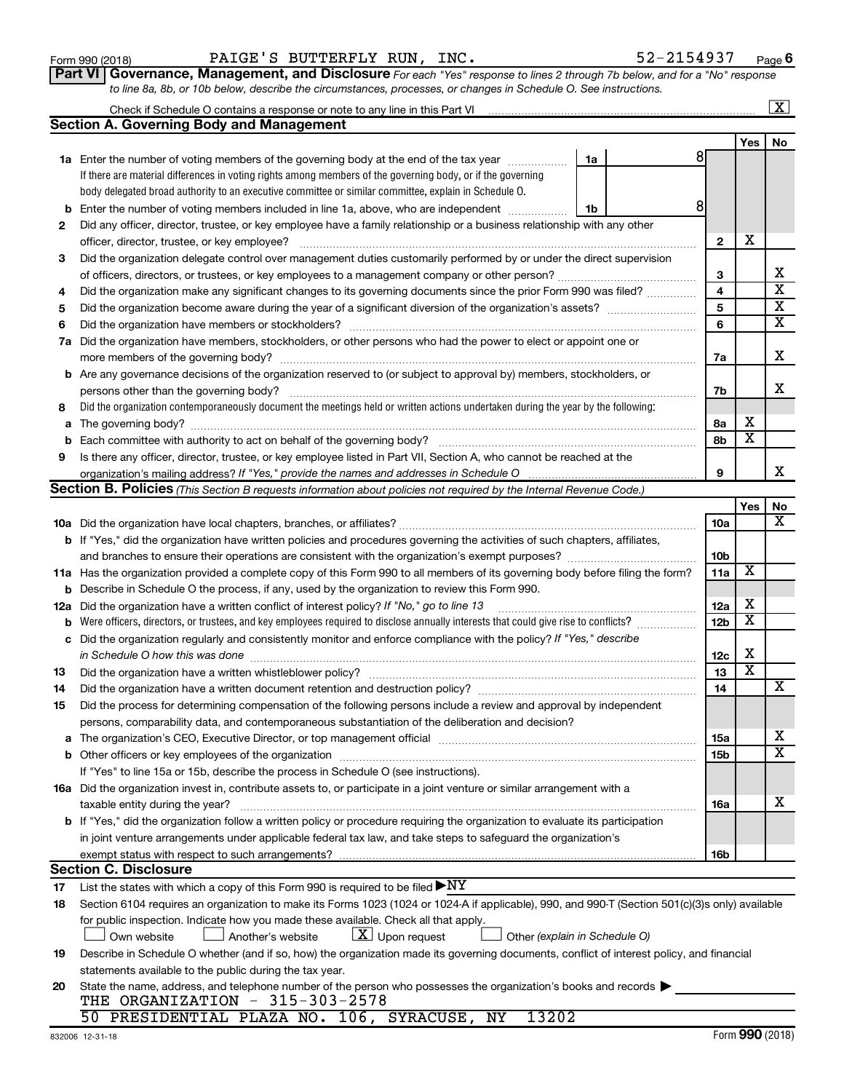|     | If there are material differences in voting rights among members of the governing body, or if the governing                                                                                                                    |                 |                         |                         |
|-----|--------------------------------------------------------------------------------------------------------------------------------------------------------------------------------------------------------------------------------|-----------------|-------------------------|-------------------------|
|     | body delegated broad authority to an executive committee or similar committee, explain in Schedule O.                                                                                                                          |                 |                         |                         |
| b   | Enter the number of voting members included in line 1a, above, who are independent<br>1b                                                                                                                                       | 8               |                         |                         |
| 2   | Did any officer, director, trustee, or key employee have a family relationship or a business relationship with any other                                                                                                       |                 |                         |                         |
|     |                                                                                                                                                                                                                                | $\mathbf{2}$    | X                       |                         |
| З   | Did the organization delegate control over management duties customarily performed by or under the direct supervision                                                                                                          |                 |                         |                         |
|     |                                                                                                                                                                                                                                | 3               |                         | х                       |
| 4   | Did the organization make any significant changes to its governing documents since the prior Form 990 was filed?                                                                                                               | 4               |                         | $\overline{\textbf{x}}$ |
| 5   |                                                                                                                                                                                                                                | 5               |                         | $\overline{\mathbf{x}}$ |
| 6   |                                                                                                                                                                                                                                | 6               |                         | $\overline{\mathbf{x}}$ |
| 7a  | Did the organization have members, stockholders, or other persons who had the power to elect or appoint one or                                                                                                                 |                 |                         |                         |
|     |                                                                                                                                                                                                                                | 7a              |                         | х                       |
|     | <b>b</b> Are any governance decisions of the organization reserved to (or subject to approval by) members, stockholders, or                                                                                                    |                 |                         |                         |
|     |                                                                                                                                                                                                                                | 7b              |                         | х                       |
| 8   | Did the organization contemporaneously document the meetings held or written actions undertaken during the year by the following:                                                                                              |                 |                         |                         |
|     |                                                                                                                                                                                                                                | 8а              | х                       |                         |
| b   | Each committee with authority to act on behalf of the governing body?                                                                                                                                                          | 8b              | $\overline{\mathbf{x}}$ |                         |
| 9   | Is there any officer, director, trustee, or key employee listed in Part VII, Section A, who cannot be reached at the                                                                                                           |                 |                         |                         |
|     |                                                                                                                                                                                                                                | 9               |                         | X                       |
|     | Section B. Policies (This Section B requests information about policies not required by the Internal Revenue Code.)                                                                                                            |                 |                         |                         |
|     |                                                                                                                                                                                                                                |                 | Yes                     | No                      |
|     |                                                                                                                                                                                                                                | 10a             |                         | х                       |
|     | b If "Yes," did the organization have written policies and procedures governing the activities of such chapters, affiliates,                                                                                                   |                 |                         |                         |
|     |                                                                                                                                                                                                                                | 10 <sub>b</sub> |                         |                         |
|     | 11a Has the organization provided a complete copy of this Form 990 to all members of its governing body before filing the form?                                                                                                | 11a             | х                       |                         |
| b   | Describe in Schedule O the process, if any, used by the organization to review this Form 990.                                                                                                                                  |                 |                         |                         |
| 12a | Did the organization have a written conflict of interest policy? If "No," go to line 13                                                                                                                                        | 12a             | х                       |                         |
|     |                                                                                                                                                                                                                                | 12 <sub>b</sub> | x                       |                         |
| с   | Did the organization regularly and consistently monitor and enforce compliance with the policy? If "Yes," describe                                                                                                             |                 |                         |                         |
|     | in Schedule O how this was done manufactured and an arrangement of the state of the state of the state of the                                                                                                                  | 12c             | X                       |                         |
| 13  |                                                                                                                                                                                                                                | 13              | $\overline{\textbf{x}}$ |                         |
| 14  | Did the organization have a written document retention and destruction policy? [11] manufaction manufaction in                                                                                                                 | 14              |                         | х                       |
| 15  | Did the process for determining compensation of the following persons include a review and approval by independent                                                                                                             |                 |                         |                         |
|     | persons, comparability data, and contemporaneous substantiation of the deliberation and decision?                                                                                                                              |                 |                         |                         |
|     | a The organization's CEO, Executive Director, or top management official manufactured content content of the organization's CEO, Executive Director, or top management official manufactured content of the state of the state | 15a             |                         | x                       |
|     |                                                                                                                                                                                                                                | 15b             |                         | X                       |
|     | If "Yes" to line 15a or 15b, describe the process in Schedule O (see instructions).                                                                                                                                            |                 |                         |                         |
|     | 16a Did the organization invest in, contribute assets to, or participate in a joint venture or similar arrangement with a                                                                                                      |                 |                         |                         |
|     |                                                                                                                                                                                                                                | <b>16a</b>      |                         | х                       |
|     | <b>b</b> If "Yes," did the organization follow a written policy or procedure requiring the organization to evaluate its participation                                                                                          |                 |                         |                         |
|     | in joint venture arrangements under applicable federal tax law, and take steps to safeguard the organization's                                                                                                                 |                 |                         |                         |
|     | exempt status with respect to such arrangements?                                                                                                                                                                               | 16b             |                         |                         |
|     | <b>Section C. Disclosure</b>                                                                                                                                                                                                   |                 |                         |                         |
| 17  | List the states with which a copy of this Form 990 is required to be filed $\blacktriangleright\text{NY}$                                                                                                                      |                 |                         |                         |
| 18  | Section 6104 requires an organization to make its Forms 1023 (1024 or 1024 A if applicable), 990, and 990-T (Section 501(c)(3)s only) available                                                                                |                 |                         |                         |
|     | for public inspection. Indicate how you made these available. Check all that apply.                                                                                                                                            |                 |                         |                         |
|     | $ \underline{X} $ Upon request<br>Own website<br>Another's website<br>Other (explain in Schedule O)                                                                                                                            |                 |                         |                         |
| 19  | Describe in Schedule O whether (and if so, how) the organization made its governing documents, conflict of interest policy, and financial                                                                                      |                 |                         |                         |
|     | statements available to the public during the tax year.                                                                                                                                                                        |                 |                         |                         |
| 20  | State the name, address, and telephone number of the person who possesses the organization's books and records                                                                                                                 |                 |                         |                         |
|     | THE ORGANIZATION $-315-303-2578$                                                                                                                                                                                               |                 |                         |                         |
|     | 50 PRESIDENTIAL PLAZA NO. 106, SYRACUSE, NY<br>13202                                                                                                                                                                           |                 |                         |                         |

| Form 990 (2018) |  | PAIGE'S BUTTERFLY RUN, INC. |                                                                                                                  | 52-2154937                                                                                                                         | Page |
|-----------------|--|-----------------------------|------------------------------------------------------------------------------------------------------------------|------------------------------------------------------------------------------------------------------------------------------------|------|
|                 |  |                             |                                                                                                                  | <b>Part VI Governance, Management, and Disclosure</b> For each "Yes" response to lines 2 through 7b below, and for a "No" response |      |
|                 |  |                             | to line 8a, 8b, or 10b below, describe the circumstances, processes, or changes in Schedule O. See instructions. |                                                                                                                                    |      |

**1a** Enter the number of voting members of the governing body at the end of the tax year  $\ldots$   $\ldots$  **1a** 

Enter the number of voting members of the governing body at the end of the tax year  $\ldots$ ................

Check if Schedule O contains a response or note to any line in this Part VI

**Section A. Governing Body and Management**

**6**

 $\boxed{\text{X}}$ 

**Yes No**

Form (2018) **990**

| 52-2154937 |  |  |
|------------|--|--|

8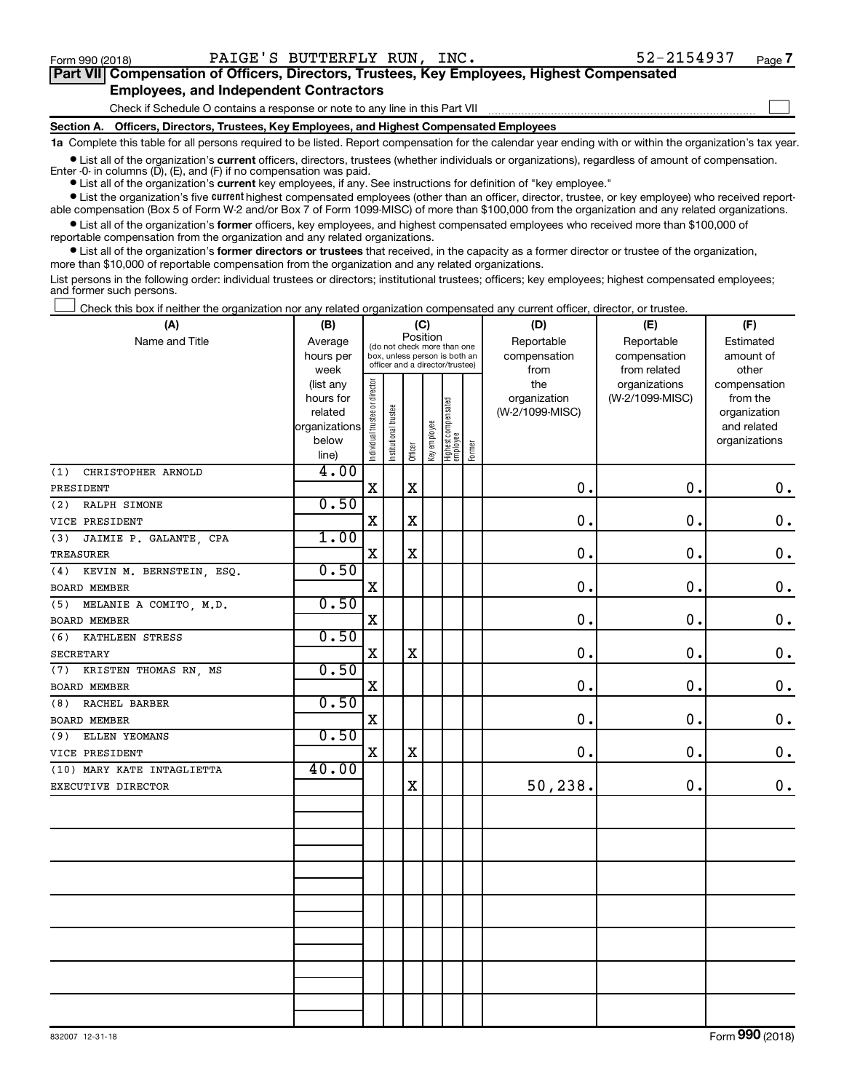$\Box$ 

| Part VII Compensation of Officers, Directors, Trustees, Key Employees, Highest Compensated |
|--------------------------------------------------------------------------------------------|
| <b>Employees, and Independent Contractors</b>                                              |

Check if Schedule O contains a response or note to any line in this Part VII

**Section A. Officers, Directors, Trustees, Key Employees, and Highest Compensated Employees**

**1a**  Complete this table for all persons required to be listed. Report compensation for the calendar year ending with or within the organization's tax year.

**•** List all of the organization's current officers, directors, trustees (whether individuals or organizations), regardless of amount of compensation. Enter -0- in columns  $(D)$ ,  $(E)$ , and  $(F)$  if no compensation was paid.

**•** List all of the organization's **current** key employees, if any. See instructions for definition of "key employee."

**•** List the organization's five current highest compensated employees (other than an officer, director, trustee, or key employee) who received reportable compensation (Box 5 of Form W-2 and/or Box 7 of Form 1099-MISC) of more than \$100,000 from the organization and any related organizations.

**•** List all of the organization's former officers, key employees, and highest compensated employees who received more than \$100,000 of reportable compensation from the organization and any related organizations.

**•** List all of the organization's former directors or trustees that received, in the capacity as a former director or trustee of the organization, more than \$10,000 of reportable compensation from the organization and any related organizations.

List persons in the following order: individual trustees or directors; institutional trustees; officers; key employees; highest compensated employees; and former such persons.

Check this box if neither the organization nor any related organization compensated any current officer, director, or trustee.  $\Box$ 

| (A)                             | (B)           | (C)                                     |                                                                  |             |              |                                 |        | (D)             | (E)             | (F)                |
|---------------------------------|---------------|-----------------------------------------|------------------------------------------------------------------|-------------|--------------|---------------------------------|--------|-----------------|-----------------|--------------------|
| Name and Title                  | Average       | Position<br>(do not check more than one |                                                                  |             |              |                                 |        | Reportable      | Reportable      | Estimated          |
|                                 | hours per     |                                         | box, unless person is both an<br>officer and a director/trustee) |             |              |                                 |        | compensation    | compensation    | amount of          |
|                                 | week          |                                         |                                                                  |             |              |                                 |        | from            | from related    | other              |
|                                 | (list any     |                                         |                                                                  |             |              |                                 |        | the             | organizations   | compensation       |
|                                 | hours for     |                                         |                                                                  |             |              |                                 |        | organization    | (W-2/1099-MISC) | from the           |
|                                 | related       |                                         |                                                                  |             |              |                                 |        | (W-2/1099-MISC) |                 | organization       |
|                                 | organizations |                                         |                                                                  |             |              |                                 |        |                 |                 | and related        |
|                                 | below         | Individual trustee or director          | Institutional trustee                                            | Officer     | Key employee | Highest compensated<br>employee | Former |                 |                 | organizations      |
| CHRISTOPHER ARNOLD              | line)<br>4.00 |                                         |                                                                  |             |              |                                 |        |                 |                 |                    |
| (1)                             |               | X                                       |                                                                  | X           |              |                                 |        | 0.              | $\mathbf 0$ .   | $\boldsymbol{0}$ . |
| PRESIDENT                       | 0.50          |                                         |                                                                  |             |              |                                 |        |                 |                 |                    |
| (2)<br>RALPH SIMONE             |               |                                         |                                                                  |             |              |                                 |        | 0.              | 0.              |                    |
| VICE PRESIDENT                  |               | $\rm X$                                 |                                                                  | $\mathbf x$ |              |                                 |        |                 |                 | $\mathbf 0$ .      |
| (3)<br>JAIMIE P. GALANTE, CPA   | 1.00          |                                         |                                                                  |             |              |                                 |        |                 |                 |                    |
| <b>TREASURER</b>                |               | X                                       |                                                                  | $\mathbf x$ |              |                                 |        | 0.              | 0.              | $\mathbf 0$ .      |
| KEVIN M. BERNSTEIN, ESQ.<br>(4) | 0.50          |                                         |                                                                  |             |              |                                 |        |                 |                 |                    |
| BOARD MEMBER                    |               | X                                       |                                                                  |             |              |                                 |        | 0.              | 0.              | $\mathbf 0$ .      |
| MELANIE A COMITO, M.D.<br>(5)   | 0.50          |                                         |                                                                  |             |              |                                 |        |                 |                 |                    |
| BOARD MEMBER                    |               | X                                       |                                                                  |             |              |                                 |        | 0.              | 0.              | $\mathbf 0$ .      |
| (6)<br>KATHLEEN STRESS          | 0.50          |                                         |                                                                  |             |              |                                 |        |                 |                 |                    |
| <b>SECRETARY</b>                |               | X                                       |                                                                  | $\mathbf X$ |              |                                 |        | 0.              | $\mathbf 0$ .   | 0.                 |
| (7)<br>KRISTEN THOMAS RN, MS    | 0.50          |                                         |                                                                  |             |              |                                 |        |                 |                 |                    |
| <b>BOARD MEMBER</b>             |               | $\mathbf X$                             |                                                                  |             |              |                                 |        | 0.              | 0.              | $\mathbf 0$ .      |
| RACHEL BARBER<br>(8)            | 0.50          |                                         |                                                                  |             |              |                                 |        |                 |                 |                    |
| <b>BOARD MEMBER</b>             |               | $\rm X$                                 |                                                                  |             |              |                                 |        | 0.              | 0.              | $\mathbf 0$ .      |
| ELLEN YEOMANS<br>(9)            | 0.50          |                                         |                                                                  |             |              |                                 |        |                 |                 |                    |
| VICE PRESIDENT                  |               | $\mathbf X$                             |                                                                  | $\mathbf x$ |              |                                 |        | 0.              | 0.              | $0$ .              |
| (10) MARY KATE INTAGLIETTA      | 40.00         |                                         |                                                                  |             |              |                                 |        |                 |                 |                    |
| EXECUTIVE DIRECTOR              |               |                                         |                                                                  | $\mathbf X$ |              |                                 |        | 50,238.         | $\mathbf 0$ .   | 0.                 |
|                                 |               |                                         |                                                                  |             |              |                                 |        |                 |                 |                    |
|                                 |               |                                         |                                                                  |             |              |                                 |        |                 |                 |                    |
|                                 |               |                                         |                                                                  |             |              |                                 |        |                 |                 |                    |
|                                 |               |                                         |                                                                  |             |              |                                 |        |                 |                 |                    |
|                                 |               |                                         |                                                                  |             |              |                                 |        |                 |                 |                    |
|                                 |               |                                         |                                                                  |             |              |                                 |        |                 |                 |                    |
|                                 |               |                                         |                                                                  |             |              |                                 |        |                 |                 |                    |
|                                 |               |                                         |                                                                  |             |              |                                 |        |                 |                 |                    |
|                                 |               |                                         |                                                                  |             |              |                                 |        |                 |                 |                    |
|                                 |               |                                         |                                                                  |             |              |                                 |        |                 |                 |                    |
|                                 |               |                                         |                                                                  |             |              |                                 |        |                 |                 |                    |
|                                 |               |                                         |                                                                  |             |              |                                 |        |                 |                 |                    |
|                                 |               |                                         |                                                                  |             |              |                                 |        |                 |                 |                    |
|                                 |               |                                         |                                                                  |             |              |                                 |        |                 |                 |                    |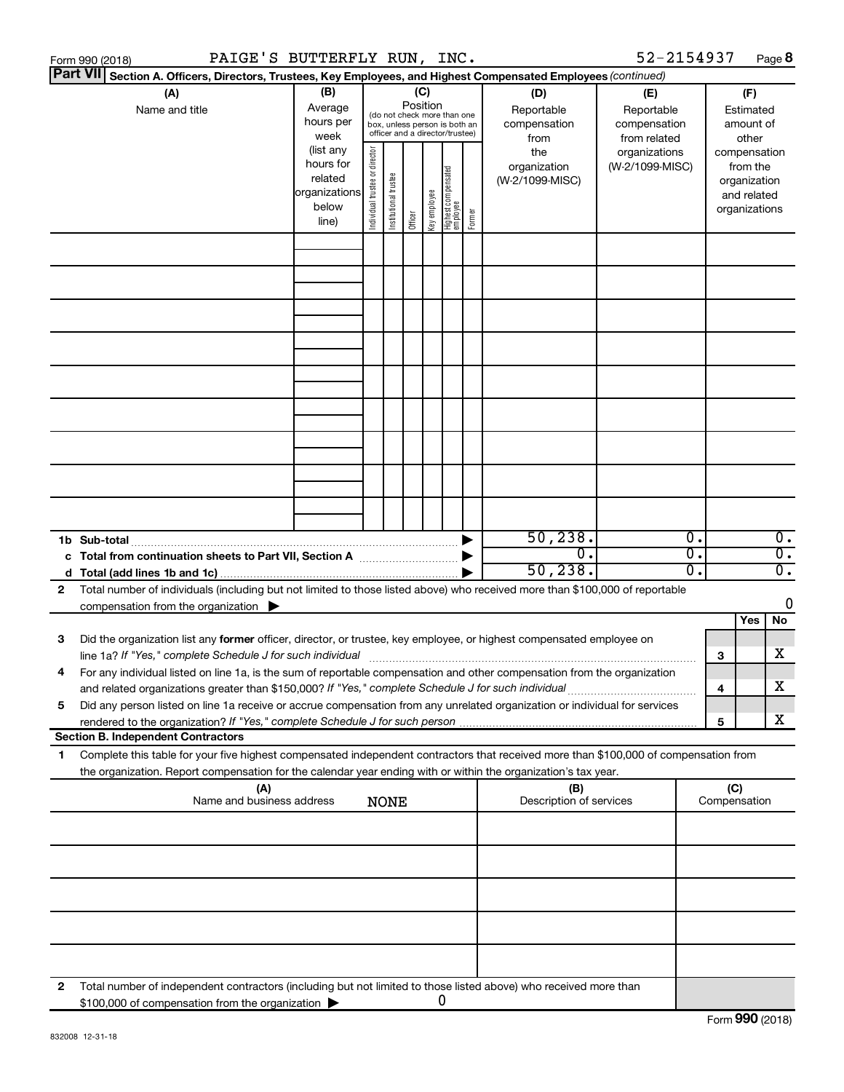|   | PAIGE'S BUTTERFLY RUN, INC.<br>Form 990 (2018)                                                                                                                                                                                                         |                                                               |                       |                       |         |              |                                                                                                 |                       |                                                                  | 52-2154937                                                                            |                        |                                                                    | Page 8                               |
|---|--------------------------------------------------------------------------------------------------------------------------------------------------------------------------------------------------------------------------------------------------------|---------------------------------------------------------------|-----------------------|-----------------------|---------|--------------|-------------------------------------------------------------------------------------------------|-----------------------|------------------------------------------------------------------|---------------------------------------------------------------------------------------|------------------------|--------------------------------------------------------------------|--------------------------------------|
|   | <b>Part VII</b><br>Section A. Officers, Directors, Trustees, Key Employees, and Highest Compensated Employees (continued)                                                                                                                              |                                                               |                       |                       |         |              |                                                                                                 |                       |                                                                  |                                                                                       |                        |                                                                    |                                      |
|   | (A)<br>Name and title                                                                                                                                                                                                                                  | (B)<br>Average<br>hours per<br>week<br>(list any<br>hours for | director              |                       | (C)     | Position     | (do not check more than one<br>box, unless person is both an<br>officer and a director/trustee) |                       | (D)<br>Reportable<br>compensation<br>from<br>the<br>organization | (E)<br>Reportable<br>compensation<br>from related<br>organizations<br>(W-2/1099-MISC) |                        | (F)<br>Estimated<br>amount of<br>other<br>compensation<br>from the |                                      |
|   |                                                                                                                                                                                                                                                        | related<br>organizations<br>below<br>line)                    | Individual trustee or | Institutional trustee | Officer | Key employee | Highest compensated<br> employee                                                                | Former                | (W-2/1099-MISC)                                                  |                                                                                       |                        | organization<br>and related<br>organizations                       |                                      |
|   |                                                                                                                                                                                                                                                        |                                                               |                       |                       |         |              |                                                                                                 |                       |                                                                  |                                                                                       |                        |                                                                    |                                      |
|   |                                                                                                                                                                                                                                                        |                                                               |                       |                       |         |              |                                                                                                 |                       |                                                                  |                                                                                       |                        |                                                                    |                                      |
|   |                                                                                                                                                                                                                                                        |                                                               |                       |                       |         |              |                                                                                                 |                       |                                                                  |                                                                                       |                        |                                                                    |                                      |
|   |                                                                                                                                                                                                                                                        |                                                               |                       |                       |         |              |                                                                                                 |                       |                                                                  |                                                                                       |                        |                                                                    |                                      |
|   |                                                                                                                                                                                                                                                        |                                                               |                       |                       |         |              |                                                                                                 |                       |                                                                  |                                                                                       |                        |                                                                    |                                      |
|   |                                                                                                                                                                                                                                                        |                                                               |                       |                       |         |              |                                                                                                 |                       |                                                                  |                                                                                       |                        |                                                                    |                                      |
|   |                                                                                                                                                                                                                                                        |                                                               |                       |                       |         |              |                                                                                                 |                       |                                                                  |                                                                                       |                        |                                                                    |                                      |
|   | 1b Sub-total                                                                                                                                                                                                                                           |                                                               |                       |                       |         |              |                                                                                                 | $\blacktriangleright$ | 50, 238.                                                         |                                                                                       | $\overline{0}$ .       |                                                                    | $\overline{0}$ .                     |
|   | c Total from continuation sheets to Part VII, Section A manuscription of the State of Total Total Co                                                                                                                                                   |                                                               |                       |                       |         |              |                                                                                                 |                       | σ.<br>50, 238.                                                   |                                                                                       | $\overline{0}$ .<br>σ. |                                                                    | $\overline{0}$ .<br>$\overline{0}$ . |
| 2 | Total number of individuals (including but not limited to those listed above) who received more than \$100,000 of reportable                                                                                                                           |                                                               |                       |                       |         |              |                                                                                                 |                       |                                                                  |                                                                                       |                        |                                                                    |                                      |
|   | compensation from the organization $\blacktriangleright$                                                                                                                                                                                               |                                                               |                       |                       |         |              |                                                                                                 |                       |                                                                  |                                                                                       |                        | Yes                                                                | 0<br>No                              |
| 3 | Did the organization list any former officer, director, or trustee, key employee, or highest compensated employee on                                                                                                                                   |                                                               |                       |                       |         |              |                                                                                                 |                       |                                                                  |                                                                                       |                        | З                                                                  | X                                    |
|   | For any individual listed on line 1a, is the sum of reportable compensation and other compensation from the organization<br>and related organizations greater than \$150,000? If "Yes," complete Schedule J for such individual                        |                                                               |                       |                       |         |              |                                                                                                 |                       |                                                                  |                                                                                       |                        | 4                                                                  | X                                    |
| 5 | Did any person listed on line 1a receive or accrue compensation from any unrelated organization or individual for services                                                                                                                             |                                                               |                       |                       |         |              |                                                                                                 |                       |                                                                  |                                                                                       |                        | 5                                                                  | x                                    |
|   | <b>Section B. Independent Contractors</b>                                                                                                                                                                                                              |                                                               |                       |                       |         |              |                                                                                                 |                       |                                                                  |                                                                                       |                        |                                                                    |                                      |
| 1 | Complete this table for your five highest compensated independent contractors that received more than \$100,000 of compensation from<br>the organization. Report compensation for the calendar year ending with or within the organization's tax year. |                                                               |                       |                       |         |              |                                                                                                 |                       |                                                                  |                                                                                       |                        |                                                                    |                                      |
|   | (A)<br>Name and business address                                                                                                                                                                                                                       |                                                               |                       | <b>NONE</b>           |         |              |                                                                                                 |                       | (B)<br>Description of services                                   |                                                                                       |                        | (C)<br>Compensation                                                |                                      |
|   |                                                                                                                                                                                                                                                        |                                                               |                       |                       |         |              |                                                                                                 |                       |                                                                  |                                                                                       |                        |                                                                    |                                      |
|   |                                                                                                                                                                                                                                                        |                                                               |                       |                       |         |              |                                                                                                 |                       |                                                                  |                                                                                       |                        |                                                                    |                                      |
|   |                                                                                                                                                                                                                                                        |                                                               |                       |                       |         |              |                                                                                                 |                       |                                                                  |                                                                                       |                        |                                                                    |                                      |
|   |                                                                                                                                                                                                                                                        |                                                               |                       |                       |         |              |                                                                                                 |                       |                                                                  |                                                                                       |                        |                                                                    |                                      |
| 2 | Total number of independent contractors (including but not limited to those listed above) who received more than<br>\$100,000 of compensation from the organization                                                                                    |                                                               |                       |                       |         |              | 0                                                                                               |                       |                                                                  |                                                                                       |                        |                                                                    |                                      |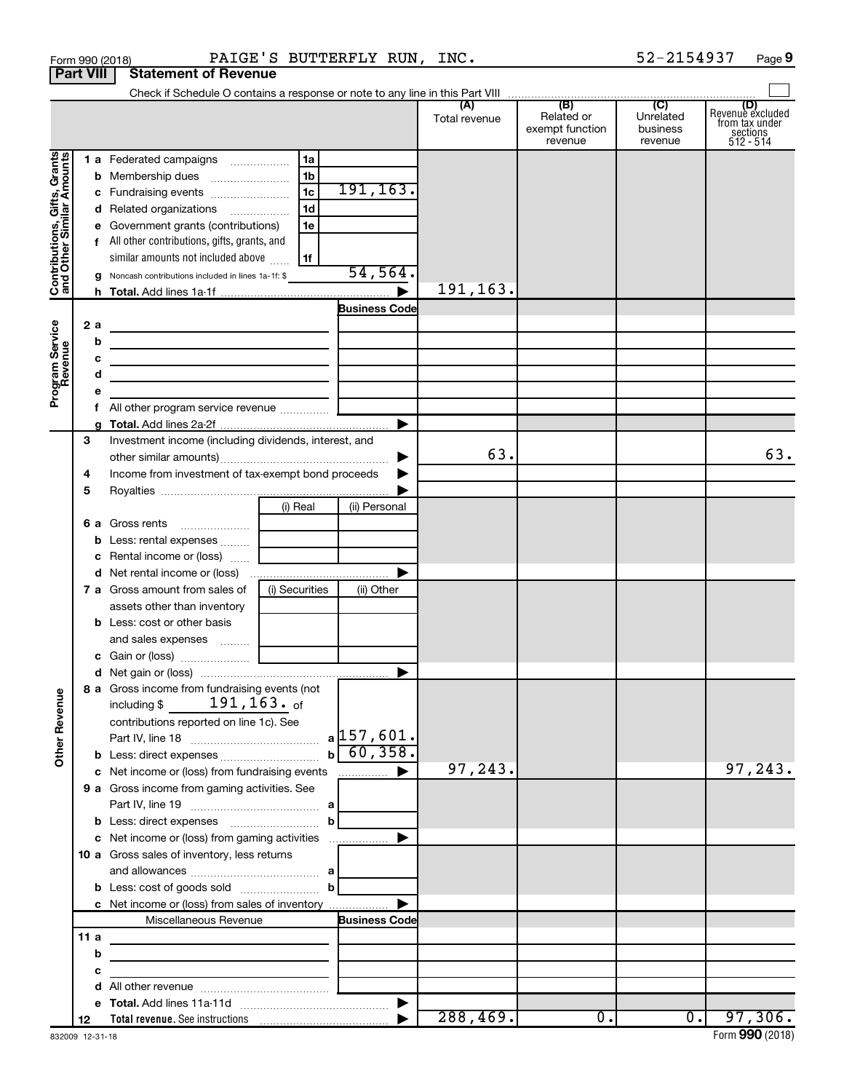|                                                           |                  | PAIGE'S BUTTERFLY RUN, INC.<br>Form 990 (2018)                                                       |                      |                                                 | 52-2154937                              | Page 9                                                      |
|-----------------------------------------------------------|------------------|------------------------------------------------------------------------------------------------------|----------------------|-------------------------------------------------|-----------------------------------------|-------------------------------------------------------------|
|                                                           | <b>Part VIII</b> | <b>Statement of Revenue</b>                                                                          |                      |                                                 |                                         |                                                             |
|                                                           |                  |                                                                                                      |                      |                                                 |                                         |                                                             |
|                                                           |                  |                                                                                                      | (A)<br>Total revenue | (B)<br>Related or<br>exempt function<br>revenue | (C)<br>Unrelated<br>business<br>revenue | Revenue excluded<br>from tax under<br>sections<br>512 - 514 |
|                                                           |                  | 1a<br>1 a Federated campaigns                                                                        |                      |                                                 |                                         |                                                             |
|                                                           |                  | 1 <sub>b</sub>                                                                                       |                      |                                                 |                                         |                                                             |
|                                                           |                  | 191, 163.<br>$\overline{1c}$<br>c Fundraising events                                                 |                      |                                                 |                                         |                                                             |
|                                                           |                  | 1d<br>d Related organizations                                                                        |                      |                                                 |                                         |                                                             |
|                                                           |                  | e Government grants (contributions)<br>1e                                                            |                      |                                                 |                                         |                                                             |
|                                                           |                  | f All other contributions, gifts, grants, and                                                        |                      |                                                 |                                         |                                                             |
|                                                           |                  | similar amounts not included above<br>1f                                                             |                      |                                                 |                                         |                                                             |
| Contributions, Gifts, Grants<br>and Other Similar Amounts |                  | 54, 564.<br>g Noncash contributions included in lines 1a-1f: \$                                      |                      |                                                 |                                         |                                                             |
|                                                           |                  |                                                                                                      | 191,163.             |                                                 |                                         |                                                             |
|                                                           |                  | <b>Business Code</b>                                                                                 |                      |                                                 |                                         |                                                             |
|                                                           | 2a               |                                                                                                      |                      |                                                 |                                         |                                                             |
|                                                           | b                | <u> 1989 - Andrea Andrew Maria (h. 1989).</u>                                                        |                      |                                                 |                                         |                                                             |
|                                                           | с                |                                                                                                      |                      |                                                 |                                         |                                                             |
|                                                           | d                |                                                                                                      |                      |                                                 |                                         |                                                             |
| Program Service<br>Revenue                                | е                |                                                                                                      |                      |                                                 |                                         |                                                             |
|                                                           |                  |                                                                                                      |                      |                                                 |                                         |                                                             |
|                                                           | g                |                                                                                                      |                      |                                                 |                                         |                                                             |
|                                                           | 3                | Investment income (including dividends, interest, and                                                |                      |                                                 |                                         |                                                             |
|                                                           |                  | ▶                                                                                                    | 63.                  |                                                 |                                         | 63.                                                         |
|                                                           | 4                | Income from investment of tax-exempt bond proceeds                                                   |                      |                                                 |                                         |                                                             |
|                                                           | 5                |                                                                                                      |                      |                                                 |                                         |                                                             |
|                                                           |                  | (i) Real<br>(ii) Personal                                                                            |                      |                                                 |                                         |                                                             |
|                                                           |                  | 6 a Gross rents<br>$\overline{\phantom{a}}$                                                          |                      |                                                 |                                         |                                                             |
|                                                           |                  | <b>b</b> Less: rental expenses                                                                       |                      |                                                 |                                         |                                                             |
|                                                           |                  | c Rental income or (loss)                                                                            |                      |                                                 |                                         |                                                             |
|                                                           |                  | d Net rental income or (loss)                                                                        |                      |                                                 |                                         |                                                             |
|                                                           |                  | (i) Securities<br><b>7 a</b> Gross amount from sales of<br>(ii) Other<br>assets other than inventory |                      |                                                 |                                         |                                                             |
|                                                           |                  | <b>b</b> Less: cost or other basis                                                                   |                      |                                                 |                                         |                                                             |
|                                                           |                  | and sales expenses                                                                                   |                      |                                                 |                                         |                                                             |
|                                                           |                  | c Gain or (loss)                                                                                     |                      |                                                 |                                         |                                                             |
|                                                           |                  |                                                                                                      |                      |                                                 |                                         |                                                             |
|                                                           |                  | 8 a Gross income from fundraising events (not                                                        |                      |                                                 |                                         |                                                             |
|                                                           |                  | including $$191, 163.$ of                                                                            |                      |                                                 |                                         |                                                             |
|                                                           |                  | contributions reported on line 1c). See                                                              |                      |                                                 |                                         |                                                             |
|                                                           |                  |                                                                                                      |                      |                                                 |                                         |                                                             |
| <b>Other Revenue</b>                                      |                  |                                                                                                      |                      |                                                 |                                         |                                                             |
|                                                           |                  | c Net income or (loss) from fundraising events                                                       | 97, 243.             |                                                 |                                         | 97,243.                                                     |
|                                                           |                  | 9 a Gross income from gaming activities. See                                                         |                      |                                                 |                                         |                                                             |
|                                                           |                  |                                                                                                      |                      |                                                 |                                         |                                                             |
|                                                           |                  | <b>b</b> Less: direct expenses <b>contained b</b>                                                    |                      |                                                 |                                         |                                                             |
|                                                           |                  | c Net income or (loss) from gaming activities<br>▶                                                   |                      |                                                 |                                         |                                                             |
|                                                           |                  | <b>10 a</b> Gross sales of inventory, less returns                                                   |                      |                                                 |                                         |                                                             |
|                                                           |                  |                                                                                                      |                      |                                                 |                                         |                                                             |
|                                                           |                  |                                                                                                      |                      |                                                 |                                         |                                                             |
|                                                           |                  | c Net income or (loss) from sales of inventory                                                       |                      |                                                 |                                         |                                                             |
|                                                           |                  | Miscellaneous Revenue<br><b>Business Code</b>                                                        |                      |                                                 |                                         |                                                             |
|                                                           | 11 a             |                                                                                                      |                      |                                                 |                                         |                                                             |
|                                                           | b                |                                                                                                      |                      |                                                 |                                         |                                                             |
|                                                           | с                |                                                                                                      |                      |                                                 |                                         |                                                             |
|                                                           |                  |                                                                                                      |                      |                                                 |                                         |                                                             |
|                                                           |                  | ▶                                                                                                    |                      |                                                 |                                         |                                                             |
|                                                           | 12               |                                                                                                      | 288, 469.            | $\overline{0}$ .                                | $\overline{0}$ .                        | 97,306.                                                     |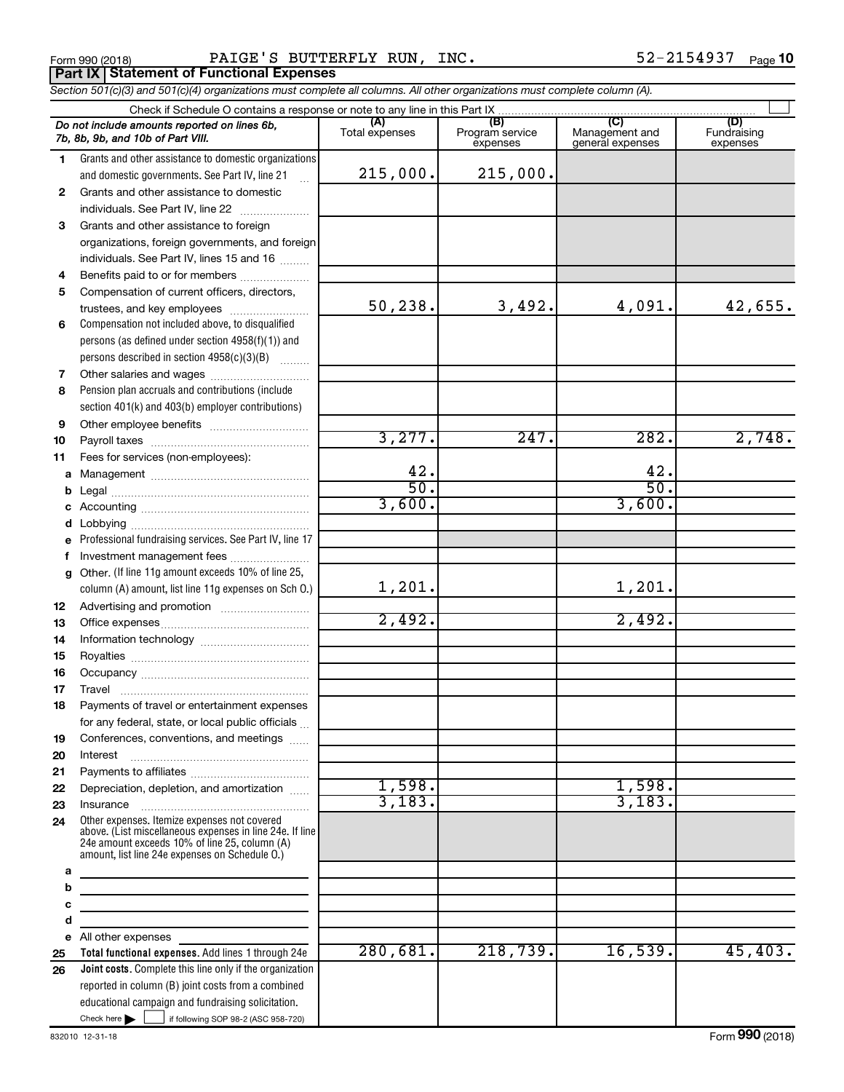Form 990 (2018) Page PAIGE'S BUTTERFLY RUN, INC. 52-2154937 **Part IX Statement of Functional Expenses**

*Section 501(c)(3) and 501(c)(4) organizations must complete all columns. All other organizations must complete column (A).*

|          | Do not include amounts reported on lines 6b,<br>7b, 8b, 9b, and 10b of Part VIII.                                                                                                                           | (A)<br>Total expenses | (B)<br>Program service<br>expenses | Management and<br>general expenses | (D)<br>Fundraising<br>expenses |
|----------|-------------------------------------------------------------------------------------------------------------------------------------------------------------------------------------------------------------|-----------------------|------------------------------------|------------------------------------|--------------------------------|
| 1.       | Grants and other assistance to domestic organizations                                                                                                                                                       |                       |                                    |                                    |                                |
|          | and domestic governments. See Part IV, line 21                                                                                                                                                              | 215,000.              | 215,000.                           |                                    |                                |
| 2        | Grants and other assistance to domestic                                                                                                                                                                     |                       |                                    |                                    |                                |
|          | individuals. See Part IV, line 22                                                                                                                                                                           |                       |                                    |                                    |                                |
| 3        | Grants and other assistance to foreign                                                                                                                                                                      |                       |                                    |                                    |                                |
|          | organizations, foreign governments, and foreign                                                                                                                                                             |                       |                                    |                                    |                                |
|          | individuals. See Part IV, lines 15 and 16                                                                                                                                                                   |                       |                                    |                                    |                                |
| 4        | Benefits paid to or for members                                                                                                                                                                             |                       |                                    |                                    |                                |
| 5        | Compensation of current officers, directors,                                                                                                                                                                |                       |                                    |                                    |                                |
|          | trustees, and key employees                                                                                                                                                                                 | 50, 238.              | 3,492.                             | 4,091.                             | 42,655.                        |
| 6        | Compensation not included above, to disqualified                                                                                                                                                            |                       |                                    |                                    |                                |
|          | persons (as defined under section 4958(f)(1)) and                                                                                                                                                           |                       |                                    |                                    |                                |
|          | persons described in section 4958(c)(3)(B)                                                                                                                                                                  |                       |                                    |                                    |                                |
| 7        | Other salaries and wages                                                                                                                                                                                    |                       |                                    |                                    |                                |
| 8        | Pension plan accruals and contributions (include                                                                                                                                                            |                       |                                    |                                    |                                |
|          | section 401(k) and 403(b) employer contributions)                                                                                                                                                           |                       |                                    |                                    |                                |
| 9        |                                                                                                                                                                                                             |                       |                                    |                                    |                                |
| 10       |                                                                                                                                                                                                             | 3,277.                | 247.                               | 282.                               | 2,748.                         |
| 11       | Fees for services (non-employees):                                                                                                                                                                          |                       |                                    |                                    |                                |
| a        |                                                                                                                                                                                                             | 42.<br>50.            |                                    | 42.<br>$\overline{50}$             |                                |
| b        |                                                                                                                                                                                                             |                       |                                    |                                    |                                |
| c        |                                                                                                                                                                                                             | 3,600.                |                                    | 3,600.                             |                                |
| d        |                                                                                                                                                                                                             |                       |                                    |                                    |                                |
|          | Professional fundraising services. See Part IV, line 17                                                                                                                                                     |                       |                                    |                                    |                                |
| f        | Investment management fees                                                                                                                                                                                  |                       |                                    |                                    |                                |
| g        | Other. (If line 11g amount exceeds 10% of line 25,                                                                                                                                                          | 1,201.                |                                    | 1,201.                             |                                |
|          | column (A) amount, list line 11g expenses on Sch O.)                                                                                                                                                        |                       |                                    |                                    |                                |
| 12       |                                                                                                                                                                                                             | 2,492.                |                                    | 2,492.                             |                                |
| 13<br>14 |                                                                                                                                                                                                             |                       |                                    |                                    |                                |
| 15       |                                                                                                                                                                                                             |                       |                                    |                                    |                                |
| 16       |                                                                                                                                                                                                             |                       |                                    |                                    |                                |
| 17       | Travel                                                                                                                                                                                                      |                       |                                    |                                    |                                |
| 18       | Payments of travel or entertainment expenses                                                                                                                                                                |                       |                                    |                                    |                                |
|          | for any federal, state, or local public officials                                                                                                                                                           |                       |                                    |                                    |                                |
| 19       | Conferences, conventions, and meetings                                                                                                                                                                      |                       |                                    |                                    |                                |
| 20       | Interest                                                                                                                                                                                                    |                       |                                    |                                    |                                |
| 21       |                                                                                                                                                                                                             |                       |                                    |                                    |                                |
| 22       | Depreciation, depletion, and amortization                                                                                                                                                                   | 1,598.                |                                    | 1,598.                             |                                |
| 23       | Insurance                                                                                                                                                                                                   | 3,183.                |                                    | 3,183.                             |                                |
| 24       | Other expenses. Itemize expenses not covered<br>above. (List miscellaneous expenses in line 24e. If line<br>24e amount exceeds 10% of line 25, column (A)<br>amount, list line 24e expenses on Schedule O.) |                       |                                    |                                    |                                |
| а        |                                                                                                                                                                                                             |                       |                                    |                                    |                                |
| b        |                                                                                                                                                                                                             |                       |                                    |                                    |                                |
| с        |                                                                                                                                                                                                             |                       |                                    |                                    |                                |
| d        |                                                                                                                                                                                                             |                       |                                    |                                    |                                |
| е        | All other expenses                                                                                                                                                                                          |                       |                                    |                                    |                                |
| 25       | Total functional expenses. Add lines 1 through 24e                                                                                                                                                          | 280,681.              | 218,739.                           | 16,539.                            | 45,403.                        |
| 26       | <b>Joint costs.</b> Complete this line only if the organization                                                                                                                                             |                       |                                    |                                    |                                |
|          | reported in column (B) joint costs from a combined<br>educational campaign and fundraising solicitation.                                                                                                    |                       |                                    |                                    |                                |
|          | Check here $\blacktriangleright$<br>if following SOP 98-2 (ASC 958-720)                                                                                                                                     |                       |                                    |                                    |                                |
|          |                                                                                                                                                                                                             |                       |                                    |                                    |                                |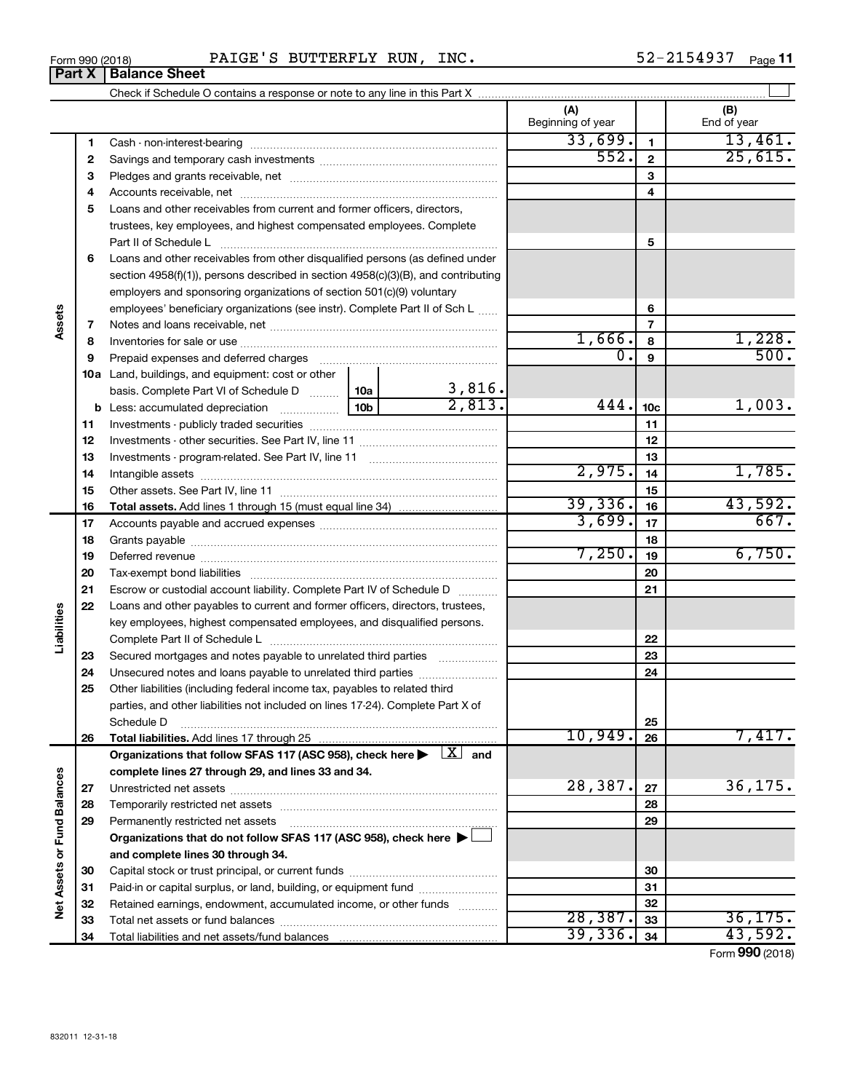| Form 990 (2018) | סיח גם<br>--- | ommunov v<br>r o r<br>DU T<br>' LER. | <b>RUN</b> | INC. | . .<br>ıΔ<br>$\cdots$ | Page |
|-----------------|---------------|--------------------------------------|------------|------|-----------------------|------|
|                 |               |                                      |            |      |                       |      |

|                             |    |                                                                                                                                                                                                                                |        |                       | (A)<br>Beginning of year |                 | (B)<br>End of year |
|-----------------------------|----|--------------------------------------------------------------------------------------------------------------------------------------------------------------------------------------------------------------------------------|--------|-----------------------|--------------------------|-----------------|--------------------|
|                             | 1  |                                                                                                                                                                                                                                |        |                       | 33,699.                  | 1               | 13,461.            |
|                             | 2  |                                                                                                                                                                                                                                |        |                       | 552.                     | $\mathbf{2}$    | 25,615.            |
|                             | 3  |                                                                                                                                                                                                                                |        |                       | 3                        |                 |                    |
|                             | 4  |                                                                                                                                                                                                                                |        |                       | 4                        |                 |                    |
|                             | 5  | Loans and other receivables from current and former officers, directors,                                                                                                                                                       |        |                       |                          |                 |                    |
|                             |    | trustees, key employees, and highest compensated employees. Complete                                                                                                                                                           |        |                       |                          |                 |                    |
|                             |    |                                                                                                                                                                                                                                |        |                       |                          | 5               |                    |
|                             | 6  | Loans and other receivables from other disqualified persons (as defined under                                                                                                                                                  |        |                       |                          |                 |                    |
|                             |    | section 4958(f)(1)), persons described in section 4958(c)(3)(B), and contributing                                                                                                                                              |        |                       |                          |                 |                    |
|                             |    | employers and sponsoring organizations of section 501(c)(9) voluntary                                                                                                                                                          |        |                       |                          |                 |                    |
|                             |    | employees' beneficiary organizations (see instr). Complete Part II of Sch L                                                                                                                                                    |        |                       | 6                        |                 |                    |
| Assets                      | 7  |                                                                                                                                                                                                                                |        |                       |                          | $\overline{7}$  |                    |
|                             | 8  |                                                                                                                                                                                                                                |        |                       | 1,666.                   | 8               | 1,228.             |
|                             | 9  | Prepaid expenses and deferred charges [11] [11] Prepaid expenses and deferred charges [11] [11] All and the summary series are presented as a series and the series and the series and series are series and series are series |        |                       | 0.                       | 9               | 500.               |
|                             |    | <b>10a</b> Land, buildings, and equipment: cost or other                                                                                                                                                                       |        |                       |                          |                 |                    |
|                             |    | basis. Complete Part VI of Schedule D  10a                                                                                                                                                                                     |        | $\frac{3,816}{2,813}$ |                          |                 |                    |
|                             |    |                                                                                                                                                                                                                                | 10b l  |                       | 444.                     | 10 <sub>c</sub> | 1,003.             |
|                             | 11 |                                                                                                                                                                                                                                |        |                       |                          | 11              |                    |
|                             | 12 |                                                                                                                                                                                                                                |        | 12                    |                          |                 |                    |
|                             | 13 |                                                                                                                                                                                                                                |        | 13                    |                          |                 |                    |
|                             | 14 |                                                                                                                                                                                                                                |        |                       | 2,975.                   | 14              | 1,785.             |
|                             | 15 |                                                                                                                                                                                                                                |        |                       |                          | 15              |                    |
|                             | 16 |                                                                                                                                                                                                                                |        |                       | 39,336.                  | 16              | 43,592.            |
|                             | 17 |                                                                                                                                                                                                                                | 3,699. | 17                    | 667.                     |                 |                    |
|                             | 18 |                                                                                                                                                                                                                                |        | 18                    |                          |                 |                    |
|                             | 19 |                                                                                                                                                                                                                                |        |                       | 7,250.                   | 19              | 6,750.             |
|                             | 20 |                                                                                                                                                                                                                                |        |                       | 20                       |                 |                    |
|                             | 21 | Escrow or custodial account liability. Complete Part IV of Schedule D                                                                                                                                                          |        |                       |                          | 21              |                    |
|                             | 22 | Loans and other payables to current and former officers, directors, trustees,                                                                                                                                                  |        |                       |                          |                 |                    |
| Liabilities                 |    | key employees, highest compensated employees, and disqualified persons.                                                                                                                                                        |        |                       |                          |                 |                    |
|                             |    |                                                                                                                                                                                                                                |        |                       |                          | 22              |                    |
|                             | 23 | Secured mortgages and notes payable to unrelated third parties                                                                                                                                                                 |        |                       |                          | 23              |                    |
|                             | 24 | Unsecured notes and loans payable to unrelated third parties                                                                                                                                                                   |        |                       |                          | 24              |                    |
|                             | 25 | Other liabilities (including federal income tax, payables to related third                                                                                                                                                     |        |                       |                          |                 |                    |
|                             |    | parties, and other liabilities not included on lines 17-24). Complete Part X of                                                                                                                                                |        |                       |                          |                 |                    |
|                             |    | Schedule D                                                                                                                                                                                                                     |        |                       | 10,949.                  | 25              | 7,417.             |
|                             | 26 | Total liabilities. Add lines 17 through 25                                                                                                                                                                                     |        |                       |                          | 26              |                    |
|                             |    | Organizations that follow SFAS 117 (ASC 958), check here $\blacktriangleright \begin{array}{c} \boxed{X} \\ \end{array}$ and                                                                                                   |        |                       |                          |                 |                    |
|                             |    | complete lines 27 through 29, and lines 33 and 34.                                                                                                                                                                             |        |                       | 28,387.                  |                 | 36, 175.           |
|                             | 27 |                                                                                                                                                                                                                                |        |                       |                          | 27              |                    |
|                             | 28 | Temporarily restricted net assets                                                                                                                                                                                              |        |                       |                          | 28              |                    |
|                             | 29 | Permanently restricted net assets                                                                                                                                                                                              |        |                       |                          | 29              |                    |
|                             |    | Organizations that do not follow SFAS 117 (ASC 958), check here $\blacktriangleright$                                                                                                                                          |        |                       |                          |                 |                    |
| Net Assets or Fund Balances |    | and complete lines 30 through 34.                                                                                                                                                                                              |        |                       |                          |                 |                    |
|                             | 30 |                                                                                                                                                                                                                                |        |                       |                          | 30              |                    |
|                             | 31 | Paid-in or capital surplus, or land, building, or equipment fund                                                                                                                                                               |        |                       |                          | 31              |                    |
|                             | 32 | Retained earnings, endowment, accumulated income, or other funds                                                                                                                                                               |        |                       | 28,387.                  | 32              | 36, 175.           |
|                             | 33 |                                                                                                                                                                                                                                |        |                       | 39, 336.                 | 33<br>34        | 43,592.            |
|                             | 34 |                                                                                                                                                                                                                                |        |                       |                          |                 |                    |

Form (2018) **990**

# **Part X Balance Sheet**

| Form 990 (2018 |  |
|----------------|--|
|                |  |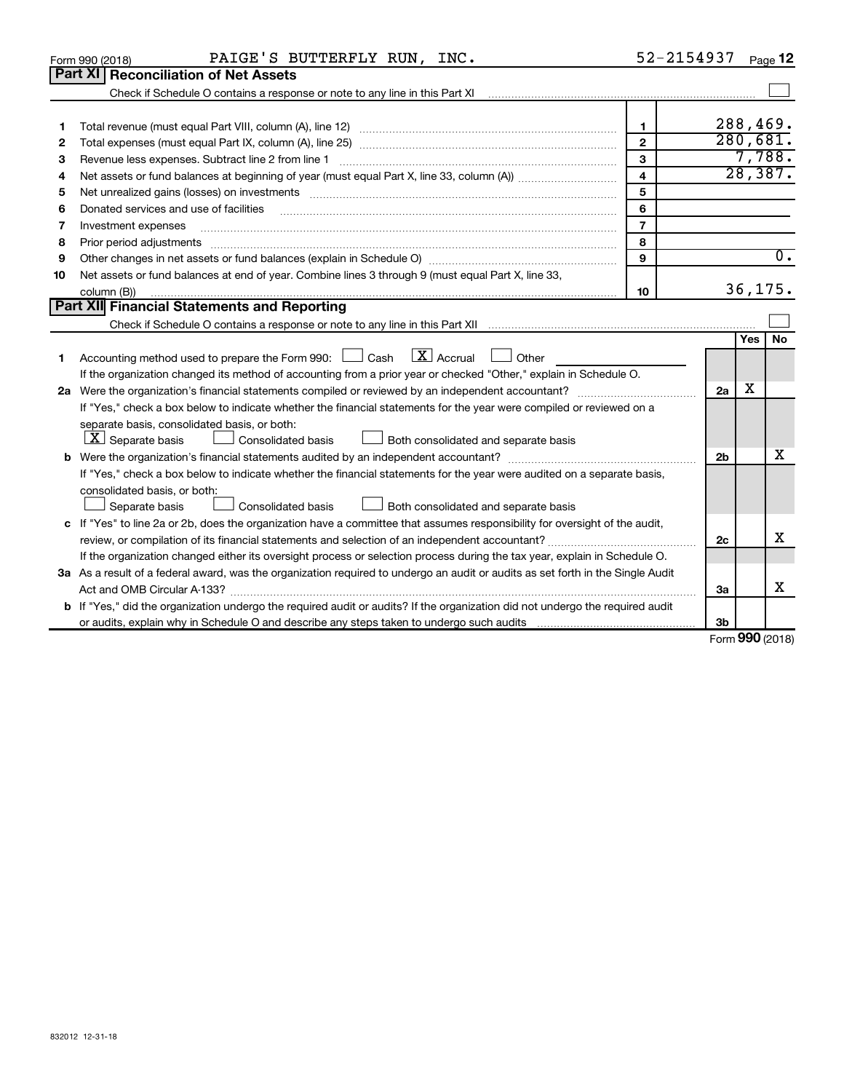|                                                                                                                   | PAIGE'S BUTTERFLY RUN, INC.<br>Form 990 (2018)                                                                                                                                                                                 | 52-2154937              |                 |          | Page 12          |  |
|-------------------------------------------------------------------------------------------------------------------|--------------------------------------------------------------------------------------------------------------------------------------------------------------------------------------------------------------------------------|-------------------------|-----------------|----------|------------------|--|
|                                                                                                                   | Part XI<br><b>Reconciliation of Net Assets</b>                                                                                                                                                                                 |                         |                 |          |                  |  |
|                                                                                                                   |                                                                                                                                                                                                                                |                         |                 |          |                  |  |
|                                                                                                                   |                                                                                                                                                                                                                                |                         |                 |          |                  |  |
| 1                                                                                                                 |                                                                                                                                                                                                                                | $\mathbf{1}$            |                 |          | 288,469.         |  |
| 2                                                                                                                 |                                                                                                                                                                                                                                | $\overline{2}$          |                 | 280,681. |                  |  |
| з                                                                                                                 |                                                                                                                                                                                                                                | $\overline{3}$          |                 |          | 7,788.           |  |
| 4                                                                                                                 |                                                                                                                                                                                                                                | $\overline{\mathbf{4}}$ |                 |          | 28,387.          |  |
| 5                                                                                                                 | Net unrealized gains (losses) on investments [11] matter than the control of the state of the state of the state of the state of the state of the state of the state of the state of the state of the state of the state of th | 5                       |                 |          |                  |  |
| 6                                                                                                                 |                                                                                                                                                                                                                                | 6                       |                 |          |                  |  |
| 7                                                                                                                 | Investment expenses                                                                                                                                                                                                            | $\overline{7}$          |                 |          |                  |  |
| 8                                                                                                                 | Prior period adjustments                                                                                                                                                                                                       | 8                       |                 |          |                  |  |
| 9                                                                                                                 |                                                                                                                                                                                                                                | $\mathbf{Q}$            |                 |          | $\overline{0}$ . |  |
| 10                                                                                                                | Net assets or fund balances at end of year. Combine lines 3 through 9 (must equal Part X, line 33,                                                                                                                             |                         |                 |          |                  |  |
|                                                                                                                   | column (B))                                                                                                                                                                                                                    | 10                      |                 |          | 36, 175.         |  |
|                                                                                                                   | Part XII Financial Statements and Reporting                                                                                                                                                                                    |                         |                 |          |                  |  |
|                                                                                                                   |                                                                                                                                                                                                                                |                         |                 |          |                  |  |
|                                                                                                                   |                                                                                                                                                                                                                                |                         |                 | Yes      | <b>No</b>        |  |
| 1                                                                                                                 | $\boxed{\text{X}}$ Accrual<br>Accounting method used to prepare the Form 990: $\Box$ Cash<br>Other                                                                                                                             |                         |                 |          |                  |  |
| If the organization changed its method of accounting from a prior year or checked "Other," explain in Schedule O. |                                                                                                                                                                                                                                |                         |                 |          |                  |  |
|                                                                                                                   |                                                                                                                                                                                                                                |                         |                 |          |                  |  |
|                                                                                                                   | If "Yes," check a box below to indicate whether the financial statements for the year were compiled or reviewed on a                                                                                                           |                         |                 |          |                  |  |
|                                                                                                                   | separate basis, consolidated basis, or both:                                                                                                                                                                                   |                         |                 |          |                  |  |
|                                                                                                                   | $ \mathbf{X} $ Separate basis<br><b>Consolidated basis</b><br>Both consolidated and separate basis                                                                                                                             |                         |                 |          |                  |  |
|                                                                                                                   |                                                                                                                                                                                                                                |                         | 2 <sub>b</sub>  |          | X                |  |
|                                                                                                                   | If "Yes," check a box below to indicate whether the financial statements for the year were audited on a separate basis,                                                                                                        |                         |                 |          |                  |  |
|                                                                                                                   | consolidated basis, or both:                                                                                                                                                                                                   |                         |                 |          |                  |  |
|                                                                                                                   | Both consolidated and separate basis<br>Separate basis<br>Consolidated basis                                                                                                                                                   |                         |                 |          |                  |  |
|                                                                                                                   | c If "Yes" to line 2a or 2b, does the organization have a committee that assumes responsibility for oversight of the audit,                                                                                                    |                         |                 |          |                  |  |
|                                                                                                                   |                                                                                                                                                                                                                                |                         | 2c              |          | х                |  |
|                                                                                                                   | If the organization changed either its oversight process or selection process during the tax year, explain in Schedule O.                                                                                                      |                         |                 |          |                  |  |
|                                                                                                                   | 3a As a result of a federal award, was the organization required to undergo an audit or audits as set forth in the Single Audit                                                                                                |                         |                 |          |                  |  |
|                                                                                                                   |                                                                                                                                                                                                                                |                         | За              |          | x                |  |
|                                                                                                                   | <b>b</b> If "Yes," did the organization undergo the required audit or audits? If the organization did not undergo the required audit                                                                                           |                         |                 |          |                  |  |
|                                                                                                                   |                                                                                                                                                                                                                                |                         | 3b              |          |                  |  |
|                                                                                                                   |                                                                                                                                                                                                                                |                         | Form 990 (2018) |          |                  |  |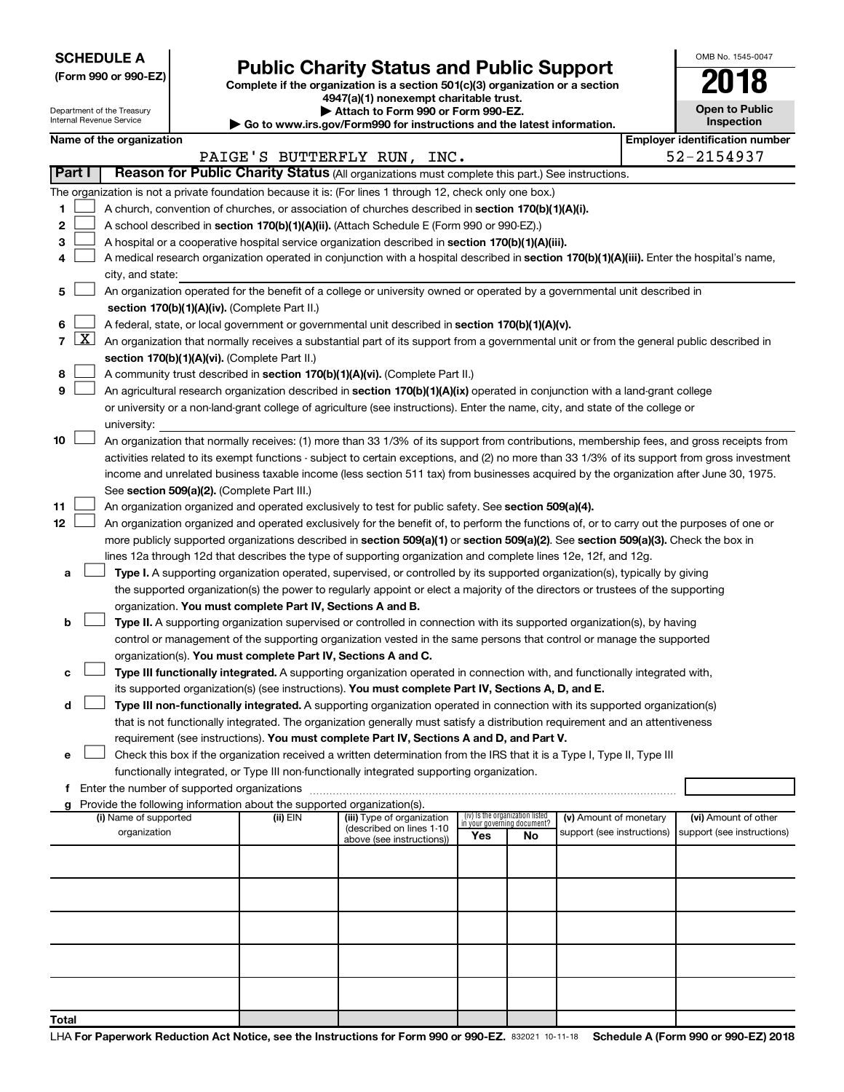**SCHEDULE A**

Department of the Treasury Internal Revenue Service

# Form 990 or 990-EZ)<br>
Complete if the organization is a section 501(c)(3) organization or a section<br> **Public Charity Status and Public Support**

**4947(a)(1) nonexempt charitable trust. | Attach to Form 990 or Form 990-EZ.** 

**| Go to www.irs.gov/Form990 for instructions and the latest information.**

| OMB No 1545-0047                    |
|-------------------------------------|
| 2018                                |
| <b>Open to Public</b><br>Inspection |

I.

**Name of the organization** 

|                |                     |                                                                                                                                               |          | PAIGE'S BUTTERFLY RUN, INC. |                                    |    |                            |  | 52-2154937                 |  |  |  |  |
|----------------|---------------------|-----------------------------------------------------------------------------------------------------------------------------------------------|----------|-----------------------------|------------------------------------|----|----------------------------|--|----------------------------|--|--|--|--|
|                | Part I              | Reason for Public Charity Status (All organizations must complete this part.) See instructions.                                               |          |                             |                                    |    |                            |  |                            |  |  |  |  |
|                |                     | The organization is not a private foundation because it is: (For lines 1 through 12, check only one box.)                                     |          |                             |                                    |    |                            |  |                            |  |  |  |  |
| 1              |                     | A church, convention of churches, or association of churches described in section 170(b)(1)(A)(i).                                            |          |                             |                                    |    |                            |  |                            |  |  |  |  |
| 2              |                     | A school described in section 170(b)(1)(A)(ii). (Attach Schedule E (Form 990 or 990-EZ).)                                                     |          |                             |                                    |    |                            |  |                            |  |  |  |  |
| 3              |                     | A hospital or a cooperative hospital service organization described in section 170(b)(1)(A)(iii).                                             |          |                             |                                    |    |                            |  |                            |  |  |  |  |
| 4              |                     | A medical research organization operated in conjunction with a hospital described in section 170(b)(1)(A)(iii). Enter the hospital's name,    |          |                             |                                    |    |                            |  |                            |  |  |  |  |
|                |                     | city, and state:                                                                                                                              |          |                             |                                    |    |                            |  |                            |  |  |  |  |
| 5              |                     | An organization operated for the benefit of a college or university owned or operated by a governmental unit described in                     |          |                             |                                    |    |                            |  |                            |  |  |  |  |
|                |                     | section 170(b)(1)(A)(iv). (Complete Part II.)                                                                                                 |          |                             |                                    |    |                            |  |                            |  |  |  |  |
| 6              |                     | A federal, state, or local government or governmental unit described in section 170(b)(1)(A)(v).                                              |          |                             |                                    |    |                            |  |                            |  |  |  |  |
| $\overline{7}$ | $\lfloor x \rfloor$ | An organization that normally receives a substantial part of its support from a governmental unit or from the general public described in     |          |                             |                                    |    |                            |  |                            |  |  |  |  |
|                |                     | section 170(b)(1)(A)(vi). (Complete Part II.)                                                                                                 |          |                             |                                    |    |                            |  |                            |  |  |  |  |
| 8              |                     | A community trust described in section 170(b)(1)(A)(vi). (Complete Part II.)                                                                  |          |                             |                                    |    |                            |  |                            |  |  |  |  |
| 9              |                     | An agricultural research organization described in section 170(b)(1)(A)(ix) operated in conjunction with a land-grant college                 |          |                             |                                    |    |                            |  |                            |  |  |  |  |
|                |                     | or university or a non-land-grant college of agriculture (see instructions). Enter the name, city, and state of the college or                |          |                             |                                    |    |                            |  |                            |  |  |  |  |
|                |                     | university:                                                                                                                                   |          |                             |                                    |    |                            |  |                            |  |  |  |  |
| 10             |                     | An organization that normally receives: (1) more than 33 1/3% of its support from contributions, membership fees, and gross receipts from     |          |                             |                                    |    |                            |  |                            |  |  |  |  |
|                |                     | activities related to its exempt functions - subject to certain exceptions, and (2) no more than 33 1/3% of its support from gross investment |          |                             |                                    |    |                            |  |                            |  |  |  |  |
|                |                     | income and unrelated business taxable income (less section 511 tax) from businesses acquired by the organization after June 30, 1975.         |          |                             |                                    |    |                            |  |                            |  |  |  |  |
|                |                     | See section 509(a)(2). (Complete Part III.)                                                                                                   |          |                             |                                    |    |                            |  |                            |  |  |  |  |
| 11             |                     | An organization organized and operated exclusively to test for public safety. See section 509(a)(4).                                          |          |                             |                                    |    |                            |  |                            |  |  |  |  |
| 12             |                     | An organization organized and operated exclusively for the benefit of, to perform the functions of, or to carry out the purposes of one or    |          |                             |                                    |    |                            |  |                            |  |  |  |  |
|                |                     | more publicly supported organizations described in section 509(a)(1) or section 509(a)(2). See section 509(a)(3). Check the box in            |          |                             |                                    |    |                            |  |                            |  |  |  |  |
|                |                     | lines 12a through 12d that describes the type of supporting organization and complete lines 12e, 12f, and 12g.                                |          |                             |                                    |    |                            |  |                            |  |  |  |  |
| а              |                     | Type I. A supporting organization operated, supervised, or controlled by its supported organization(s), typically by giving                   |          |                             |                                    |    |                            |  |                            |  |  |  |  |
|                |                     | the supported organization(s) the power to regularly appoint or elect a majority of the directors or trustees of the supporting               |          |                             |                                    |    |                            |  |                            |  |  |  |  |
|                |                     | organization. You must complete Part IV, Sections A and B.                                                                                    |          |                             |                                    |    |                            |  |                            |  |  |  |  |
| b              |                     | Type II. A supporting organization supervised or controlled in connection with its supported organization(s), by having                       |          |                             |                                    |    |                            |  |                            |  |  |  |  |
|                |                     | control or management of the supporting organization vested in the same persons that control or manage the supported                          |          |                             |                                    |    |                            |  |                            |  |  |  |  |
|                |                     | organization(s). You must complete Part IV, Sections A and C.                                                                                 |          |                             |                                    |    |                            |  |                            |  |  |  |  |
| с              |                     | Type III functionally integrated. A supporting organization operated in connection with, and functionally integrated with,                    |          |                             |                                    |    |                            |  |                            |  |  |  |  |
|                |                     | its supported organization(s) (see instructions). You must complete Part IV, Sections A, D, and E.                                            |          |                             |                                    |    |                            |  |                            |  |  |  |  |
| d              |                     | Type III non-functionally integrated. A supporting organization operated in connection with its supported organization(s)                     |          |                             |                                    |    |                            |  |                            |  |  |  |  |
|                |                     | that is not functionally integrated. The organization generally must satisfy a distribution requirement and an attentiveness                  |          |                             |                                    |    |                            |  |                            |  |  |  |  |
|                |                     | requirement (see instructions). You must complete Part IV, Sections A and D, and Part V.                                                      |          |                             |                                    |    |                            |  |                            |  |  |  |  |
| е              |                     | Check this box if the organization received a written determination from the IRS that it is a Type I, Type II, Type III                       |          |                             |                                    |    |                            |  |                            |  |  |  |  |
| f              |                     | functionally integrated, or Type III non-functionally integrated supporting organization.<br>Enter the number of supported organizations      |          |                             |                                    |    |                            |  |                            |  |  |  |  |
| g              |                     | Provide the following information about the supported organization(s).                                                                        |          |                             |                                    |    |                            |  |                            |  |  |  |  |
|                |                     | (i) Name of supported                                                                                                                         | (ii) EIN | (iii) Type of organization  | (iv) Is the organization listed    |    | (v) Amount of monetary     |  | (vi) Amount of other       |  |  |  |  |
|                |                     | organization                                                                                                                                  |          | (described on lines 1-10    | in your governing document?<br>Yes | No | support (see instructions) |  | support (see instructions) |  |  |  |  |
|                |                     |                                                                                                                                               |          | above (see instructions))   |                                    |    |                            |  |                            |  |  |  |  |
|                |                     |                                                                                                                                               |          |                             |                                    |    |                            |  |                            |  |  |  |  |
|                |                     |                                                                                                                                               |          |                             |                                    |    |                            |  |                            |  |  |  |  |
|                |                     |                                                                                                                                               |          |                             |                                    |    |                            |  |                            |  |  |  |  |
|                |                     |                                                                                                                                               |          |                             |                                    |    |                            |  |                            |  |  |  |  |
|                |                     |                                                                                                                                               |          |                             |                                    |    |                            |  |                            |  |  |  |  |
|                |                     |                                                                                                                                               |          |                             |                                    |    |                            |  |                            |  |  |  |  |
|                |                     |                                                                                                                                               |          |                             |                                    |    |                            |  |                            |  |  |  |  |
|                |                     |                                                                                                                                               |          |                             |                                    |    |                            |  |                            |  |  |  |  |
|                |                     |                                                                                                                                               |          |                             |                                    |    |                            |  |                            |  |  |  |  |
| Total          |                     |                                                                                                                                               |          |                             |                                    |    |                            |  |                            |  |  |  |  |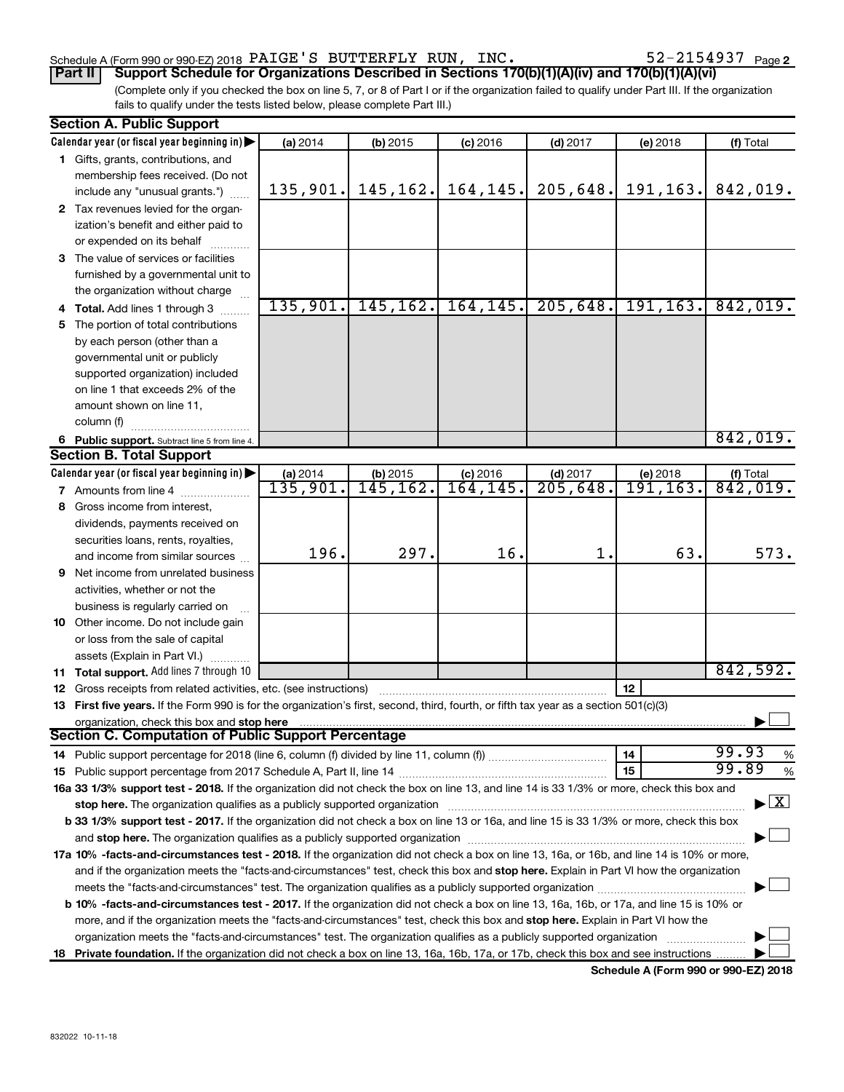### Schedule A (Form 990 or 990-EZ) 2018  $\rm PAIGE$  'S BUTTERFLY RUN, INC.  $\rm 52\text{--}2154937$   $\rm Page$

(Complete only if you checked the box on line 5, 7, or 8 of Part I or if the organization failed to qualify under Part III. If the organization fails to qualify under the tests listed below, please complete Part III.) **Part II Support Schedule for Organizations Described in Sections 170(b)(1)(A)(iv) and 170(b)(1)(A)(vi)**

| <b>Section A. Public Support</b>                                                                                                               |                      |                       |                         |                                    |                             |                                          |
|------------------------------------------------------------------------------------------------------------------------------------------------|----------------------|-----------------------|-------------------------|------------------------------------|-----------------------------|------------------------------------------|
| Calendar year (or fiscal year beginning in)                                                                                                    | (a) 2014             | $(b)$ 2015            | $(c)$ 2016              | $(d)$ 2017                         | (e) 2018                    | (f) Total                                |
| 1 Gifts, grants, contributions, and                                                                                                            |                      |                       |                         |                                    |                             |                                          |
| membership fees received. (Do not                                                                                                              |                      |                       |                         |                                    |                             |                                          |
| include any "unusual grants.")                                                                                                                 | 135,901.             | 145, 162.             | 164,145.                | 205,648.                           | 191,163.                    | 842,019.                                 |
| 2 Tax revenues levied for the organ-                                                                                                           |                      |                       |                         |                                    |                             |                                          |
| ization's benefit and either paid to                                                                                                           |                      |                       |                         |                                    |                             |                                          |
| or expended on its behalf                                                                                                                      |                      |                       |                         |                                    |                             |                                          |
| 3 The value of services or facilities                                                                                                          |                      |                       |                         |                                    |                             |                                          |
| furnished by a governmental unit to                                                                                                            |                      |                       |                         |                                    |                             |                                          |
| the organization without charge                                                                                                                |                      |                       |                         |                                    |                             |                                          |
| 4 Total. Add lines 1 through 3                                                                                                                 | 135,901.             | 145, 162.             | 164, 145.               | 205,648.                           | 191, 163.                   | 842,019.                                 |
| 5 The portion of total contributions                                                                                                           |                      |                       |                         |                                    |                             |                                          |
| by each person (other than a                                                                                                                   |                      |                       |                         |                                    |                             |                                          |
| governmental unit or publicly                                                                                                                  |                      |                       |                         |                                    |                             |                                          |
| supported organization) included                                                                                                               |                      |                       |                         |                                    |                             |                                          |
| on line 1 that exceeds 2% of the                                                                                                               |                      |                       |                         |                                    |                             |                                          |
| amount shown on line 11,                                                                                                                       |                      |                       |                         |                                    |                             |                                          |
| column (f)                                                                                                                                     |                      |                       |                         |                                    |                             |                                          |
|                                                                                                                                                |                      |                       |                         |                                    |                             | 842,019.                                 |
| 6 Public support. Subtract line 5 from line 4.<br><b>Section B. Total Support</b>                                                              |                      |                       |                         |                                    |                             |                                          |
|                                                                                                                                                |                      |                       |                         |                                    |                             |                                          |
| Calendar year (or fiscal year beginning in)                                                                                                    | (a) 2014<br>135,901. | (b) 2015<br>145, 162. | $(c)$ 2016<br>164, 145. | $(d)$ 2017<br>$\overline{205,648}$ | (e) 2018<br><u>191,163.</u> | (f) Total<br>842,019.                    |
| <b>7</b> Amounts from line 4                                                                                                                   |                      |                       |                         |                                    |                             |                                          |
| 8 Gross income from interest,                                                                                                                  |                      |                       |                         |                                    |                             |                                          |
| dividends, payments received on                                                                                                                |                      |                       |                         |                                    |                             |                                          |
| securities loans, rents, royalties,                                                                                                            |                      |                       |                         |                                    |                             | 573.                                     |
| and income from similar sources                                                                                                                | 196.                 | 297.                  | 16.                     | 1.                                 | 63.                         |                                          |
| <b>9</b> Net income from unrelated business                                                                                                    |                      |                       |                         |                                    |                             |                                          |
| activities, whether or not the                                                                                                                 |                      |                       |                         |                                    |                             |                                          |
| business is regularly carried on                                                                                                               |                      |                       |                         |                                    |                             |                                          |
| 10 Other income. Do not include gain                                                                                                           |                      |                       |                         |                                    |                             |                                          |
| or loss from the sale of capital                                                                                                               |                      |                       |                         |                                    |                             |                                          |
| assets (Explain in Part VI.)                                                                                                                   |                      |                       |                         |                                    |                             |                                          |
| 11 Total support. Add lines 7 through 10                                                                                                       |                      |                       |                         |                                    |                             | 842,592.                                 |
| <b>12</b> Gross receipts from related activities, etc. (see instructions)                                                                      |                      |                       |                         |                                    | 12                          |                                          |
| 13 First five years. If the Form 990 is for the organization's first, second, third, fourth, or fifth tax year as a section 501(c)(3)          |                      |                       |                         |                                    |                             |                                          |
| organization, check this box and stop here                                                                                                     |                      |                       |                         |                                    |                             |                                          |
| <b>Section C. Computation of Public Support Percentage</b>                                                                                     |                      |                       |                         |                                    |                             |                                          |
|                                                                                                                                                |                      |                       |                         |                                    | 14                          | 99.93<br>$\%$                            |
|                                                                                                                                                |                      |                       |                         |                                    | 15                          | 99.89<br>$\%$                            |
| 16a 33 1/3% support test - 2018. If the organization did not check the box on line 13, and line 14 is 33 1/3% or more, check this box and      |                      |                       |                         |                                    |                             |                                          |
|                                                                                                                                                |                      |                       |                         |                                    |                             | $\blacktriangleright$ $\boxed{\text{X}}$ |
| b 33 1/3% support test - 2017. If the organization did not check a box on line 13 or 16a, and line 15 is 33 1/3% or more, check this box       |                      |                       |                         |                                    |                             |                                          |
|                                                                                                                                                |                      |                       |                         |                                    |                             |                                          |
| 17a 10% -facts-and-circumstances test - 2018. If the organization did not check a box on line 13, 16a, or 16b, and line 14 is 10% or more,     |                      |                       |                         |                                    |                             |                                          |
| and if the organization meets the "facts-and-circumstances" test, check this box and stop here. Explain in Part VI how the organization        |                      |                       |                         |                                    |                             |                                          |
|                                                                                                                                                |                      |                       |                         |                                    |                             |                                          |
| <b>b 10%</b> -facts-and-circumstances test - 2017. If the organization did not check a box on line 13, 16a, 16b, or 17a, and line 15 is 10% or |                      |                       |                         |                                    |                             |                                          |
| more, and if the organization meets the "facts-and-circumstances" test, check this box and stop here. Explain in Part VI how the               |                      |                       |                         |                                    |                             |                                          |
| organization meets the "facts-and-circumstances" test. The organization qualifies as a publicly supported organization                         |                      |                       |                         |                                    |                             |                                          |
| 18 Private foundation. If the organization did not check a box on line 13, 16a, 16b, 17a, or 17b, check this box and see instructions          |                      |                       |                         |                                    |                             |                                          |
|                                                                                                                                                |                      |                       |                         |                                    |                             |                                          |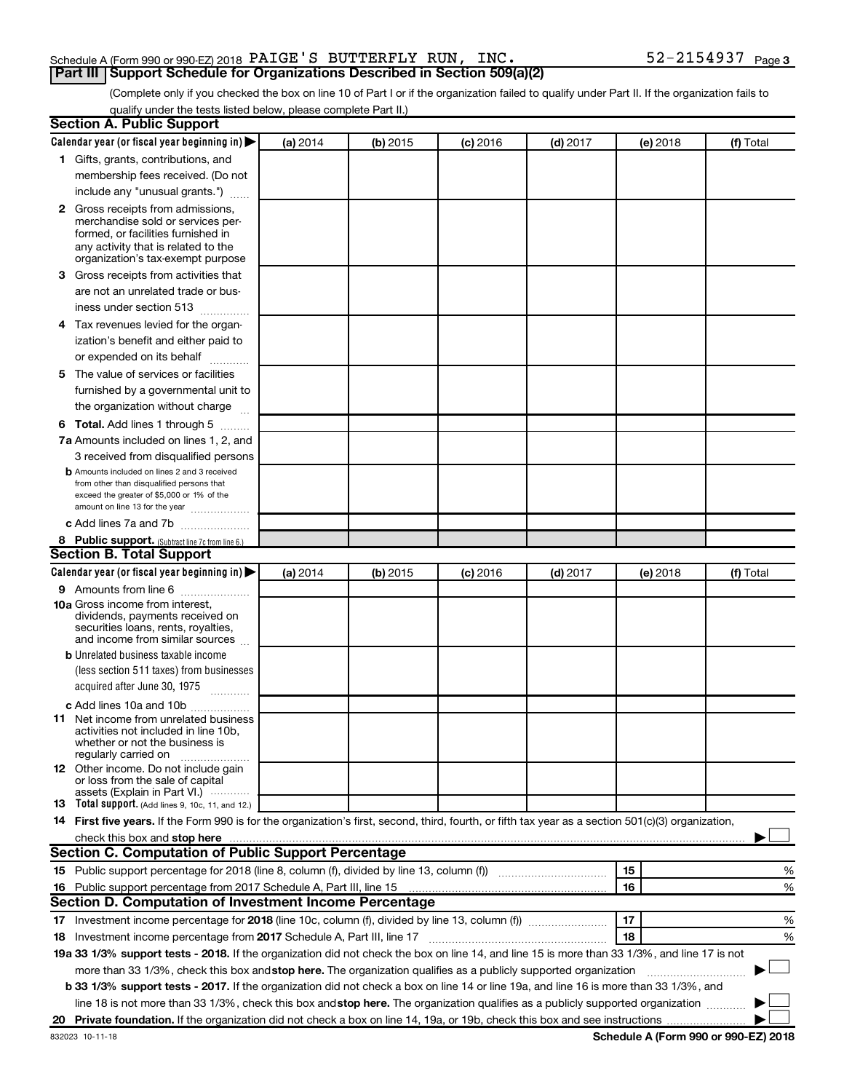### Schedule A (Form 990 or 990-EZ) 2018  $\rm PAIGE$  'S BUTTERFLY RUN, INC.  $\rm 52\text{--}2154937$   $\rm Page$ **Part III Support Schedule for Organizations Described in Section 509(a)(2)**

(Complete only if you checked the box on line 10 of Part I or if the organization failed to qualify under Part II. If the organization fails to qualify under the tests listed below, please complete Part II.)

| <b>Section A. Public Support</b>                                                                                                                                                                                               |          |          |            |            |          |           |
|--------------------------------------------------------------------------------------------------------------------------------------------------------------------------------------------------------------------------------|----------|----------|------------|------------|----------|-----------|
| Calendar year (or fiscal year beginning in)                                                                                                                                                                                    | (a) 2014 | (b) 2015 | $(c)$ 2016 | $(d)$ 2017 | (e) 2018 | (f) Total |
| 1 Gifts, grants, contributions, and                                                                                                                                                                                            |          |          |            |            |          |           |
| membership fees received. (Do not                                                                                                                                                                                              |          |          |            |            |          |           |
| include any "unusual grants.")                                                                                                                                                                                                 |          |          |            |            |          |           |
| 2 Gross receipts from admissions,                                                                                                                                                                                              |          |          |            |            |          |           |
| merchandise sold or services per-                                                                                                                                                                                              |          |          |            |            |          |           |
| formed, or facilities furnished in                                                                                                                                                                                             |          |          |            |            |          |           |
| any activity that is related to the<br>organization's tax-exempt purpose                                                                                                                                                       |          |          |            |            |          |           |
| 3 Gross receipts from activities that                                                                                                                                                                                          |          |          |            |            |          |           |
| are not an unrelated trade or bus-                                                                                                                                                                                             |          |          |            |            |          |           |
|                                                                                                                                                                                                                                |          |          |            |            |          |           |
| iness under section 513                                                                                                                                                                                                        |          |          |            |            |          |           |
| 4 Tax revenues levied for the organ-                                                                                                                                                                                           |          |          |            |            |          |           |
| ization's benefit and either paid to                                                                                                                                                                                           |          |          |            |            |          |           |
| or expended on its behalf                                                                                                                                                                                                      |          |          |            |            |          |           |
| 5 The value of services or facilities                                                                                                                                                                                          |          |          |            |            |          |           |
| furnished by a governmental unit to                                                                                                                                                                                            |          |          |            |            |          |           |
| the organization without charge                                                                                                                                                                                                |          |          |            |            |          |           |
| <b>6 Total.</b> Add lines 1 through 5                                                                                                                                                                                          |          |          |            |            |          |           |
| 7a Amounts included on lines 1, 2, and                                                                                                                                                                                         |          |          |            |            |          |           |
| 3 received from disqualified persons                                                                                                                                                                                           |          |          |            |            |          |           |
| <b>b</b> Amounts included on lines 2 and 3 received                                                                                                                                                                            |          |          |            |            |          |           |
| from other than disqualified persons that<br>exceed the greater of \$5,000 or 1% of the                                                                                                                                        |          |          |            |            |          |           |
| amount on line 13 for the year                                                                                                                                                                                                 |          |          |            |            |          |           |
| c Add lines 7a and 7b                                                                                                                                                                                                          |          |          |            |            |          |           |
| 8 Public support. (Subtract line 7c from line 6.)                                                                                                                                                                              |          |          |            |            |          |           |
| <b>Section B. Total Support</b>                                                                                                                                                                                                |          |          |            |            |          |           |
| Calendar year (or fiscal year beginning in)                                                                                                                                                                                    | (a) 2014 | (b) 2015 | (c) 2016   | $(d)$ 2017 | (e) 2018 | (f) Total |
| <b>9</b> Amounts from line 6                                                                                                                                                                                                   |          |          |            |            |          |           |
| <b>10a</b> Gross income from interest,                                                                                                                                                                                         |          |          |            |            |          |           |
| dividends, payments received on                                                                                                                                                                                                |          |          |            |            |          |           |
| securities loans, rents, royalties,<br>and income from similar sources                                                                                                                                                         |          |          |            |            |          |           |
| <b>b</b> Unrelated business taxable income                                                                                                                                                                                     |          |          |            |            |          |           |
| (less section 511 taxes) from businesses                                                                                                                                                                                       |          |          |            |            |          |           |
| acquired after June 30, 1975<br>$\frac{1}{2}$                                                                                                                                                                                  |          |          |            |            |          |           |
| c Add lines 10a and 10b                                                                                                                                                                                                        |          |          |            |            |          |           |
| 11 Net income from unrelated business                                                                                                                                                                                          |          |          |            |            |          |           |
| activities not included in line 10b.                                                                                                                                                                                           |          |          |            |            |          |           |
| whether or not the business is                                                                                                                                                                                                 |          |          |            |            |          |           |
| regularly carried on<br><b>12</b> Other income. Do not include gain                                                                                                                                                            |          |          |            |            |          |           |
| or loss from the sale of capital                                                                                                                                                                                               |          |          |            |            |          |           |
| assets (Explain in Part VI.)                                                                                                                                                                                                   |          |          |            |            |          |           |
| <b>13</b> Total support. (Add lines 9, 10c, 11, and 12.)                                                                                                                                                                       |          |          |            |            |          |           |
| 14 First five years. If the Form 990 is for the organization's first, second, third, fourth, or fifth tax year as a section 501(c)(3) organization,                                                                            |          |          |            |            |          |           |
| check this box and stop here measurements are all the state of the state of the state of the state of the state of the state of the state of the state of the state of the state of the state of the state of the state of the |          |          |            |            |          |           |
| Section C. Computation of Public Support Percentage                                                                                                                                                                            |          |          |            |            |          |           |
| 15 Public support percentage for 2018 (line 8, column (f), divided by line 13, column (f) <i>manumeronomine</i>                                                                                                                |          |          |            |            | 15       | %         |
| 16 Public support percentage from 2017 Schedule A, Part III, line 15                                                                                                                                                           |          |          |            |            | 16       | %         |
| Section D. Computation of Investment Income Percentage                                                                                                                                                                         |          |          |            |            |          |           |
| 17 Investment income percentage for 2018 (line 10c, column (f), divided by line 13, column (f))                                                                                                                                |          |          |            |            | 17       | %         |
| 18 Investment income percentage from 2017 Schedule A, Part III, line 17                                                                                                                                                        |          |          |            |            | 18       | %         |
| 19a 33 1/3% support tests - 2018. If the organization did not check the box on line 14, and line 15 is more than 33 1/3%, and line 17 is not                                                                                   |          |          |            |            |          |           |
| more than 33 1/3%, check this box and stop here. The organization qualifies as a publicly supported organization                                                                                                               |          |          |            |            |          |           |
| b 33 1/3% support tests - 2017. If the organization did not check a box on line 14 or line 19a, and line 16 is more than 33 1/3%, and                                                                                          |          |          |            |            |          |           |
| line 18 is not more than 33 1/3%, check this box and stop here. The organization qualifies as a publicly supported organization                                                                                                |          |          |            |            |          |           |
|                                                                                                                                                                                                                                |          |          |            |            |          |           |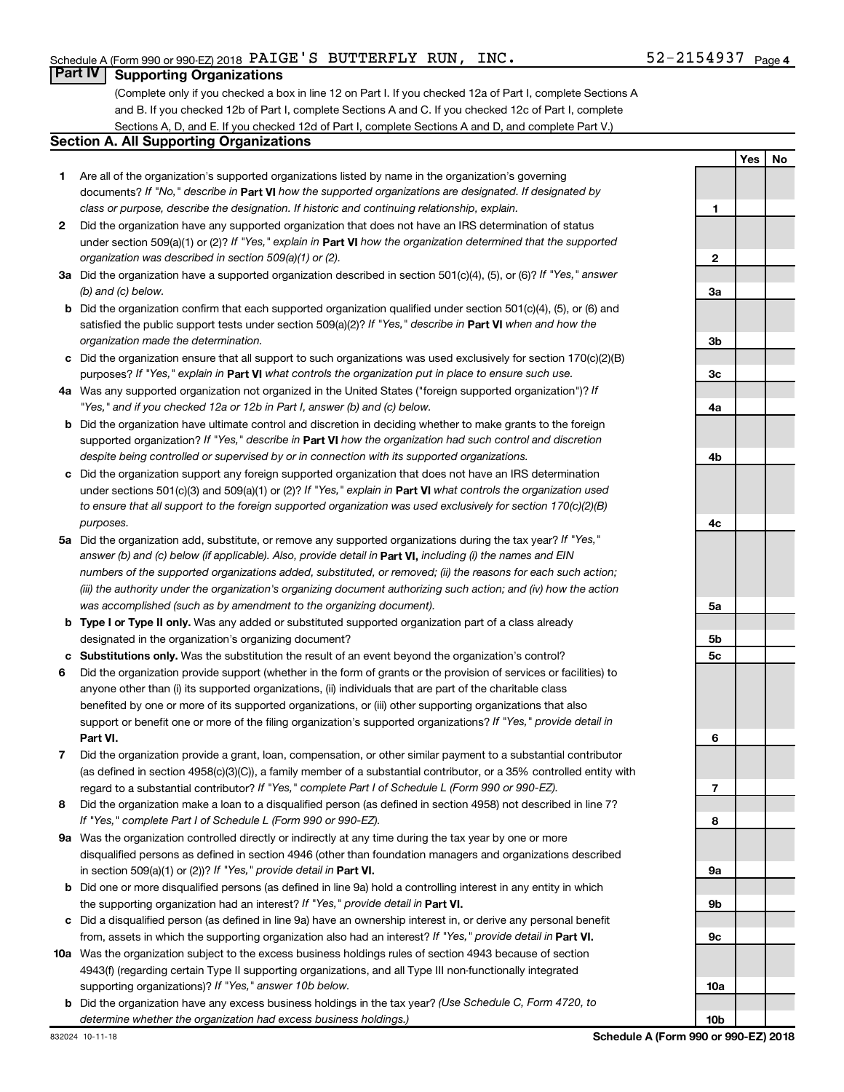### **Part IV Supporting Organizations**

(Complete only if you checked a box in line 12 on Part I. If you checked 12a of Part I, complete Sections A and B. If you checked 12b of Part I, complete Sections A and C. If you checked 12c of Part I, complete Sections A, D, and E. If you checked 12d of Part I, complete Sections A and D, and complete Part V.)

### **Section A. All Supporting Organizations**

- **1** Are all of the organization's supported organizations listed by name in the organization's governing documents? If "No," describe in Part VI how the supported organizations are designated. If designated by *class or purpose, describe the designation. If historic and continuing relationship, explain.*
- **2** Did the organization have any supported organization that does not have an IRS determination of status under section 509(a)(1) or (2)? If "Yes," explain in Part **VI** how the organization determined that the supported *organization was described in section 509(a)(1) or (2).*
- **3a** Did the organization have a supported organization described in section 501(c)(4), (5), or (6)? If "Yes," answer *(b) and (c) below.*
- **b** Did the organization confirm that each supported organization qualified under section 501(c)(4), (5), or (6) and satisfied the public support tests under section 509(a)(2)? If "Yes," describe in Part VI when and how the *organization made the determination.*
- **c** Did the organization ensure that all support to such organizations was used exclusively for section 170(c)(2)(B) purposes? If "Yes," explain in Part VI what controls the organization put in place to ensure such use.
- **4 a** *If* Was any supported organization not organized in the United States ("foreign supported organization")? *"Yes," and if you checked 12a or 12b in Part I, answer (b) and (c) below.*
- **b** Did the organization have ultimate control and discretion in deciding whether to make grants to the foreign supported organization? If "Yes," describe in Part VI how the organization had such control and discretion *despite being controlled or supervised by or in connection with its supported organizations.*
- **c** Did the organization support any foreign supported organization that does not have an IRS determination under sections 501(c)(3) and 509(a)(1) or (2)? If "Yes," explain in Part VI what controls the organization used *to ensure that all support to the foreign supported organization was used exclusively for section 170(c)(2)(B) purposes.*
- **5a** Did the organization add, substitute, or remove any supported organizations during the tax year? If "Yes," answer (b) and (c) below (if applicable). Also, provide detail in **Part VI,** including (i) the names and EIN *numbers of the supported organizations added, substituted, or removed; (ii) the reasons for each such action; (iii) the authority under the organization's organizing document authorizing such action; and (iv) how the action was accomplished (such as by amendment to the organizing document).*
- **b Type I or Type II only.** Was any added or substituted supported organization part of a class already designated in the organization's organizing document?
- **c Substitutions only.**  Was the substitution the result of an event beyond the organization's control?
- **6** Did the organization provide support (whether in the form of grants or the provision of services or facilities) to **Part VI.** support or benefit one or more of the filing organization's supported organizations? If "Yes," provide detail in anyone other than (i) its supported organizations, (ii) individuals that are part of the charitable class benefited by one or more of its supported organizations, or (iii) other supporting organizations that also
- **7** Did the organization provide a grant, loan, compensation, or other similar payment to a substantial contributor regard to a substantial contributor? If "Yes," complete Part I of Schedule L (Form 990 or 990-EZ). (as defined in section 4958(c)(3)(C)), a family member of a substantial contributor, or a 35% controlled entity with
- **8** Did the organization make a loan to a disqualified person (as defined in section 4958) not described in line 7? *If "Yes," complete Part I of Schedule L (Form 990 or 990-EZ).*
- **9 a** Was the organization controlled directly or indirectly at any time during the tax year by one or more in section 509(a)(1) or (2))? If "Yes," provide detail in **Part VI.** disqualified persons as defined in section 4946 (other than foundation managers and organizations described
- **b** Did one or more disqualified persons (as defined in line 9a) hold a controlling interest in any entity in which the supporting organization had an interest? If "Yes," provide detail in Part VI.
- **c** Did a disqualified person (as defined in line 9a) have an ownership interest in, or derive any personal benefit from, assets in which the supporting organization also had an interest? If "Yes," provide detail in Part VI.
- **10 a** Was the organization subject to the excess business holdings rules of section 4943 because of section supporting organizations)? If "Yes," answer 10b below. 4943(f) (regarding certain Type II supporting organizations, and all Type III non-functionally integrated
	- **b** Did the organization have any excess business holdings in the tax year? (Use Schedule C, Form 4720, to *determine whether the organization had excess business holdings.)*

**Yes No 1 2 3a 3b 3c 4a 4b 4c 5a 5b 5c 6 7 8 9a 9b 9c 10a 10b**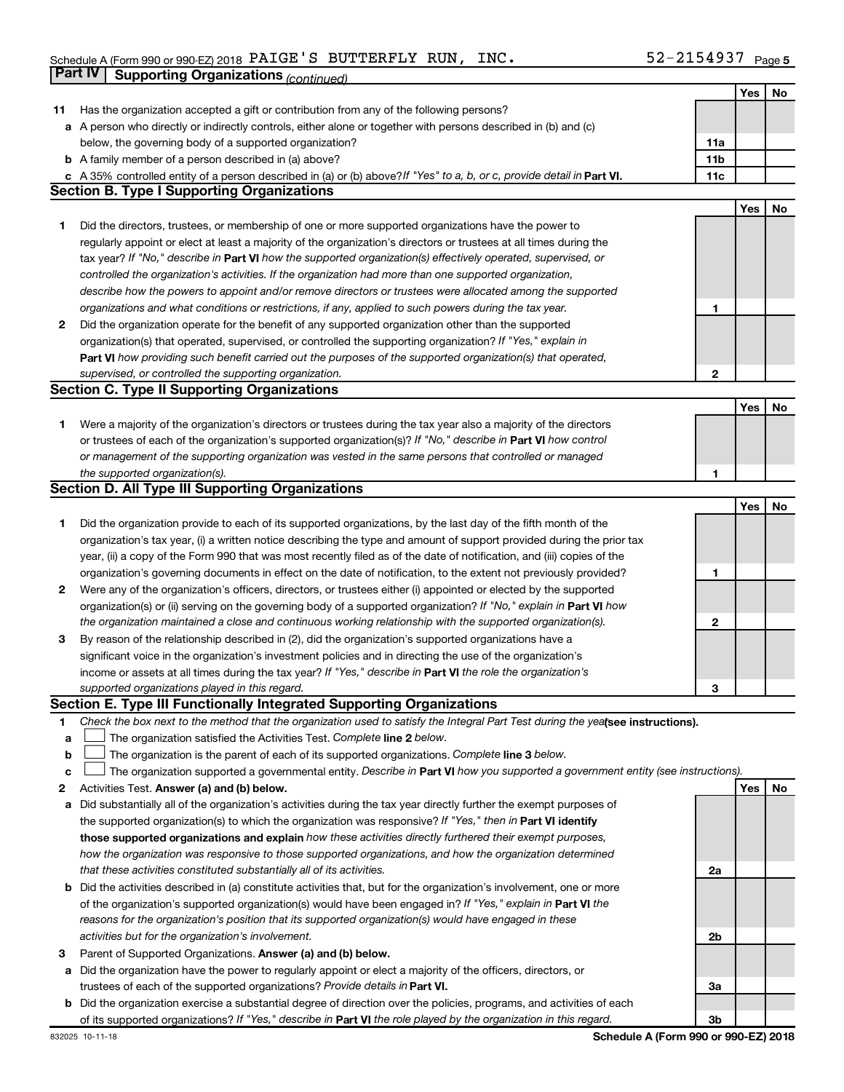### Schedule A (Form 990 or 990-EZ) 2018 PAIGE S BUTTERFLY RUN, INC .  $52 - 2154937$  Page PAIGE'S BUTTERFLY RUN, INC. 52-2154937

|    | Part IV<br><b>Supporting Organizations (continued)</b>                                                                                                                                                                            |                 |     |    |
|----|-----------------------------------------------------------------------------------------------------------------------------------------------------------------------------------------------------------------------------------|-----------------|-----|----|
|    |                                                                                                                                                                                                                                   |                 | Yes | No |
| 11 | Has the organization accepted a gift or contribution from any of the following persons?                                                                                                                                           |                 |     |    |
|    | a A person who directly or indirectly controls, either alone or together with persons described in (b) and (c)                                                                                                                    |                 |     |    |
|    | below, the governing body of a supported organization?                                                                                                                                                                            | 11a             |     |    |
|    | <b>b</b> A family member of a person described in (a) above?                                                                                                                                                                      | 11 <sub>b</sub> |     |    |
|    | c A 35% controlled entity of a person described in (a) or (b) above? If "Yes" to a, b, or c, provide detail in Part VI.                                                                                                           | 11c             |     |    |
|    | <b>Section B. Type I Supporting Organizations</b>                                                                                                                                                                                 |                 |     |    |
|    |                                                                                                                                                                                                                                   |                 | Yes | No |
| 1  | Did the directors, trustees, or membership of one or more supported organizations have the power to                                                                                                                               |                 |     |    |
|    | regularly appoint or elect at least a majority of the organization's directors or trustees at all times during the                                                                                                                |                 |     |    |
|    | tax year? If "No," describe in Part VI how the supported organization(s) effectively operated, supervised, or                                                                                                                     |                 |     |    |
|    | controlled the organization's activities. If the organization had more than one supported organization,                                                                                                                           |                 |     |    |
|    | describe how the powers to appoint and/or remove directors or trustees were allocated among the supported                                                                                                                         |                 |     |    |
|    | organizations and what conditions or restrictions, if any, applied to such powers during the tax year.                                                                                                                            | 1               |     |    |
| 2  | Did the organization operate for the benefit of any supported organization other than the supported                                                                                                                               |                 |     |    |
|    | organization(s) that operated, supervised, or controlled the supporting organization? If "Yes," explain in                                                                                                                        |                 |     |    |
|    | Part VI how providing such benefit carried out the purposes of the supported organization(s) that operated,                                                                                                                       |                 |     |    |
|    | supervised, or controlled the supporting organization.                                                                                                                                                                            | $\mathbf{2}$    |     |    |
|    | <b>Section C. Type II Supporting Organizations</b>                                                                                                                                                                                |                 |     |    |
|    |                                                                                                                                                                                                                                   |                 | Yes | No |
|    |                                                                                                                                                                                                                                   |                 |     |    |
| 1. | Were a majority of the organization's directors or trustees during the tax year also a majority of the directors<br>or trustees of each of the organization's supported organization(s)? If "No," describe in Part VI how control |                 |     |    |
|    |                                                                                                                                                                                                                                   |                 |     |    |
|    | or management of the supporting organization was vested in the same persons that controlled or managed                                                                                                                            |                 |     |    |
|    | the supported organization(s).<br><b>Section D. All Type III Supporting Organizations</b>                                                                                                                                         | 1               |     |    |
|    |                                                                                                                                                                                                                                   |                 |     |    |
|    |                                                                                                                                                                                                                                   |                 | Yes | No |
| 1  | Did the organization provide to each of its supported organizations, by the last day of the fifth month of the                                                                                                                    |                 |     |    |
|    | organization's tax year, (i) a written notice describing the type and amount of support provided during the prior tax                                                                                                             |                 |     |    |
|    | year, (ii) a copy of the Form 990 that was most recently filed as of the date of notification, and (iii) copies of the                                                                                                            |                 |     |    |
|    | organization's governing documents in effect on the date of notification, to the extent not previously provided?                                                                                                                  | 1               |     |    |
| 2  | Were any of the organization's officers, directors, or trustees either (i) appointed or elected by the supported                                                                                                                  |                 |     |    |
|    | organization(s) or (ii) serving on the governing body of a supported organization? If "No," explain in Part VI how                                                                                                                |                 |     |    |
|    | the organization maintained a close and continuous working relationship with the supported organization(s).                                                                                                                       | 2               |     |    |
| 3  | By reason of the relationship described in (2), did the organization's supported organizations have a                                                                                                                             |                 |     |    |
|    | significant voice in the organization's investment policies and in directing the use of the organization's                                                                                                                        |                 |     |    |
|    | income or assets at all times during the tax year? If "Yes," describe in Part VI the role the organization's                                                                                                                      |                 |     |    |
|    | supported organizations played in this regard.                                                                                                                                                                                    | З               |     |    |
|    | Section E. Type III Functionally Integrated Supporting Organizations                                                                                                                                                              |                 |     |    |
| 1  | Check the box next to the method that the organization used to satisfy the Integral Part Test during the yealsee instructions).                                                                                                   |                 |     |    |
| а  | The organization satisfied the Activities Test. Complete line 2 below.                                                                                                                                                            |                 |     |    |
| b  | The organization is the parent of each of its supported organizations. Complete line 3 below.                                                                                                                                     |                 |     |    |
| с  | The organization supported a governmental entity. Describe in Part VI how you supported a government entity (see instructions).                                                                                                   |                 |     |    |
| 2  | Activities Test. Answer (a) and (b) below.                                                                                                                                                                                        |                 | Yes | No |
| а  | Did substantially all of the organization's activities during the tax year directly further the exempt purposes of                                                                                                                |                 |     |    |
|    | the supported organization(s) to which the organization was responsive? If "Yes," then in Part VI identify                                                                                                                        |                 |     |    |
|    | those supported organizations and explain how these activities directly furthered their exempt purposes,                                                                                                                          |                 |     |    |
|    | how the organization was responsive to those supported organizations, and how the organization determined                                                                                                                         |                 |     |    |
|    | that these activities constituted substantially all of its activities.                                                                                                                                                            | 2a              |     |    |
| b  | Did the activities described in (a) constitute activities that, but for the organization's involvement, one or more                                                                                                               |                 |     |    |
|    | of the organization's supported organization(s) would have been engaged in? If "Yes," explain in Part VI the                                                                                                                      |                 |     |    |
|    | reasons for the organization's position that its supported organization(s) would have engaged in these                                                                                                                            |                 |     |    |
|    | activities but for the organization's involvement.                                                                                                                                                                                | 2b              |     |    |
| 3  | Parent of Supported Organizations. Answer (a) and (b) below.                                                                                                                                                                      |                 |     |    |
| а  | Did the organization have the power to regularly appoint or elect a majority of the officers, directors, or                                                                                                                       |                 |     |    |
|    | trustees of each of the supported organizations? Provide details in Part VI.                                                                                                                                                      | За              |     |    |
| b  | Did the organization exercise a substantial degree of direction over the policies, programs, and activities of each                                                                                                               |                 |     |    |
|    | of its supported organizations? If "Yes," describe in Part VI the role played by the organization in this regard.                                                                                                                 | 3b              |     |    |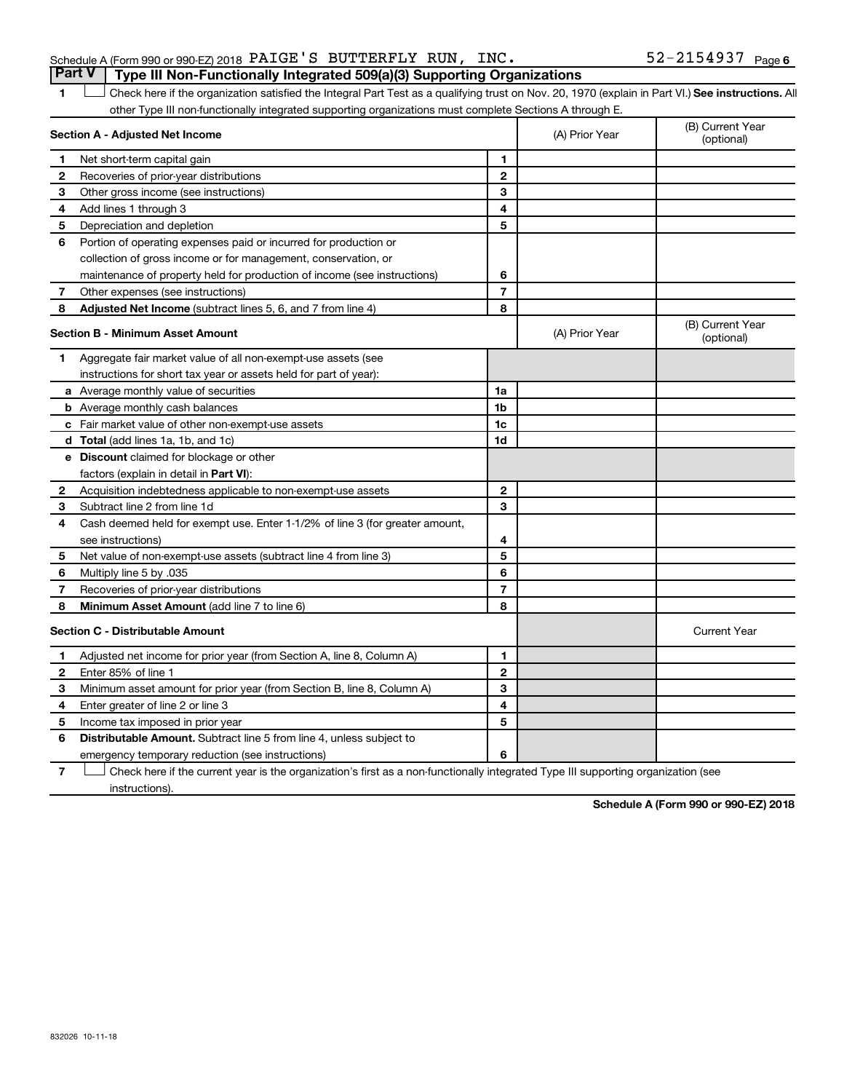| Part V   Type III Non-Functionally Integrated 509(a)(3) Supporting Organizations |  |  |                       |  |
|----------------------------------------------------------------------------------|--|--|-----------------------|--|
| Schedule A (Form 990 or 990 EZ) 2018 $\verb PAIGE'S $ BUTTERFLY RUN, INC.        |  |  | $52 - 2154937$ Page 6 |  |

1 **Letter See instructions.** All Check here if the organization satisfied the Integral Part Test as a qualifying trust on Nov. 20, 1970 (explain in Part VI.) See instructions. All other Type III non-functionally integrated supporting organizations must complete Sections A through E.

|              | Section A - Adjusted Net Income                                              | (A) Prior Year | (B) Current Year<br>(optional) |                                |
|--------------|------------------------------------------------------------------------------|----------------|--------------------------------|--------------------------------|
| 1            | Net short-term capital gain                                                  | 1              |                                |                                |
| 2            | Recoveries of prior-year distributions                                       | $\mathbf{2}$   |                                |                                |
| З            | Other gross income (see instructions)                                        | 3              |                                |                                |
| 4            | Add lines 1 through 3                                                        | 4              |                                |                                |
| 5            | Depreciation and depletion                                                   | 5              |                                |                                |
| 6            | Portion of operating expenses paid or incurred for production or             |                |                                |                                |
|              | collection of gross income or for management, conservation, or               |                |                                |                                |
|              | maintenance of property held for production of income (see instructions)     | 6              |                                |                                |
| 7            | Other expenses (see instructions)                                            | $\overline{7}$ |                                |                                |
| 8            | Adjusted Net Income (subtract lines 5, 6, and 7 from line 4)                 | 8              |                                |                                |
|              | <b>Section B - Minimum Asset Amount</b>                                      |                | (A) Prior Year                 | (B) Current Year<br>(optional) |
| 1            | Aggregate fair market value of all non-exempt-use assets (see                |                |                                |                                |
|              | instructions for short tax year or assets held for part of year):            |                |                                |                                |
|              | <b>a</b> Average monthly value of securities                                 | 1a             |                                |                                |
|              | <b>b</b> Average monthly cash balances                                       | 1 <sub>b</sub> |                                |                                |
|              | c Fair market value of other non-exempt-use assets                           | 1c             |                                |                                |
|              | <b>d</b> Total (add lines 1a, 1b, and 1c)                                    | 1d             |                                |                                |
|              | e Discount claimed for blockage or other                                     |                |                                |                                |
|              | factors (explain in detail in Part VI):                                      |                |                                |                                |
| 2            | Acquisition indebtedness applicable to non-exempt-use assets                 | $\mathbf{2}$   |                                |                                |
| 3            | Subtract line 2 from line 1d                                                 | 3              |                                |                                |
| 4            | Cash deemed held for exempt use. Enter 1-1/2% of line 3 (for greater amount, |                |                                |                                |
|              | see instructions)                                                            | 4              |                                |                                |
| 5            | Net value of non-exempt-use assets (subtract line 4 from line 3)             | 5              |                                |                                |
| 6            | Multiply line 5 by .035                                                      | 6              |                                |                                |
| 7            | Recoveries of prior-year distributions                                       | 7              |                                |                                |
| 8            | Minimum Asset Amount (add line 7 to line 6)                                  | 8              |                                |                                |
|              | <b>Section C - Distributable Amount</b>                                      |                |                                | <b>Current Year</b>            |
| -1           | Adjusted net income for prior year (from Section A, line 8, Column A)        | 1              |                                |                                |
| $\mathbf{2}$ | Enter 85% of line 1                                                          | $\mathbf{2}$   |                                |                                |
| З            | Minimum asset amount for prior year (from Section B, line 8, Column A)       | 3              |                                |                                |
| 4            | Enter greater of line 2 or line 3                                            | 4              |                                |                                |
| 5            | Income tax imposed in prior year                                             | 5              |                                |                                |
| 6            | <b>Distributable Amount.</b> Subtract line 5 from line 4, unless subject to  |                |                                |                                |
|              | emergency temporary reduction (see instructions)                             | 6              |                                |                                |

**7** Check here if the current year is the organization's first as a non-functionally integrated Type III supporting organization (see † instructions).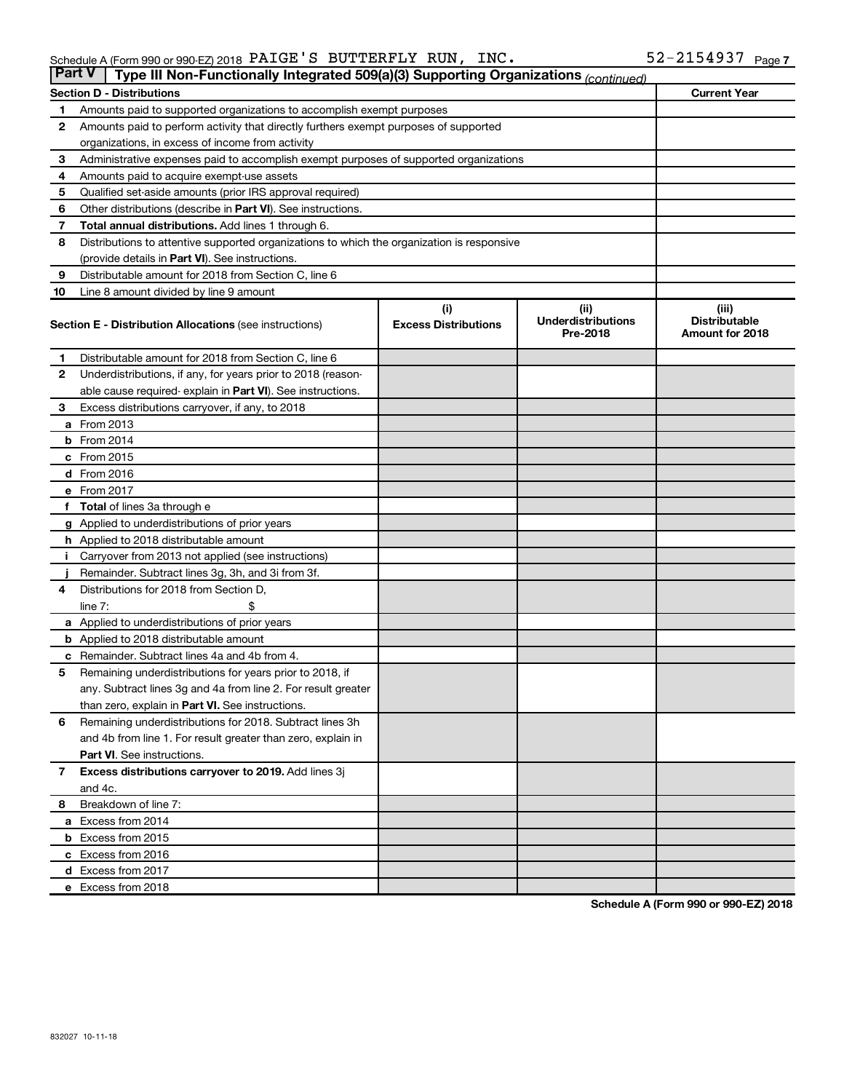| <b>Part V</b> | Type III Non-Functionally Integrated 509(a)(3) Supporting Organizations (continued)        |                             |                                       |                                         |  |  |  |  |
|---------------|--------------------------------------------------------------------------------------------|-----------------------------|---------------------------------------|-----------------------------------------|--|--|--|--|
|               | <b>Section D - Distributions</b>                                                           |                             |                                       | <b>Current Year</b>                     |  |  |  |  |
| 1             | Amounts paid to supported organizations to accomplish exempt purposes                      |                             |                                       |                                         |  |  |  |  |
| $\mathbf{2}$  | Amounts paid to perform activity that directly furthers exempt purposes of supported       |                             |                                       |                                         |  |  |  |  |
|               | organizations, in excess of income from activity                                           |                             |                                       |                                         |  |  |  |  |
| 3             | Administrative expenses paid to accomplish exempt purposes of supported organizations      |                             |                                       |                                         |  |  |  |  |
| 4             | Amounts paid to acquire exempt-use assets                                                  |                             |                                       |                                         |  |  |  |  |
| 5             | Qualified set-aside amounts (prior IRS approval required)                                  |                             |                                       |                                         |  |  |  |  |
| 6             | Other distributions (describe in <b>Part VI</b> ). See instructions.                       |                             |                                       |                                         |  |  |  |  |
| 7             | Total annual distributions. Add lines 1 through 6.                                         |                             |                                       |                                         |  |  |  |  |
| 8             | Distributions to attentive supported organizations to which the organization is responsive |                             |                                       |                                         |  |  |  |  |
|               | (provide details in Part VI). See instructions.                                            |                             |                                       |                                         |  |  |  |  |
| 9             | Distributable amount for 2018 from Section C, line 6                                       |                             |                                       |                                         |  |  |  |  |
| 10            | Line 8 amount divided by line 9 amount                                                     |                             |                                       |                                         |  |  |  |  |
|               |                                                                                            | (i)                         | (ii)                                  | (iii)                                   |  |  |  |  |
|               | <b>Section E - Distribution Allocations (see instructions)</b>                             | <b>Excess Distributions</b> | <b>Underdistributions</b><br>Pre-2018 | <b>Distributable</b><br>Amount for 2018 |  |  |  |  |
| 1             | Distributable amount for 2018 from Section C, line 6                                       |                             |                                       |                                         |  |  |  |  |
| $\mathbf{2}$  | Underdistributions, if any, for years prior to 2018 (reason-                               |                             |                                       |                                         |  |  |  |  |
|               | able cause required-explain in Part VI). See instructions.                                 |                             |                                       |                                         |  |  |  |  |
| 3             | Excess distributions carryover, if any, to 2018                                            |                             |                                       |                                         |  |  |  |  |
|               | <b>a</b> From 2013                                                                         |                             |                                       |                                         |  |  |  |  |
|               | $b$ From 2014                                                                              |                             |                                       |                                         |  |  |  |  |
|               | c From 2015                                                                                |                             |                                       |                                         |  |  |  |  |
|               | d From 2016                                                                                |                             |                                       |                                         |  |  |  |  |
|               | e From 2017                                                                                |                             |                                       |                                         |  |  |  |  |
|               | f Total of lines 3a through e                                                              |                             |                                       |                                         |  |  |  |  |
|               | g Applied to underdistributions of prior years                                             |                             |                                       |                                         |  |  |  |  |
|               | h Applied to 2018 distributable amount                                                     |                             |                                       |                                         |  |  |  |  |
| Ť.            | Carryover from 2013 not applied (see instructions)                                         |                             |                                       |                                         |  |  |  |  |
|               | Remainder. Subtract lines 3g, 3h, and 3i from 3f.                                          |                             |                                       |                                         |  |  |  |  |
| 4             | Distributions for 2018 from Section D,                                                     |                             |                                       |                                         |  |  |  |  |
|               | line $7:$                                                                                  |                             |                                       |                                         |  |  |  |  |
|               | a Applied to underdistributions of prior years                                             |                             |                                       |                                         |  |  |  |  |
|               | <b>b</b> Applied to 2018 distributable amount                                              |                             |                                       |                                         |  |  |  |  |
| с             | Remainder. Subtract lines 4a and 4b from 4.                                                |                             |                                       |                                         |  |  |  |  |
| 5             | Remaining underdistributions for years prior to 2018, if                                   |                             |                                       |                                         |  |  |  |  |
|               | any. Subtract lines 3g and 4a from line 2. For result greater                              |                             |                                       |                                         |  |  |  |  |
|               | than zero, explain in Part VI. See instructions.                                           |                             |                                       |                                         |  |  |  |  |
| 6             | Remaining underdistributions for 2018. Subtract lines 3h                                   |                             |                                       |                                         |  |  |  |  |
|               | and 4b from line 1. For result greater than zero, explain in                               |                             |                                       |                                         |  |  |  |  |
|               | <b>Part VI.</b> See instructions.                                                          |                             |                                       |                                         |  |  |  |  |
| $\mathbf{7}$  | Excess distributions carryover to 2019. Add lines 3j                                       |                             |                                       |                                         |  |  |  |  |
|               | and 4c.                                                                                    |                             |                                       |                                         |  |  |  |  |
| 8             | Breakdown of line 7:                                                                       |                             |                                       |                                         |  |  |  |  |
|               | a Excess from 2014                                                                         |                             |                                       |                                         |  |  |  |  |
|               | <b>b</b> Excess from 2015                                                                  |                             |                                       |                                         |  |  |  |  |
|               | c Excess from 2016                                                                         |                             |                                       |                                         |  |  |  |  |
|               | d Excess from 2017                                                                         |                             |                                       |                                         |  |  |  |  |
|               | e Excess from 2018                                                                         |                             |                                       |                                         |  |  |  |  |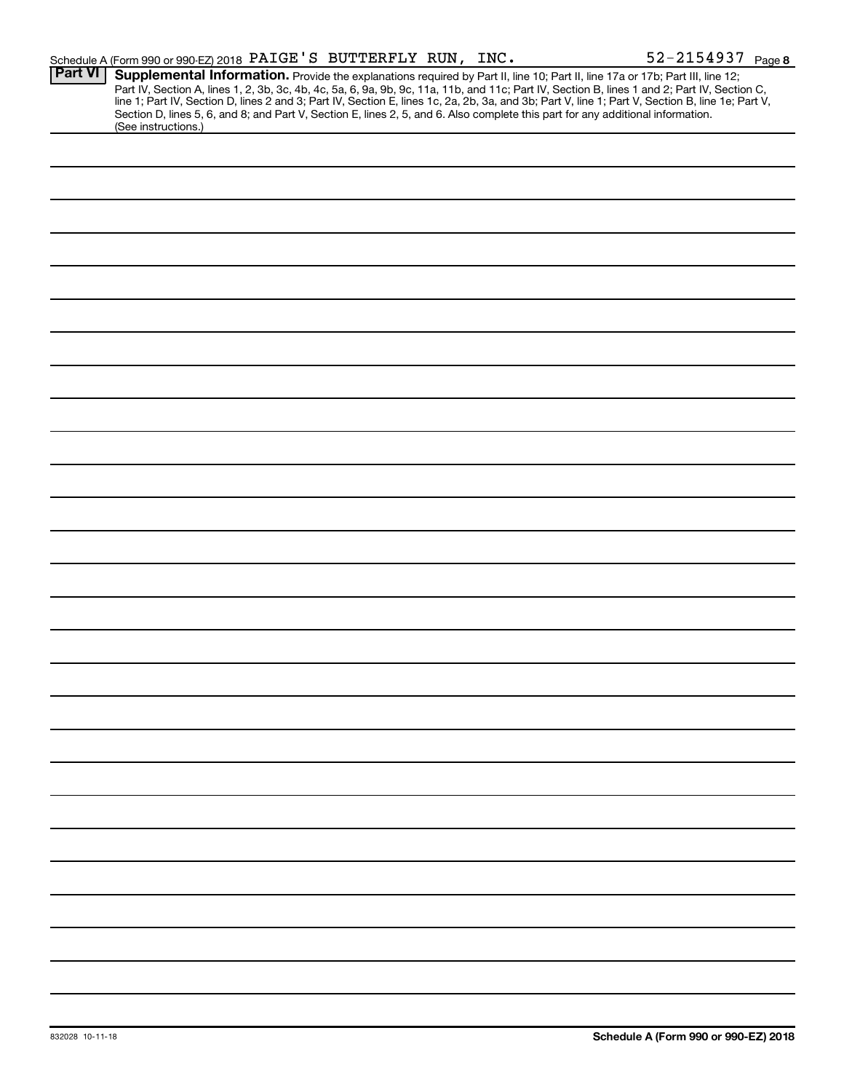|                | Schedule A (Form 990 or 990-EZ) 2018 PAIGE'S BUTTERFLY RUN, INC.                                                                                                                                                                                                                                                                                                                                                                                                                                                            | 52-2154937 Page 8 |
|----------------|-----------------------------------------------------------------------------------------------------------------------------------------------------------------------------------------------------------------------------------------------------------------------------------------------------------------------------------------------------------------------------------------------------------------------------------------------------------------------------------------------------------------------------|-------------------|
| <b>Part VI</b> | Supplemental Information. Provide the explanations required by Part II, line 10; Part II, line 17a or 17b; Part III, line 12;<br>Part IV, Section A, lines 1, 2, 3b, 3c, 4b, 4c, 5a, 6, 9a, 9b, 9c, 11a, 11b, and 11c, Part IV, Section B, lines 1 and 2; Part IV, Section C,<br>line 1; Part IV, Section D, lines 2 and 3; Part IV, Section E, lines 1c, 2a, 2b,<br>Section D, lines 5, 6, and 8; and Part V, Section E, lines 2, 5, and 6. Also complete this part for any additional information.<br>(See instructions.) |                   |
|                |                                                                                                                                                                                                                                                                                                                                                                                                                                                                                                                             |                   |
|                |                                                                                                                                                                                                                                                                                                                                                                                                                                                                                                                             |                   |
|                |                                                                                                                                                                                                                                                                                                                                                                                                                                                                                                                             |                   |
|                |                                                                                                                                                                                                                                                                                                                                                                                                                                                                                                                             |                   |
|                |                                                                                                                                                                                                                                                                                                                                                                                                                                                                                                                             |                   |
|                |                                                                                                                                                                                                                                                                                                                                                                                                                                                                                                                             |                   |
|                |                                                                                                                                                                                                                                                                                                                                                                                                                                                                                                                             |                   |
|                |                                                                                                                                                                                                                                                                                                                                                                                                                                                                                                                             |                   |
|                |                                                                                                                                                                                                                                                                                                                                                                                                                                                                                                                             |                   |
|                |                                                                                                                                                                                                                                                                                                                                                                                                                                                                                                                             |                   |
|                |                                                                                                                                                                                                                                                                                                                                                                                                                                                                                                                             |                   |
|                |                                                                                                                                                                                                                                                                                                                                                                                                                                                                                                                             |                   |
|                |                                                                                                                                                                                                                                                                                                                                                                                                                                                                                                                             |                   |
|                |                                                                                                                                                                                                                                                                                                                                                                                                                                                                                                                             |                   |
|                |                                                                                                                                                                                                                                                                                                                                                                                                                                                                                                                             |                   |
|                |                                                                                                                                                                                                                                                                                                                                                                                                                                                                                                                             |                   |
|                |                                                                                                                                                                                                                                                                                                                                                                                                                                                                                                                             |                   |
|                |                                                                                                                                                                                                                                                                                                                                                                                                                                                                                                                             |                   |
|                |                                                                                                                                                                                                                                                                                                                                                                                                                                                                                                                             |                   |
|                |                                                                                                                                                                                                                                                                                                                                                                                                                                                                                                                             |                   |
|                |                                                                                                                                                                                                                                                                                                                                                                                                                                                                                                                             |                   |
|                |                                                                                                                                                                                                                                                                                                                                                                                                                                                                                                                             |                   |
|                |                                                                                                                                                                                                                                                                                                                                                                                                                                                                                                                             |                   |
|                |                                                                                                                                                                                                                                                                                                                                                                                                                                                                                                                             |                   |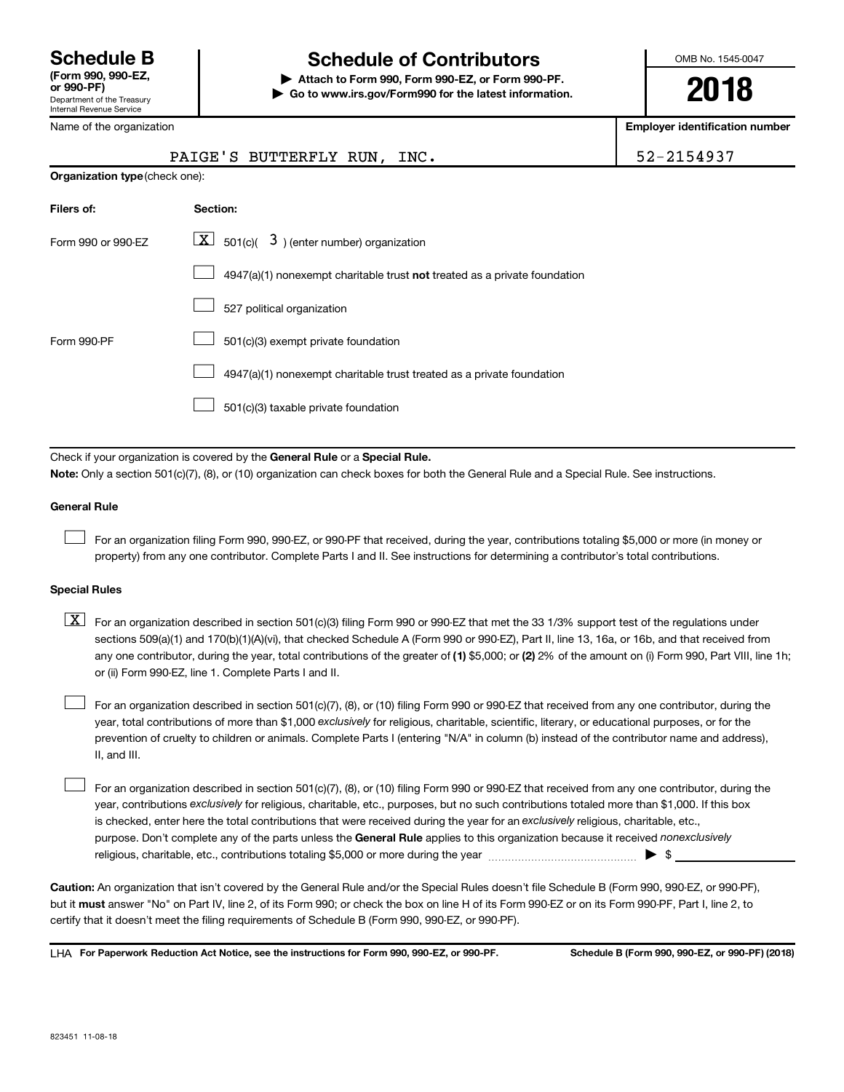## **Schedule B Schedule of Contributors**

**or 990-PF) | Attach to Form 990, Form 990-EZ, or Form 990-PF. | Go to www.irs.gov/Form990 for the latest information.** OMB No. 1545-0047

**2018**

**Employer identification number**

| Name of the organization       | <b>Employer identification numb</b>                                                                                                                                                                                                                                              |            |
|--------------------------------|----------------------------------------------------------------------------------------------------------------------------------------------------------------------------------------------------------------------------------------------------------------------------------|------------|
|                                | PAIGE'S BUTTERFLY RUN, INC.                                                                                                                                                                                                                                                      | 52-2154937 |
| Organization type (check one): |                                                                                                                                                                                                                                                                                  |            |
| Filers of:                     | Section:                                                                                                                                                                                                                                                                         |            |
| Form 990 or 990-EZ             | $\boxed{\textbf{X}}$ 501(c)( 3) (enter number) organization                                                                                                                                                                                                                      |            |
|                                | 4947(a)(1) nonexempt charitable trust not treated as a private foundation                                                                                                                                                                                                        |            |
|                                | 527 political organization                                                                                                                                                                                                                                                       |            |
| Form 990-PF                    | 501(c)(3) exempt private foundation                                                                                                                                                                                                                                              |            |
|                                | 4947(a)(1) nonexempt charitable trust treated as a private foundation                                                                                                                                                                                                            |            |
|                                | 501(c)(3) taxable private foundation                                                                                                                                                                                                                                             |            |
|                                | Check if your organization is covered by the General Rule or a Special Rule.                                                                                                                                                                                                     |            |
|                                | Note: Only a section 501(c)(7), (8), or (10) organization can check boxes for both the General Rule and a Special Rule. See instructions.                                                                                                                                        |            |
| <b>General Rule</b>            |                                                                                                                                                                                                                                                                                  |            |
|                                | For an organization filing Form 990, 990-EZ, or 990-PF that received, during the year, contributions totaling \$5,000 or more (in money or<br>property) from any one contributor. Complete Parts I and II. See instructions for determining a contributor's total contributions. |            |
|                                |                                                                                                                                                                                                                                                                                  |            |

### **Special Rules**

| $\boxed{\text{X}}$ For an organization described in section 501(c)(3) filing Form 990 or 990-EZ that met the 33 1/3% support test of the regulations under |
|------------------------------------------------------------------------------------------------------------------------------------------------------------|
| sections 509(a)(1) and 170(b)(1)(A)(vi), that checked Schedule A (Form 990 or 990-EZ), Part II, line 13, 16a, or 16b, and that received from               |
| any one contributor, during the year, total contributions of the greater of (1) \$5,000; or (2) 2% of the amount on (i) Form 990, Part VIII, line 1h;      |
| or (ii) Form 990-EZ, line 1. Complete Parts I and II.                                                                                                      |

year, total contributions of more than \$1,000 *exclusively* for religious, charitable, scientific, literary, or educational purposes, or for the For an organization described in section 501(c)(7), (8), or (10) filing Form 990 or 990-EZ that received from any one contributor, during the prevention of cruelty to children or animals. Complete Parts I (entering "N/A" in column (b) instead of the contributor name and address), II, and III.  $\Box$ 

purpose. Don't complete any of the parts unless the General Rule applies to this organization because it received nonexclusively year, contributions exclusively for religious, charitable, etc., purposes, but no such contributions totaled more than \$1,000. If this box is checked, enter here the total contributions that were received during the year for an exclusively religious, charitable, etc., For an organization described in section 501(c)(7), (8), or (10) filing Form 990 or 990-EZ that received from any one contributor, during the religious, charitable, etc., contributions totaling \$5,000 or more during the year  $~\ldots\ldots\ldots\ldots\ldots\ldots\ldots\ldots\ldots\blacktriangleright~$ \$  $\Box$ 

**Caution:**  An organization that isn't covered by the General Rule and/or the Special Rules doesn't file Schedule B (Form 990, 990-EZ, or 990-PF),  **must** but it answer "No" on Part IV, line 2, of its Form 990; or check the box on line H of its Form 990-EZ or on its Form 990-PF, Part I, line 2, to certify that it doesn't meet the filing requirements of Schedule B (Form 990, 990-EZ, or 990-PF).

**For Paperwork Reduction Act Notice, see the instructions for Form 990, 990-EZ, or 990-PF. Schedule B (Form 990, 990-EZ, or 990-PF) (2018)** LHA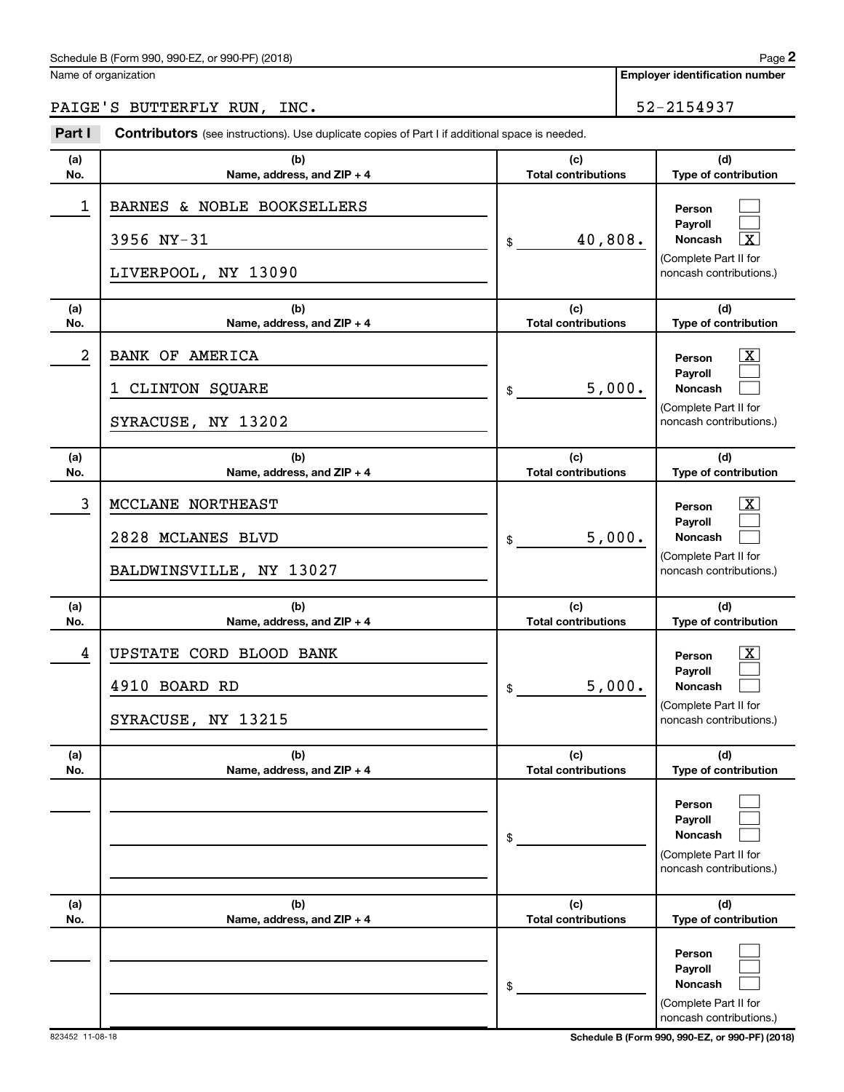### Schedule B (Form 990, 990-EZ, or 990-PF) (2018)

Name of organization

**Employer identification number 2**

## PAIGE'S BUTTERFLY RUN, INC. 52-2154937

| Part I     | <b>Contributors</b> (see instructions). Use duplicate copies of Part I if additional space is needed. |                                   |                                                                                                                    |
|------------|-------------------------------------------------------------------------------------------------------|-----------------------------------|--------------------------------------------------------------------------------------------------------------------|
| (a)<br>No. | (b)<br>Name, address, and ZIP + 4                                                                     | (c)<br><b>Total contributions</b> | (d)<br>Type of contribution                                                                                        |
| 1          | BARNES & NOBLE BOOKSELLERS<br>3956 NY-31<br>LIVERPOOL, NY 13090                                       | 40,808.<br>\$                     | Person<br>Payroll<br>$\overline{\mathtt{x}}$<br><b>Noncash</b><br>(Complete Part II for<br>noncash contributions.) |
| (a)<br>No. | (b)<br>Name, address, and ZIP + 4                                                                     | (c)<br><b>Total contributions</b> | (d)<br>Type of contribution                                                                                        |
| 2          | BANK OF AMERICA<br>CLINTON SQUARE<br>1<br>SYRACUSE, NY 13202                                          | 5,000.<br>\$                      | $\mathbf{X}$<br>Person<br>Payroll<br><b>Noncash</b><br>(Complete Part II for<br>noncash contributions.)            |
| (a)<br>No. | (b)<br>Name, address, and ZIP + 4                                                                     | (c)<br><b>Total contributions</b> | (d)<br>Type of contribution                                                                                        |
| 3          | MCCLANE NORTHEAST<br>2828 MCLANES BLVD<br>BALDWINSVILLE, NY 13027                                     | 5,000.<br>\$                      | $\mathbf{X}$<br>Person<br>Payroll<br><b>Noncash</b><br>(Complete Part II for<br>noncash contributions.)            |
| (a)<br>No. | (b)<br>Name, address, and ZIP + 4                                                                     | (c)<br><b>Total contributions</b> | (d)<br>Type of contribution                                                                                        |
| 4          | UPSTATE CORD BLOOD BANK<br>4910 BOARD RD<br>SYRACUSE, NY 13215                                        | 5,000.<br>\$                      | $\mathbf{X}$<br>Person<br>Payroll<br><b>Noncash</b><br>(Complete Part II for<br>noncash contributions.)            |
| (a)<br>No. | (b)<br>Name, address, and ZIP + 4                                                                     | (c)<br><b>Total contributions</b> | (d)<br>Type of contribution                                                                                        |
|            |                                                                                                       | \$                                | Person<br>Payroll<br><b>Noncash</b><br>(Complete Part II for<br>noncash contributions.)                            |
| (a)<br>No. | (b)<br>Name, address, and ZIP + 4                                                                     | (c)<br><b>Total contributions</b> | (d)<br>Type of contribution                                                                                        |
|            |                                                                                                       | \$                                | Person<br>Payroll<br>Noncash<br>(Complete Part II for<br>noncash contributions.)                                   |

823452 11-08-18 **Schedule B (Form 990, 990-EZ, or 990-PF) (2018)**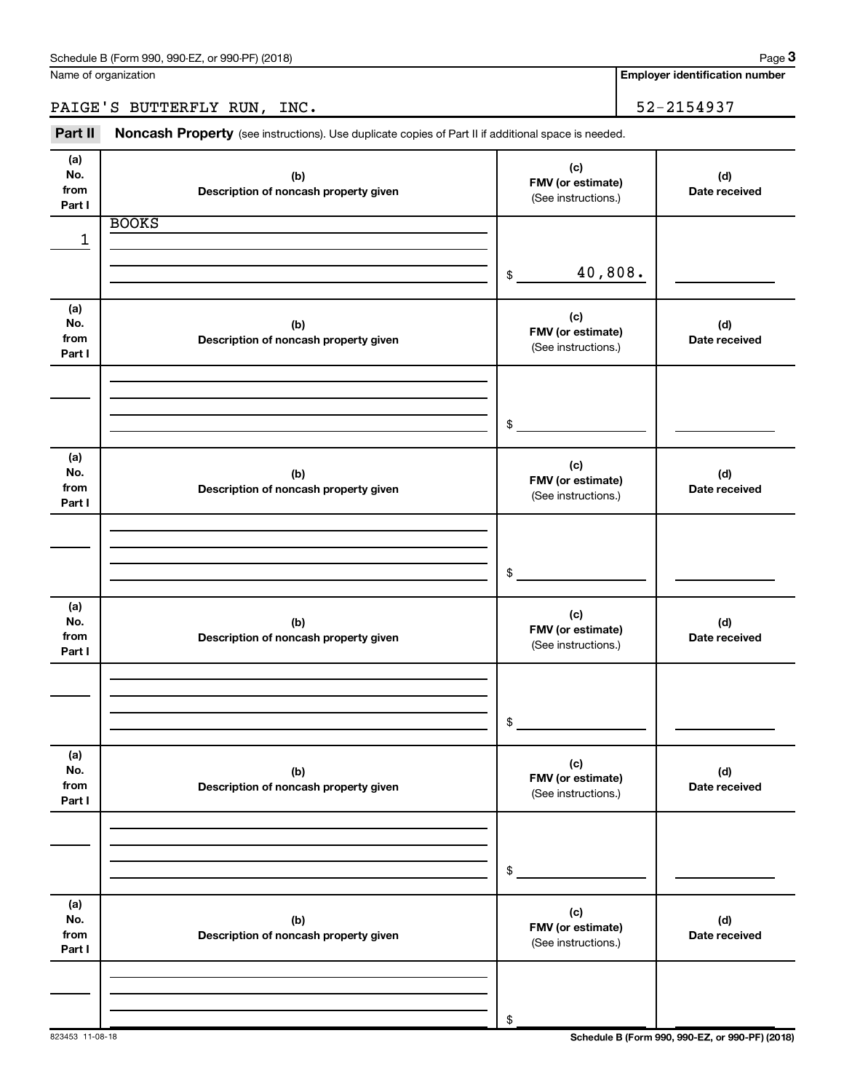**Employer identification number**

PAIGE'S BUTTERFLY RUN, INC. 52-2154937

Part II Noncash Property (see instructions). Use duplicate copies of Part II if additional space is needed.

| (a)<br>No.<br>from<br>Part I | (b)<br>Description of noncash property given | (c)<br>FMV (or estimate)<br>(See instructions.) | (d)<br>Date received |
|------------------------------|----------------------------------------------|-------------------------------------------------|----------------------|
|                              | <b>BOOKS</b>                                 |                                                 |                      |
| 1                            |                                              |                                                 |                      |
|                              |                                              | 40,808.<br>\$                                   |                      |
| (a)<br>No.<br>from<br>Part I | (b)<br>Description of noncash property given | (c)<br>FMV (or estimate)<br>(See instructions.) | (d)<br>Date received |
|                              |                                              | \$                                              |                      |
| (a)<br>No.<br>from<br>Part I | (b)<br>Description of noncash property given | (c)<br>FMV (or estimate)<br>(See instructions.) | (d)<br>Date received |
|                              |                                              |                                                 |                      |
|                              |                                              | \$                                              |                      |
| (a)<br>No.<br>from<br>Part I | (b)<br>Description of noncash property given | (c)<br>FMV (or estimate)<br>(See instructions.) | (d)<br>Date received |
|                              |                                              |                                                 |                      |
|                              |                                              | \$                                              |                      |
| (a)<br>No.<br>from<br>Part I | (b)<br>Description of noncash property given | (c)<br>FMV (or estimate)<br>(See instructions.) | (d)<br>Date received |
|                              |                                              |                                                 |                      |
|                              |                                              | \$                                              |                      |
| (a)<br>No.<br>from<br>Part I | (b)<br>Description of noncash property given | (c)<br>FMV (or estimate)<br>(See instructions.) | (d)<br>Date received |
|                              |                                              |                                                 |                      |
|                              |                                              | $\,$                                            |                      |

823453 11-08-18 **Schedule B (Form 990, 990-EZ, or 990-PF) (2018)**

**3**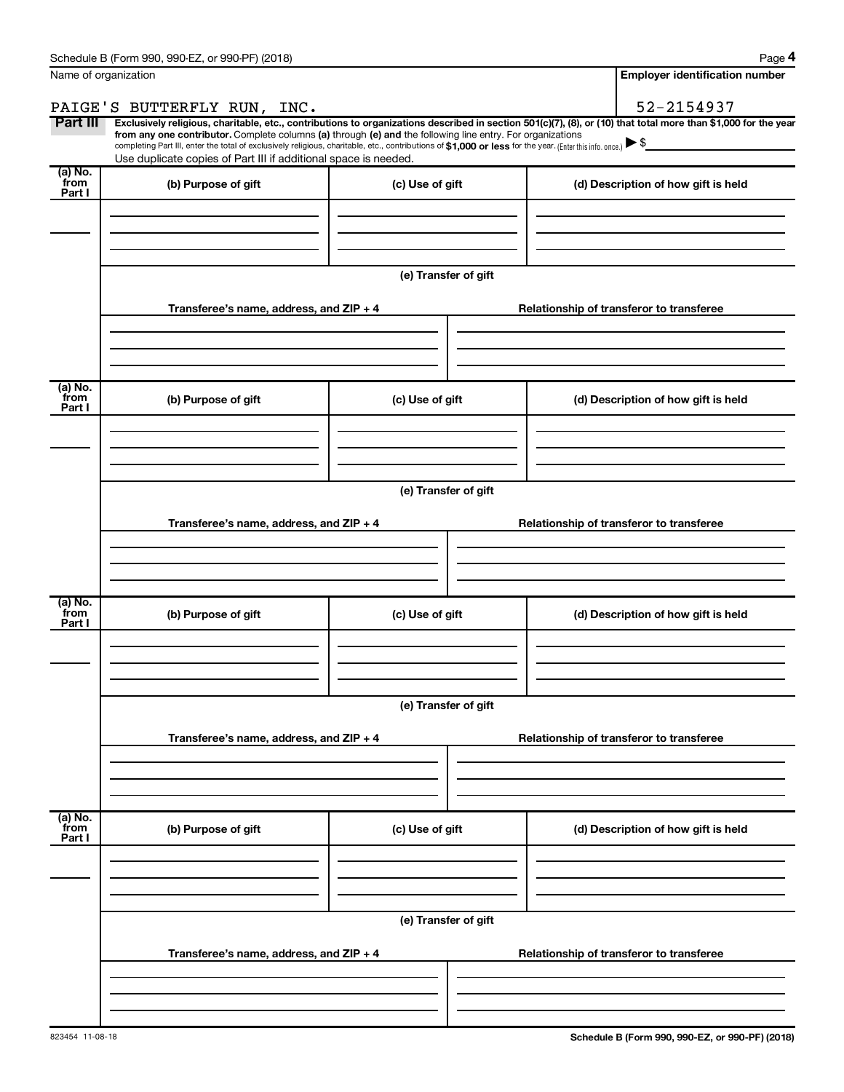| Name of organization       |                                                                                                                                                                                                                                                                                                                                                                                                                                                                                                             |                      |                                          | <b>Employer identification number</b> |  |  |
|----------------------------|-------------------------------------------------------------------------------------------------------------------------------------------------------------------------------------------------------------------------------------------------------------------------------------------------------------------------------------------------------------------------------------------------------------------------------------------------------------------------------------------------------------|----------------------|------------------------------------------|---------------------------------------|--|--|
|                            | PAIGE'S BUTTERFLY RUN, INC.                                                                                                                                                                                                                                                                                                                                                                                                                                                                                 |                      |                                          | 52-2154937                            |  |  |
| Part III                   | Exclusively religious, charitable, etc., contributions to organizations described in section 501(c)(7), (8), or (10) that total more than \$1,000 for the year<br>from any one contributor. Complete columns (a) through (e) and the following line entry. For organizations<br>completing Part III, enter the total of exclusively religious, charitable, etc., contributions of \$1,000 or less for the year. (Enter this info. once.)<br>Use duplicate copies of Part III if additional space is needed. |                      |                                          |                                       |  |  |
| (a) No.<br>`from<br>Part I | (b) Purpose of gift                                                                                                                                                                                                                                                                                                                                                                                                                                                                                         | (c) Use of gift      |                                          | (d) Description of how gift is held   |  |  |
|                            |                                                                                                                                                                                                                                                                                                                                                                                                                                                                                                             |                      |                                          |                                       |  |  |
|                            |                                                                                                                                                                                                                                                                                                                                                                                                                                                                                                             | (e) Transfer of gift |                                          |                                       |  |  |
|                            | Transferee's name, address, and ZIP + 4                                                                                                                                                                                                                                                                                                                                                                                                                                                                     |                      | Relationship of transferor to transferee |                                       |  |  |
| (a) No.<br>`from           | (b) Purpose of gift                                                                                                                                                                                                                                                                                                                                                                                                                                                                                         | (c) Use of gift      |                                          | (d) Description of how gift is held   |  |  |
| Part I                     |                                                                                                                                                                                                                                                                                                                                                                                                                                                                                                             |                      |                                          |                                       |  |  |
|                            | (e) Transfer of gift                                                                                                                                                                                                                                                                                                                                                                                                                                                                                        |                      |                                          |                                       |  |  |
|                            | Transferee's name, address, and ZIP + 4                                                                                                                                                                                                                                                                                                                                                                                                                                                                     |                      | Relationship of transferor to transferee |                                       |  |  |
| (a) No.<br>`from<br>Part I | (b) Purpose of gift                                                                                                                                                                                                                                                                                                                                                                                                                                                                                         | (c) Use of gift      |                                          | (d) Description of how gift is held   |  |  |
|                            |                                                                                                                                                                                                                                                                                                                                                                                                                                                                                                             | (e) Transfer of gift |                                          |                                       |  |  |
|                            | Transferee's name, address, and ZIP + 4                                                                                                                                                                                                                                                                                                                                                                                                                                                                     |                      | Relationship of transferor to transferee |                                       |  |  |
| (a) No.<br>from<br>Part I  | (b) Purpose of gift                                                                                                                                                                                                                                                                                                                                                                                                                                                                                         | (c) Use of gift      |                                          | (d) Description of how gift is held   |  |  |
|                            |                                                                                                                                                                                                                                                                                                                                                                                                                                                                                                             |                      |                                          |                                       |  |  |
|                            | (e) Transfer of gift                                                                                                                                                                                                                                                                                                                                                                                                                                                                                        |                      |                                          |                                       |  |  |
|                            | Transferee's name, address, and ZIP + 4                                                                                                                                                                                                                                                                                                                                                                                                                                                                     |                      | Relationship of transferor to transferee |                                       |  |  |
|                            |                                                                                                                                                                                                                                                                                                                                                                                                                                                                                                             |                      |                                          |                                       |  |  |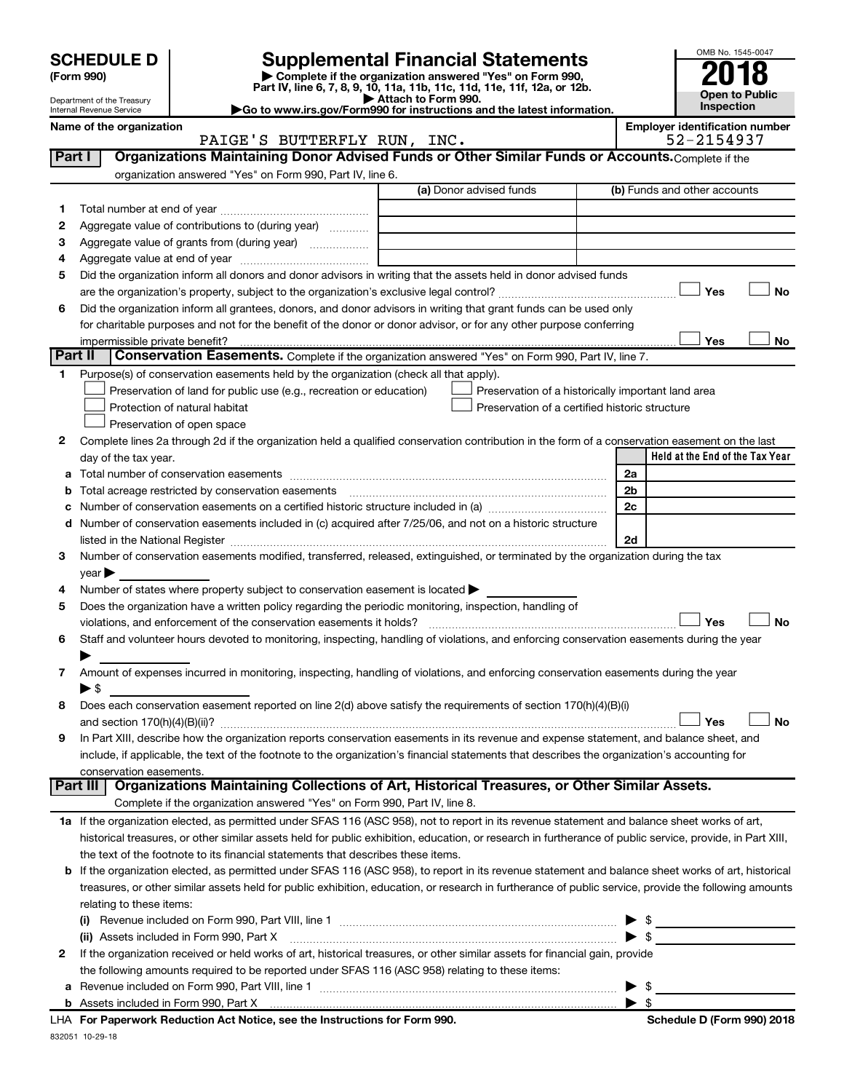# **SCHEDULE D Supplemental Financial Statements**<br> **Form 990 2018**<br> **Part IV** line 6.7.8.9.10, 11a, 11b, 11d, 11d, 11d, 11d, 11d, 12a, 0r, 12b

**(Form 990) | Complete if the organization answered "Yes" on Form 990, Part IV, line 6, 7, 8, 9, 10, 11a, 11b, 11c, 11d, 11e, 11f, 12a, or 12b.**

**| Attach to Form 990. |Go to www.irs.gov/Form990 for instructions and the latest information.**



Department of the Treasury Internal Revenue Service

Name of the organization<br>**PAIGE'S BUTTERFLY RUN, INC.** Employer identification number<br>52-2154937 PAIGE'S BUTTERFLY RUN, INC.

| <b>Part I</b> | Organizations Maintaining Donor Advised Funds or Other Similar Funds or Accounts. Complete if the                                                                                                                             |                         |                                                    |
|---------------|-------------------------------------------------------------------------------------------------------------------------------------------------------------------------------------------------------------------------------|-------------------------|----------------------------------------------------|
|               | organization answered "Yes" on Form 990, Part IV, line 6.                                                                                                                                                                     | (a) Donor advised funds | (b) Funds and other accounts                       |
| 1             |                                                                                                                                                                                                                               |                         |                                                    |
| 2             | Aggregate value of contributions to (during year)                                                                                                                                                                             |                         |                                                    |
| з             | Aggregate value of grants from (during year)                                                                                                                                                                                  |                         |                                                    |
| 4             |                                                                                                                                                                                                                               |                         |                                                    |
| 5             | Did the organization inform all donors and donor advisors in writing that the assets held in donor advised funds                                                                                                              |                         |                                                    |
|               |                                                                                                                                                                                                                               |                         | Yes<br>No                                          |
| 6             | Did the organization inform all grantees, donors, and donor advisors in writing that grant funds can be used only                                                                                                             |                         |                                                    |
|               | for charitable purposes and not for the benefit of the donor or donor advisor, or for any other purpose conferring                                                                                                            |                         |                                                    |
|               |                                                                                                                                                                                                                               |                         | Yes<br>No                                          |
| Part II       | Conservation Easements. Complete if the organization answered "Yes" on Form 990, Part IV, line 7.                                                                                                                             |                         |                                                    |
| 1             | Purpose(s) of conservation easements held by the organization (check all that apply).                                                                                                                                         |                         |                                                    |
|               | Preservation of land for public use (e.g., recreation or education)                                                                                                                                                           |                         | Preservation of a historically important land area |
|               | Protection of natural habitat                                                                                                                                                                                                 |                         | Preservation of a certified historic structure     |
|               | Preservation of open space                                                                                                                                                                                                    |                         |                                                    |
| 2             | Complete lines 2a through 2d if the organization held a qualified conservation contribution in the form of a conservation easement on the last                                                                                |                         |                                                    |
|               | day of the tax year.                                                                                                                                                                                                          |                         | Held at the End of the Tax Year                    |
| a             |                                                                                                                                                                                                                               |                         | 2a                                                 |
| b             |                                                                                                                                                                                                                               |                         | 2b                                                 |
| c             |                                                                                                                                                                                                                               |                         | 2c                                                 |
| d             | Number of conservation easements included in (c) acquired after 7/25/06, and not on a historic structure                                                                                                                      |                         |                                                    |
|               | listed in the National Register [111] Marshall Register [11] Marshall Register [11] Marshall Register [11] Marshall Register [11] Marshall Register [11] Marshall Register [11] Marshall Register [11] Marshall Register [11] |                         | 2d                                                 |
| 3             | Number of conservation easements modified, transferred, released, extinguished, or terminated by the organization during the tax                                                                                              |                         |                                                    |
|               | $year \blacktriangleright$                                                                                                                                                                                                    |                         |                                                    |
| 4             | Number of states where property subject to conservation easement is located >                                                                                                                                                 |                         |                                                    |
| 5             | Does the organization have a written policy regarding the periodic monitoring, inspection, handling of                                                                                                                        |                         |                                                    |
|               | violations, and enforcement of the conservation easements it holds?                                                                                                                                                           |                         | Yes<br><b>No</b>                                   |
| 6             | Staff and volunteer hours devoted to monitoring, inspecting, handling of violations, and enforcing conservation easements during the year                                                                                     |                         |                                                    |
|               |                                                                                                                                                                                                                               |                         |                                                    |
| 7             | Amount of expenses incurred in monitoring, inspecting, handling of violations, and enforcing conservation easements during the year                                                                                           |                         |                                                    |
|               | $\blacktriangleright$ \$                                                                                                                                                                                                      |                         |                                                    |
| 8             | Does each conservation easement reported on line 2(d) above satisfy the requirements of section 170(h)(4)(B)(i)                                                                                                               |                         |                                                    |
|               |                                                                                                                                                                                                                               |                         | Yes<br><b>No</b>                                   |
| 9             | In Part XIII, describe how the organization reports conservation easements in its revenue and expense statement, and balance sheet, and                                                                                       |                         |                                                    |
|               | include, if applicable, the text of the footnote to the organization's financial statements that describes the organization's accounting for                                                                                  |                         |                                                    |
|               | conservation easements.                                                                                                                                                                                                       |                         |                                                    |
|               | Organizations Maintaining Collections of Art, Historical Treasures, or Other Similar Assets.<br>  Part III                                                                                                                    |                         |                                                    |
|               | Complete if the organization answered "Yes" on Form 990, Part IV, line 8.                                                                                                                                                     |                         |                                                    |
|               | 1a If the organization elected, as permitted under SFAS 116 (ASC 958), not to report in its revenue statement and balance sheet works of art,                                                                                 |                         |                                                    |
|               | historical treasures, or other similar assets held for public exhibition, education, or research in furtherance of public service, provide, in Part XIII,                                                                     |                         |                                                    |
|               | the text of the footnote to its financial statements that describes these items.                                                                                                                                              |                         |                                                    |
| b             | If the organization elected, as permitted under SFAS 116 (ASC 958), to report in its revenue statement and balance sheet works of art, historical                                                                             |                         |                                                    |
|               | treasures, or other similar assets held for public exhibition, education, or research in furtherance of public service, provide the following amounts                                                                         |                         |                                                    |
|               | relating to these items:                                                                                                                                                                                                      |                         |                                                    |
|               |                                                                                                                                                                                                                               |                         | $\bullet$                                          |
|               | (ii) Assets included in Form 990, Part X                                                                                                                                                                                      |                         | $\triangleright$ \$                                |
| 2             | If the organization received or held works of art, historical treasures, or other similar assets for financial gain, provide                                                                                                  |                         |                                                    |
|               | the following amounts required to be reported under SFAS 116 (ASC 958) relating to these items:                                                                                                                               |                         |                                                    |
| а             | Revenue included on Form 990, Part VIII, line 1 [2000] [2000] [2000] [2000] [3000] [3000] [3000] [3000] [3000                                                                                                                 |                         | $\blacktriangleright$ \$                           |
|               |                                                                                                                                                                                                                               |                         |                                                    |

832051 10-29-18 **For Paperwork Reduction Act Notice, see the Instructions for Form 990. Schedule D (Form 990) 2018** LHA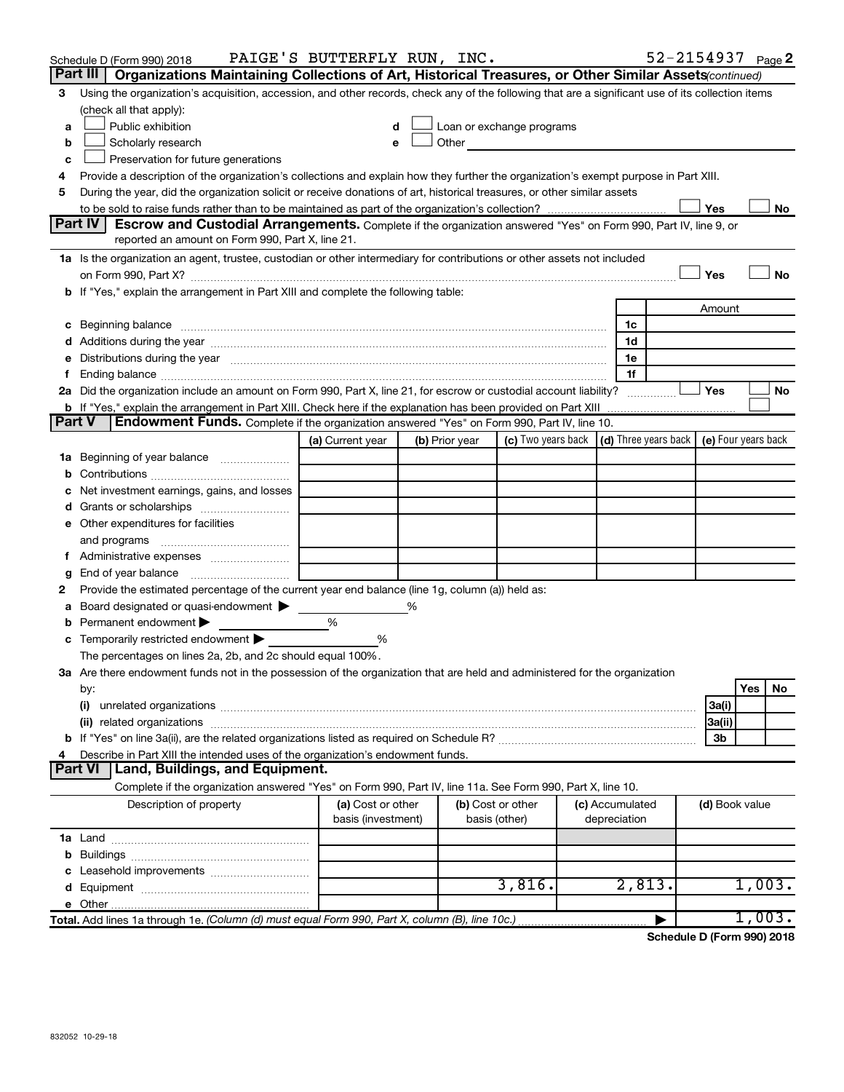|               | Schedule D (Form 990) 2018                                                                                                                                                                                                           | PAIGE'S BUTTERFLY RUN, INC.             |                |                                                                                                                                                                                                                               |                                 |                | 52-2154937 Page 2 |
|---------------|--------------------------------------------------------------------------------------------------------------------------------------------------------------------------------------------------------------------------------------|-----------------------------------------|----------------|-------------------------------------------------------------------------------------------------------------------------------------------------------------------------------------------------------------------------------|---------------------------------|----------------|-------------------|
|               | Part III<br>Organizations Maintaining Collections of Art, Historical Treasures, or Other Similar Assets (continued)                                                                                                                  |                                         |                |                                                                                                                                                                                                                               |                                 |                |                   |
| 3             | Using the organization's acquisition, accession, and other records, check any of the following that are a significant use of its collection items                                                                                    |                                         |                |                                                                                                                                                                                                                               |                                 |                |                   |
|               | (check all that apply):                                                                                                                                                                                                              |                                         |                |                                                                                                                                                                                                                               |                                 |                |                   |
| a             | Public exhibition                                                                                                                                                                                                                    | d                                       |                | Loan or exchange programs                                                                                                                                                                                                     |                                 |                |                   |
| b             | Scholarly research                                                                                                                                                                                                                   | e                                       |                | Other and the contract of the contract of the contract of the contract of the contract of the contract of the contract of the contract of the contract of the contract of the contract of the contract of the contract of the |                                 |                |                   |
| c             | Preservation for future generations                                                                                                                                                                                                  |                                         |                |                                                                                                                                                                                                                               |                                 |                |                   |
| 4             | Provide a description of the organization's collections and explain how they further the organization's exempt purpose in Part XIII.                                                                                                 |                                         |                |                                                                                                                                                                                                                               |                                 |                |                   |
| 5             | During the year, did the organization solicit or receive donations of art, historical treasures, or other similar assets                                                                                                             |                                         |                |                                                                                                                                                                                                                               |                                 |                |                   |
|               | Part IV<br><b>Escrow and Custodial Arrangements.</b> Complete if the organization answered "Yes" on Form 990, Part IV, line 9, or                                                                                                    |                                         |                |                                                                                                                                                                                                                               |                                 | Yes            | No                |
|               | reported an amount on Form 990, Part X, line 21.                                                                                                                                                                                     |                                         |                |                                                                                                                                                                                                                               |                                 |                |                   |
|               | 1a Is the organization an agent, trustee, custodian or other intermediary for contributions or other assets not included                                                                                                             |                                         |                |                                                                                                                                                                                                                               |                                 |                |                   |
|               |                                                                                                                                                                                                                                      |                                         |                |                                                                                                                                                                                                                               |                                 | Yes            | No                |
|               | b If "Yes," explain the arrangement in Part XIII and complete the following table:                                                                                                                                                   |                                         |                |                                                                                                                                                                                                                               |                                 |                |                   |
|               |                                                                                                                                                                                                                                      |                                         |                |                                                                                                                                                                                                                               |                                 | Amount         |                   |
|               | c Beginning balance <b>contract the contract of the contract of the contract of the contract of the contract of the contract of the contract of the contract of the contract of the contract of the contract of the contract of </b> |                                         |                |                                                                                                                                                                                                                               | 1c                              |                |                   |
|               |                                                                                                                                                                                                                                      |                                         |                |                                                                                                                                                                                                                               | 1d                              |                |                   |
|               | e Distributions during the year manufactured and continuum and contract the contract of the contract of the contract of the contract of the contract of the contract of the contract of the contract of the contract of the co       |                                         |                |                                                                                                                                                                                                                               | 1e                              |                |                   |
|               |                                                                                                                                                                                                                                      |                                         |                |                                                                                                                                                                                                                               | 1f                              |                |                   |
|               | 2a Did the organization include an amount on Form 990, Part X, line 21, for escrow or custodial account liability?                                                                                                                   |                                         |                |                                                                                                                                                                                                                               |                                 | Yes            | No                |
|               |                                                                                                                                                                                                                                      |                                         |                |                                                                                                                                                                                                                               |                                 |                |                   |
| <b>Part V</b> | <b>Endowment Funds.</b> Complete if the organization answered "Yes" on Form 990, Part IV, line 10.                                                                                                                                   |                                         |                |                                                                                                                                                                                                                               |                                 |                |                   |
|               |                                                                                                                                                                                                                                      | (a) Current year                        | (b) Prior year | (c) Two years back $\vert$ (d) Three years back $\vert$ (e) Four years back                                                                                                                                                   |                                 |                |                   |
|               | 1a Beginning of year balance                                                                                                                                                                                                         |                                         |                |                                                                                                                                                                                                                               |                                 |                |                   |
|               |                                                                                                                                                                                                                                      |                                         |                |                                                                                                                                                                                                                               |                                 |                |                   |
|               | Net investment earnings, gains, and losses                                                                                                                                                                                           |                                         |                |                                                                                                                                                                                                                               |                                 |                |                   |
|               |                                                                                                                                                                                                                                      |                                         |                |                                                                                                                                                                                                                               |                                 |                |                   |
|               | e Other expenditures for facilities                                                                                                                                                                                                  |                                         |                |                                                                                                                                                                                                                               |                                 |                |                   |
|               | and programs                                                                                                                                                                                                                         |                                         |                |                                                                                                                                                                                                                               |                                 |                |                   |
|               |                                                                                                                                                                                                                                      |                                         |                |                                                                                                                                                                                                                               |                                 |                |                   |
| g             | Provide the estimated percentage of the current year end balance (line 1g, column (a)) held as:                                                                                                                                      |                                         |                |                                                                                                                                                                                                                               |                                 |                |                   |
| 2<br>а        | Board designated or quasi-endowment >                                                                                                                                                                                                |                                         | %              |                                                                                                                                                                                                                               |                                 |                |                   |
|               | <b>b</b> Permanent endowment $\blacktriangleright$                                                                                                                                                                                   | %                                       |                |                                                                                                                                                                                                                               |                                 |                |                   |
|               | <b>c</b> Temporarily restricted endowment $\blacktriangleright$                                                                                                                                                                      | %                                       |                |                                                                                                                                                                                                                               |                                 |                |                   |
|               | The percentages on lines 2a, 2b, and 2c should equal 100%.                                                                                                                                                                           |                                         |                |                                                                                                                                                                                                                               |                                 |                |                   |
|               | 3a Are there endowment funds not in the possession of the organization that are held and administered for the organization                                                                                                           |                                         |                |                                                                                                                                                                                                                               |                                 |                |                   |
|               | by:                                                                                                                                                                                                                                  |                                         |                |                                                                                                                                                                                                                               |                                 |                | Yes<br>No         |
|               | (i)                                                                                                                                                                                                                                  |                                         |                |                                                                                                                                                                                                                               |                                 | 3a(i)          |                   |
|               |                                                                                                                                                                                                                                      |                                         |                |                                                                                                                                                                                                                               |                                 | 3a(ii)         |                   |
|               |                                                                                                                                                                                                                                      |                                         |                |                                                                                                                                                                                                                               |                                 | 3b             |                   |
| 4             | Describe in Part XIII the intended uses of the organization's endowment funds.                                                                                                                                                       |                                         |                |                                                                                                                                                                                                                               |                                 |                |                   |
|               | <b>Land, Buildings, and Equipment.</b><br><b>Part VI</b>                                                                                                                                                                             |                                         |                |                                                                                                                                                                                                                               |                                 |                |                   |
|               | Complete if the organization answered "Yes" on Form 990, Part IV, line 11a. See Form 990, Part X, line 10.                                                                                                                           |                                         |                |                                                                                                                                                                                                                               |                                 |                |                   |
|               | Description of property                                                                                                                                                                                                              | (a) Cost or other<br>basis (investment) |                | (b) Cost or other<br>basis (other)                                                                                                                                                                                            | (c) Accumulated<br>depreciation | (d) Book value |                   |
|               |                                                                                                                                                                                                                                      |                                         |                |                                                                                                                                                                                                                               |                                 |                |                   |
|               |                                                                                                                                                                                                                                      |                                         |                |                                                                                                                                                                                                                               |                                 |                |                   |
|               |                                                                                                                                                                                                                                      |                                         |                |                                                                                                                                                                                                                               |                                 |                |                   |
|               |                                                                                                                                                                                                                                      |                                         |                | 3,816.                                                                                                                                                                                                                        | 2,813.                          |                | 1,003.            |
|               |                                                                                                                                                                                                                                      |                                         |                |                                                                                                                                                                                                                               |                                 |                |                   |
|               | Total. Add lines 1a through 1e. (Column (d) must equal Form 990, Part X, column (B), line 10c.).                                                                                                                                     |                                         |                |                                                                                                                                                                                                                               |                                 |                | 1,003.            |

**Schedule D (Form 990) 2018**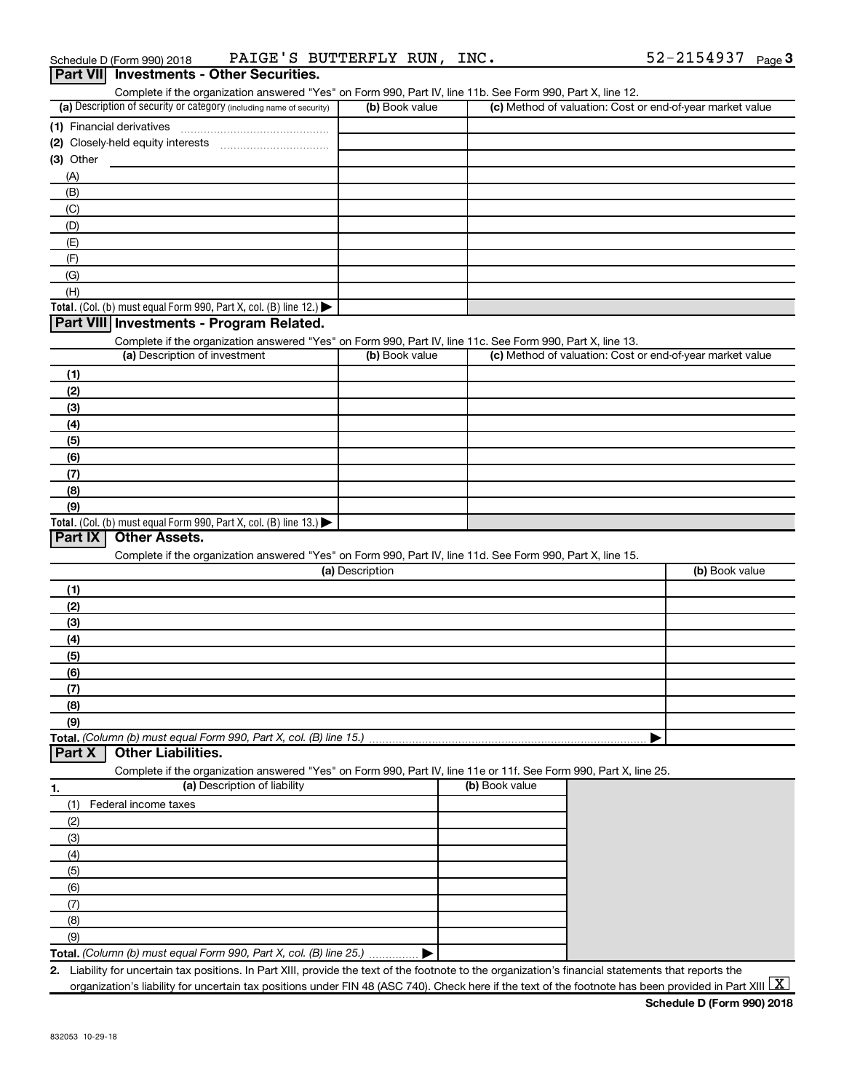| <b>Dart VIII</b> Investments - Other Securities           |                        |
|-----------------------------------------------------------|------------------------|
| PAIGE'S BUTTERFLY RUN, INC.<br>Schedule D (Form 990) 2018 | 52-2154937 $_{Page}$ 3 |

| .<br>Complete if the organization answered "Yes" on Form 990, Part IV, line 11b. See Form 990, Part X, line 12.                             |                 |                |                                                           |
|---------------------------------------------------------------------------------------------------------------------------------------------|-----------------|----------------|-----------------------------------------------------------|
| (a) Description of security or category (including name of security)                                                                        | (b) Book value  |                | (c) Method of valuation: Cost or end-of-year market value |
|                                                                                                                                             |                 |                |                                                           |
|                                                                                                                                             |                 |                |                                                           |
| (3) Other                                                                                                                                   |                 |                |                                                           |
| (A)                                                                                                                                         |                 |                |                                                           |
| (B)                                                                                                                                         |                 |                |                                                           |
| (C)                                                                                                                                         |                 |                |                                                           |
| (D)                                                                                                                                         |                 |                |                                                           |
| (E)                                                                                                                                         |                 |                |                                                           |
| (F)                                                                                                                                         |                 |                |                                                           |
| (G)                                                                                                                                         |                 |                |                                                           |
| (H)                                                                                                                                         |                 |                |                                                           |
| Total. (Col. (b) must equal Form 990, Part X, col. (B) line 12.) $\blacktriangleright$                                                      |                 |                |                                                           |
| Part VIII Investments - Program Related.                                                                                                    |                 |                |                                                           |
|                                                                                                                                             |                 |                |                                                           |
| Complete if the organization answered "Yes" on Form 990, Part IV, line 11c. See Form 990, Part X, line 13.<br>(a) Description of investment |                 |                |                                                           |
|                                                                                                                                             | (b) Book value  |                | (c) Method of valuation: Cost or end-of-year market value |
| (1)                                                                                                                                         |                 |                |                                                           |
| (2)                                                                                                                                         |                 |                |                                                           |
| (3)                                                                                                                                         |                 |                |                                                           |
| (4)                                                                                                                                         |                 |                |                                                           |
| (5)                                                                                                                                         |                 |                |                                                           |
| (6)                                                                                                                                         |                 |                |                                                           |
| (7)                                                                                                                                         |                 |                |                                                           |
| (8)                                                                                                                                         |                 |                |                                                           |
| (9)                                                                                                                                         |                 |                |                                                           |
| Total. (Col. (b) must equal Form 990, Part X, col. (B) line 13.) $\blacktriangleright$                                                      |                 |                |                                                           |
| <b>Other Assets.</b><br>Part IX                                                                                                             |                 |                |                                                           |
| Complete if the organization answered "Yes" on Form 990, Part IV, line 11d. See Form 990, Part X, line 15.                                  |                 |                |                                                           |
|                                                                                                                                             | (a) Description |                | (b) Book value                                            |
| (1)                                                                                                                                         |                 |                |                                                           |
| (2)                                                                                                                                         |                 |                |                                                           |
| (3)                                                                                                                                         |                 |                |                                                           |
| (4)                                                                                                                                         |                 |                |                                                           |
|                                                                                                                                             |                 |                |                                                           |
| (5)                                                                                                                                         |                 |                |                                                           |
| (6)                                                                                                                                         |                 |                |                                                           |
| (7)                                                                                                                                         |                 |                |                                                           |
| (8)                                                                                                                                         |                 |                |                                                           |
| (9)                                                                                                                                         |                 |                |                                                           |
| Total. (Column (b) must equal Form 990, Part X, col. (B) line 15.)                                                                          |                 |                |                                                           |
| <b>Other Liabilities.</b><br>Part X                                                                                                         |                 |                |                                                           |
| Complete if the organization answered "Yes" on Form 990, Part IV, line 11e or 11f. See Form 990, Part X, line 25.                           |                 |                |                                                           |
| (a) Description of liability<br>1.                                                                                                          |                 | (b) Book value |                                                           |
| Federal income taxes<br>(1)                                                                                                                 |                 |                |                                                           |
| (2)                                                                                                                                         |                 |                |                                                           |
| (3)                                                                                                                                         |                 |                |                                                           |
| (4)                                                                                                                                         |                 |                |                                                           |
| (5)                                                                                                                                         |                 |                |                                                           |
|                                                                                                                                             |                 |                |                                                           |
|                                                                                                                                             |                 |                |                                                           |
| (6)                                                                                                                                         |                 |                |                                                           |
| (7)                                                                                                                                         |                 |                |                                                           |
| (8)                                                                                                                                         |                 |                |                                                           |
| (9)<br><b>Total.</b> (Column (b) must equal Form 990, Part X, col. (B) line 25.)                                                            |                 |                |                                                           |

**2.** Liability for uncertain tax positions. In Part XIII, provide the text of the footnote to the organization's financial statements that reports the organization's liability for uncertain tax positions under FIN 48 (ASC 740). Check here if the text of the footnote has been provided in Part XIII  $\boxed{\text{X}}$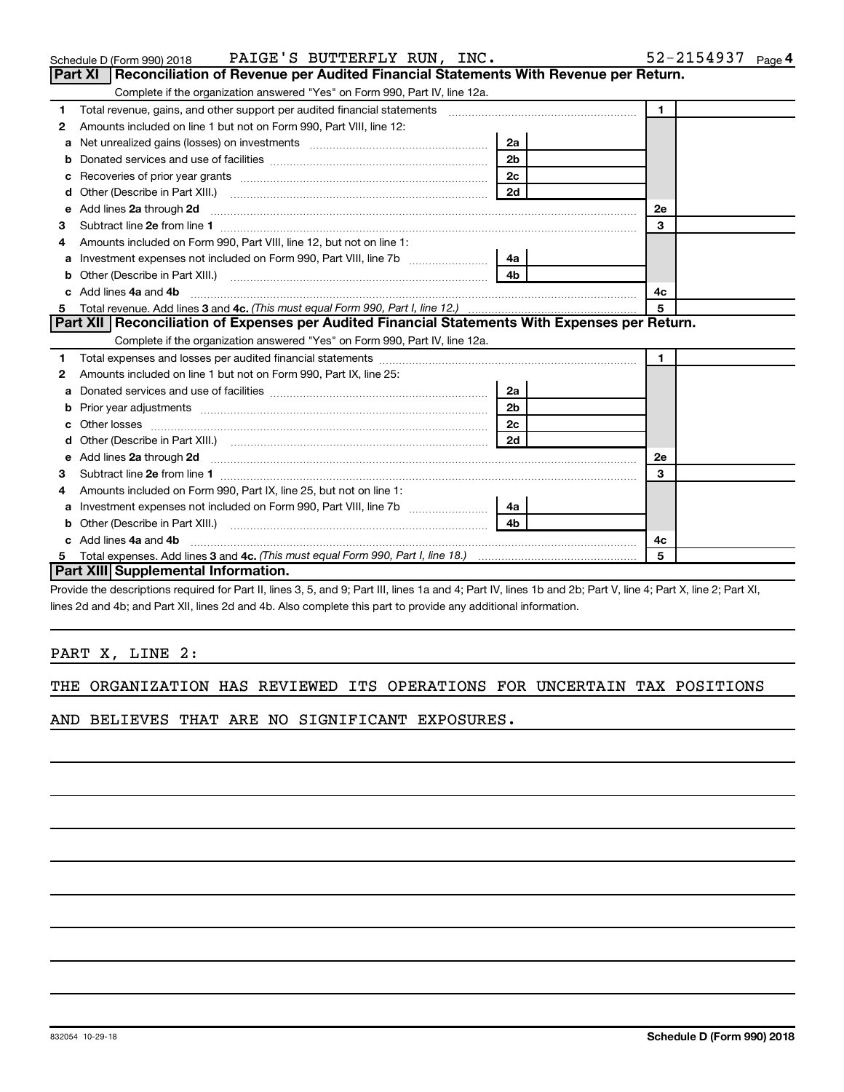|     | <u>DOITATED 3ER VICES AFTO DSE OF TACINIES [[[[[[[[[[[[[[[]]]]]]]</u>                                                                                          | ∠a |  |    |  |
|-----|----------------------------------------------------------------------------------------------------------------------------------------------------------------|----|--|----|--|
|     | 2 <sub>b</sub>                                                                                                                                                 |    |  |    |  |
|     |                                                                                                                                                                | 2c |  |    |  |
|     |                                                                                                                                                                | 2d |  |    |  |
|     |                                                                                                                                                                |    |  | 2е |  |
| 3   | Subtract line 2e from line 1                                                                                                                                   |    |  | 3  |  |
| 4   | Amounts included on Form 990, Part IX, line 25, but not on line 1:                                                                                             |    |  |    |  |
|     |                                                                                                                                                                | 4a |  |    |  |
|     |                                                                                                                                                                |    |  |    |  |
|     | c Add lines 4a and 4b                                                                                                                                          | 4c |  |    |  |
|     |                                                                                                                                                                | 5  |  |    |  |
|     | <b>Part XIII Supplemental Information.</b>                                                                                                                     |    |  |    |  |
|     | Provide the descriptions required for Part II, lines 3, 5, and 9; Part III, lines 1a and 4; Part IV, lines 1b and 2b; Part V, line 4; Part X, line 2; Part XI, |    |  |    |  |
|     | lines 2d and 4b; and Part XII, lines 2d and 4b. Also complete this part to provide any additional information.                                                 |    |  |    |  |
|     |                                                                                                                                                                |    |  |    |  |
|     |                                                                                                                                                                |    |  |    |  |
|     | PART X, LINE 2:                                                                                                                                                |    |  |    |  |
|     |                                                                                                                                                                |    |  |    |  |
| THE | ORGANIZATION HAS REVIEWED ITS OPERATIONS FOR UNCERTAIN TAX POSITIONS                                                                                           |    |  |    |  |

|  |  | AND BELIEVES THAT ARE NO SIGNIFICANT EXPOSURES. |  |
|--|--|-------------------------------------------------|--|

### **1 2** Amounts included on line 1 but not on Form 990, Part VIII, line 12: **3 4 5 1 a** Net unrealized gains (losses) on investments ~~~~~~~~~~~~~~~~~~ **b** Donated services and use of facilities ~~~~~~~~~~~~~~~~~~~~~~ **c** Recoveries of prior year grants ~~~~~~~~~~~~~~~~~~~~~~~~~ **d** Other (Describe in Part XIII.) ~~~~~~~~~~~~~~~~~~~~~~~~~~ **e 2a 2d 2e** Add lines through ~~~~~~~~~~~~~~~~~~~~~~~~~~~~~~~~~~~~~~~~~~~ **2a 2b 2c 2d 2e 1 3** Subtract line from line ~~~~~~~~~~~~~~~~~~~~~~~~~~~~~~~~~~~~~~~~~~ **a** Investment expenses not included on Form 990, Part VIII, line 7b  $\ldots$  $\ldots$  $\ldots$  $\ldots$ **b** Other (Describe in Part XIII.) ~~~~~~~~~~~~~~~~~~~~~~~~~~ **c 4a 4b** Add lines and ~~~~~~~~~~~~~~~~~~~~~~~~~~~~~~~~~~~~~~~~~~~~~ **4a 4b** Total revenue. Add lines 3 and 4c. (This must equal Form 990, Part I, line 12.) **4c 5 1 2 1 a** Donated services and use of facilities  $|2a|$ Complete if the organization answered "Yes" on Form 990, Part IV, line 12a. Total revenue, gains, and other support per audited financial statements ~~~~~~~~~~~~~~~~~~~ Amounts included on Form 990, Part VIII, line 12, but not on line 1: Complete if the organization answered "Yes" on Form 990, Part IV, line 12a. Total expenses and losses per audited financial statements ~~~~~~~~~~~~~~~~~~~~~~~~~~ Amounts included on line 1 but not on Form 990, Part IX, line 25: ~~~~~~~~~~~~~~~~~~~~~~ **Part XI** | Reconciliation of Revenue per Audited Financial Statements With Revenue per Return. **Part XII Reconciliation of Expenses per Audited Financial Statements With Expenses per Return.**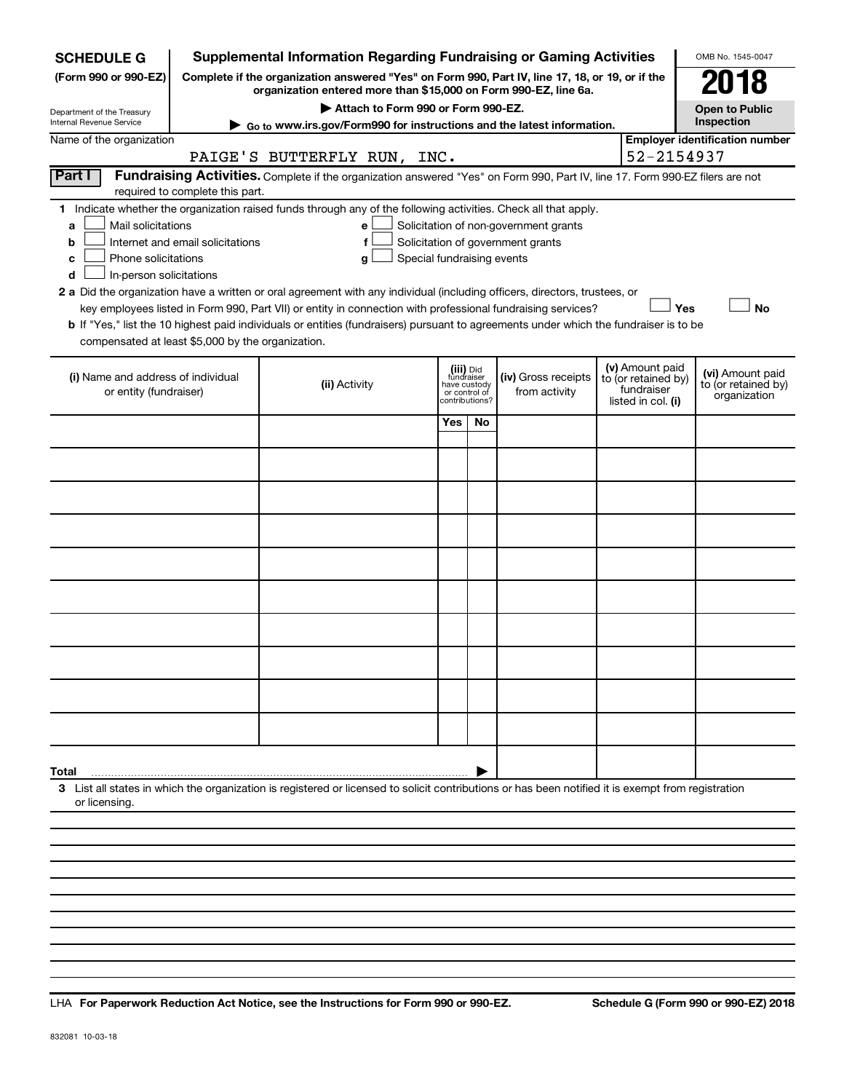| <b>SCHEDULE G</b>                                        |                                  | <b>Supplemental Information Regarding Fundraising or Gaming Activities</b>                                                                                          |     |                                 |                                       |                                   | OMB No. 1545-0047                     |
|----------------------------------------------------------|----------------------------------|---------------------------------------------------------------------------------------------------------------------------------------------------------------------|-----|---------------------------------|---------------------------------------|-----------------------------------|---------------------------------------|
| (Form 990 or 990-EZ)                                     |                                  | Complete if the organization answered "Yes" on Form 990, Part IV, line 17, 18, or 19, or if the<br>organization entered more than \$15,000 on Form 990-EZ, line 6a. |     |                                 |                                       |                                   | 018                                   |
| Department of the Treasury                               |                                  | Attach to Form 990 or Form 990-EZ.                                                                                                                                  |     |                                 |                                       |                                   | <b>Open to Public</b>                 |
| Internal Revenue Service                                 |                                  | ► Go to www.irs.gov/Form990 for instructions and the latest information.                                                                                            |     |                                 |                                       |                                   | Inspection                            |
| Name of the organization                                 |                                  |                                                                                                                                                                     |     |                                 |                                       |                                   | <b>Employer identification number</b> |
|                                                          |                                  | PAIGE'S BUTTERFLY RUN, INC.                                                                                                                                         |     |                                 |                                       | 52-2154937                        |                                       |
| Part I                                                   | required to complete this part.  | Fundraising Activities. Complete if the organization answered "Yes" on Form 990, Part IV, line 17. Form 990-EZ filers are not                                       |     |                                 |                                       |                                   |                                       |
|                                                          |                                  | 1 Indicate whether the organization raised funds through any of the following activities. Check all that apply.                                                     |     |                                 |                                       |                                   |                                       |
| Mail solicitations<br>a                                  |                                  | e                                                                                                                                                                   |     |                                 | Solicitation of non-government grants |                                   |                                       |
| b                                                        | Internet and email solicitations | f                                                                                                                                                                   |     |                                 | Solicitation of government grants     |                                   |                                       |
| Phone solicitations<br>с<br>In-person solicitations<br>d |                                  | Special fundraising events<br>g                                                                                                                                     |     |                                 |                                       |                                   |                                       |
|                                                          |                                  | 2 a Did the organization have a written or oral agreement with any individual (including officers, directors, trustees, or                                          |     |                                 |                                       |                                   |                                       |
|                                                          |                                  | key employees listed in Form 990, Part VII) or entity in connection with professional fundraising services?                                                         |     |                                 |                                       | Yes                               | <b>No</b>                             |
|                                                          |                                  | b If "Yes," list the 10 highest paid individuals or entities (fundraisers) pursuant to agreements under which the fundraiser is to be                               |     |                                 |                                       |                                   |                                       |
| compensated at least \$5,000 by the organization.        |                                  |                                                                                                                                                                     |     |                                 |                                       |                                   |                                       |
|                                                          |                                  |                                                                                                                                                                     |     | (iii) Did                       |                                       | (v) Amount paid                   | (vi) Amount paid                      |
| (i) Name and address of individual                       |                                  | (ii) Activity                                                                                                                                                       |     | fundraiser<br>have custody      | (iv) Gross receipts<br>from activity  | to (or retained by)<br>fundraiser | to (or retained by)                   |
| or entity (fundraiser)                                   |                                  |                                                                                                                                                                     |     | or control of<br>contributions? |                                       | listed in col. (i)                | organization                          |
|                                                          |                                  |                                                                                                                                                                     | Yes | <b>No</b>                       |                                       |                                   |                                       |
|                                                          |                                  |                                                                                                                                                                     |     |                                 |                                       |                                   |                                       |
|                                                          |                                  |                                                                                                                                                                     |     |                                 |                                       |                                   |                                       |
|                                                          |                                  |                                                                                                                                                                     |     |                                 |                                       |                                   |                                       |
|                                                          |                                  |                                                                                                                                                                     |     |                                 |                                       |                                   |                                       |
|                                                          |                                  |                                                                                                                                                                     |     |                                 |                                       |                                   |                                       |
|                                                          |                                  |                                                                                                                                                                     |     |                                 |                                       |                                   |                                       |
|                                                          |                                  |                                                                                                                                                                     |     |                                 |                                       |                                   |                                       |
|                                                          |                                  |                                                                                                                                                                     |     |                                 |                                       |                                   |                                       |
|                                                          |                                  |                                                                                                                                                                     |     |                                 |                                       |                                   |                                       |
|                                                          |                                  |                                                                                                                                                                     |     |                                 |                                       |                                   |                                       |
|                                                          |                                  |                                                                                                                                                                     |     |                                 |                                       |                                   |                                       |
|                                                          |                                  |                                                                                                                                                                     |     |                                 |                                       |                                   |                                       |
| Total                                                    |                                  |                                                                                                                                                                     |     |                                 |                                       |                                   |                                       |
| or licensing.                                            |                                  | 3 List all states in which the organization is registered or licensed to solicit contributions or has been notified it is exempt from registration                  |     |                                 |                                       |                                   |                                       |
|                                                          |                                  |                                                                                                                                                                     |     |                                 |                                       |                                   |                                       |
|                                                          |                                  |                                                                                                                                                                     |     |                                 |                                       |                                   |                                       |

**For Paperwork Reduction Act Notice, see the Instructions for Form 990 or 990-EZ. Schedule G (Form 990 or 990-EZ) 2018** LHA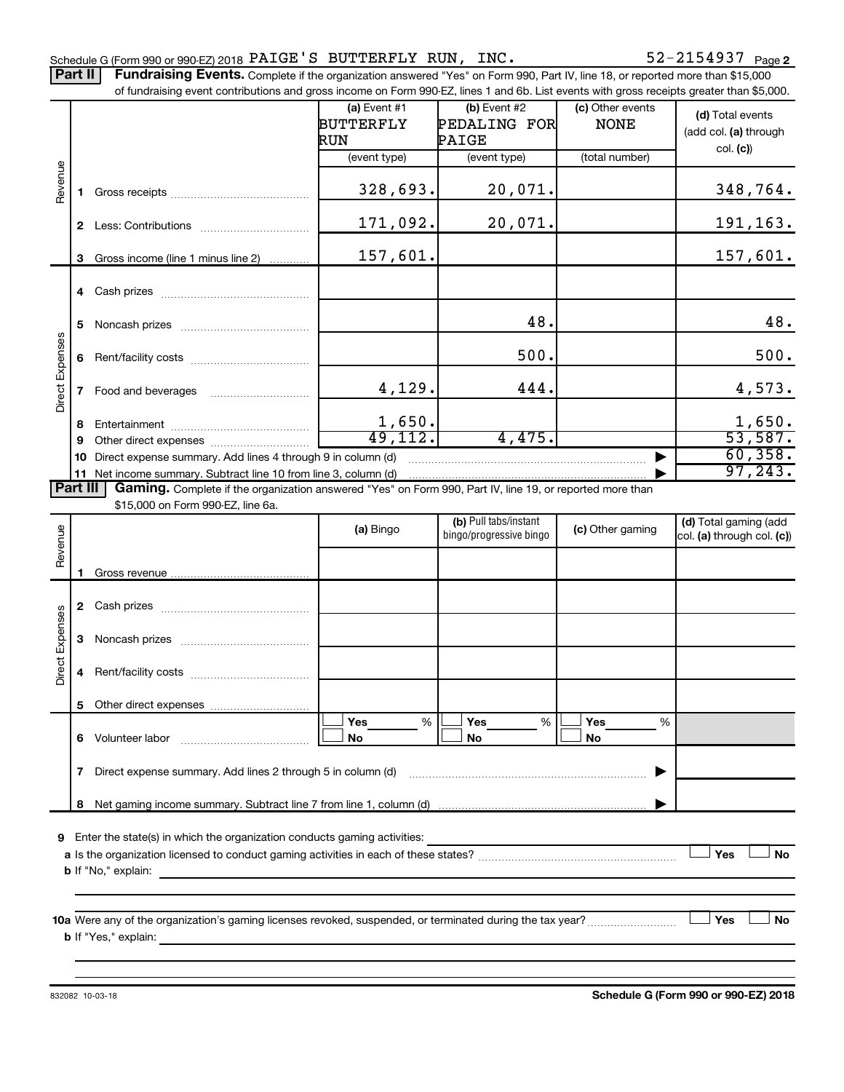Part II | Fundraising Events. Complete if the organization answered "Yes" on Form 990, Part IV, line 18, or reported more than \$15,000

|                 |                                                                 | of fundraising event contributions and gross income on Form 990-EZ, lines 1 and 6b. List events with gross receipts greater than \$5,000. |                       |                         |                  |                            |  |  |  |  |
|-----------------|-----------------------------------------------------------------|-------------------------------------------------------------------------------------------------------------------------------------------|-----------------------|-------------------------|------------------|----------------------------|--|--|--|--|
|                 |                                                                 |                                                                                                                                           | (a) Event $#1$        | (b) Event #2            | (c) Other events | (d) Total events           |  |  |  |  |
|                 |                                                                 |                                                                                                                                           | <b>BUTTERFLY</b>      | PEDALING FOR            | <b>NONE</b>      |                            |  |  |  |  |
|                 |                                                                 |                                                                                                                                           | RUN                   | PAIGE                   |                  | (add col. (a) through      |  |  |  |  |
|                 |                                                                 |                                                                                                                                           | (event type)          | (event type)            | (total number)   | col. (c)                   |  |  |  |  |
|                 |                                                                 |                                                                                                                                           |                       |                         |                  |                            |  |  |  |  |
| Revenue         | 1.                                                              |                                                                                                                                           | 328,693.              | 20,071.                 |                  | 348,764.                   |  |  |  |  |
|                 |                                                                 |                                                                                                                                           | 171,092.              | 20,071.                 |                  | 191,163.                   |  |  |  |  |
|                 | 3                                                               | Gross income (line 1 minus line 2)                                                                                                        | 157,601.              |                         |                  | 157,601.                   |  |  |  |  |
|                 |                                                                 |                                                                                                                                           |                       |                         |                  |                            |  |  |  |  |
|                 | 5                                                               |                                                                                                                                           |                       | 48.                     |                  | 48.                        |  |  |  |  |
|                 |                                                                 |                                                                                                                                           |                       |                         |                  |                            |  |  |  |  |
|                 | 6                                                               |                                                                                                                                           |                       | 500.                    |                  | 500.                       |  |  |  |  |
| Direct Expenses | $\mathbf{7}$                                                    |                                                                                                                                           | 4,129.                | 444.                    |                  | 4,573.                     |  |  |  |  |
|                 |                                                                 |                                                                                                                                           |                       |                         |                  |                            |  |  |  |  |
|                 | 8                                                               |                                                                                                                                           | 1,650.<br>49, 112.    | 4,475.                  |                  | 1,650.<br>53,587.          |  |  |  |  |
|                 | 9                                                               |                                                                                                                                           |                       |                         |                  |                            |  |  |  |  |
|                 | 10                                                              | Direct expense summary. Add lines 4 through 9 in column (d)                                                                               |                       |                         |                  | 60, 358.<br>97, 243.       |  |  |  |  |
|                 | 11 Net income summary. Subtract line 10 from line 3, column (d) |                                                                                                                                           |                       |                         |                  |                            |  |  |  |  |
| Part III        |                                                                 | Gaming. Complete if the organization answered "Yes" on Form 990, Part IV, line 19, or reported more than                                  |                       |                         |                  |                            |  |  |  |  |
|                 |                                                                 | \$15,000 on Form 990-EZ, line 6a.                                                                                                         |                       |                         |                  |                            |  |  |  |  |
|                 |                                                                 |                                                                                                                                           | (a) Bingo             | (b) Pull tabs/instant   | (c) Other gaming | (d) Total gaming (add      |  |  |  |  |
| Revenue         |                                                                 |                                                                                                                                           |                       | bingo/progressive bingo |                  | col. (a) through col. (c)) |  |  |  |  |
|                 |                                                                 |                                                                                                                                           |                       |                         |                  |                            |  |  |  |  |
|                 | 1.                                                              |                                                                                                                                           |                       |                         |                  |                            |  |  |  |  |
|                 |                                                                 |                                                                                                                                           |                       |                         |                  |                            |  |  |  |  |
|                 |                                                                 |                                                                                                                                           |                       |                         |                  |                            |  |  |  |  |
|                 | 3                                                               |                                                                                                                                           |                       |                         |                  |                            |  |  |  |  |
| Direct Expenses | 4                                                               |                                                                                                                                           |                       |                         |                  |                            |  |  |  |  |
|                 |                                                                 |                                                                                                                                           |                       |                         |                  |                            |  |  |  |  |
|                 |                                                                 | 6 Volunteer labor                                                                                                                         | %<br><b>Yes</b><br>No | Yes<br>%<br>No          | %<br>Yes<br>No   |                            |  |  |  |  |
|                 |                                                                 |                                                                                                                                           |                       |                         |                  |                            |  |  |  |  |
|                 | 7                                                               | Direct expense summary. Add lines 2 through 5 in column (d)                                                                               |                       |                         |                  |                            |  |  |  |  |
|                 |                                                                 |                                                                                                                                           |                       |                         |                  |                            |  |  |  |  |
| 9               |                                                                 | Enter the state(s) in which the organization conducts gaming activities:                                                                  |                       |                         |                  |                            |  |  |  |  |
|                 |                                                                 |                                                                                                                                           |                       |                         |                  | Yes<br>No                  |  |  |  |  |
|                 |                                                                 | <b>b</b> If "No," explain:                                                                                                                |                       |                         |                  |                            |  |  |  |  |
|                 |                                                                 | <u> 1989 - Johann Harry Harry Harry Harry Harry Harry Harry Harry Harry Harry Harry Harry Harry Harry Harry Harry</u>                     |                       |                         |                  |                            |  |  |  |  |
|                 |                                                                 |                                                                                                                                           |                       |                         |                  |                            |  |  |  |  |
|                 |                                                                 |                                                                                                                                           |                       |                         |                  | Yes<br>No                  |  |  |  |  |
|                 |                                                                 |                                                                                                                                           |                       |                         |                  |                            |  |  |  |  |
|                 |                                                                 |                                                                                                                                           |                       |                         |                  |                            |  |  |  |  |
|                 |                                                                 |                                                                                                                                           |                       |                         |                  |                            |  |  |  |  |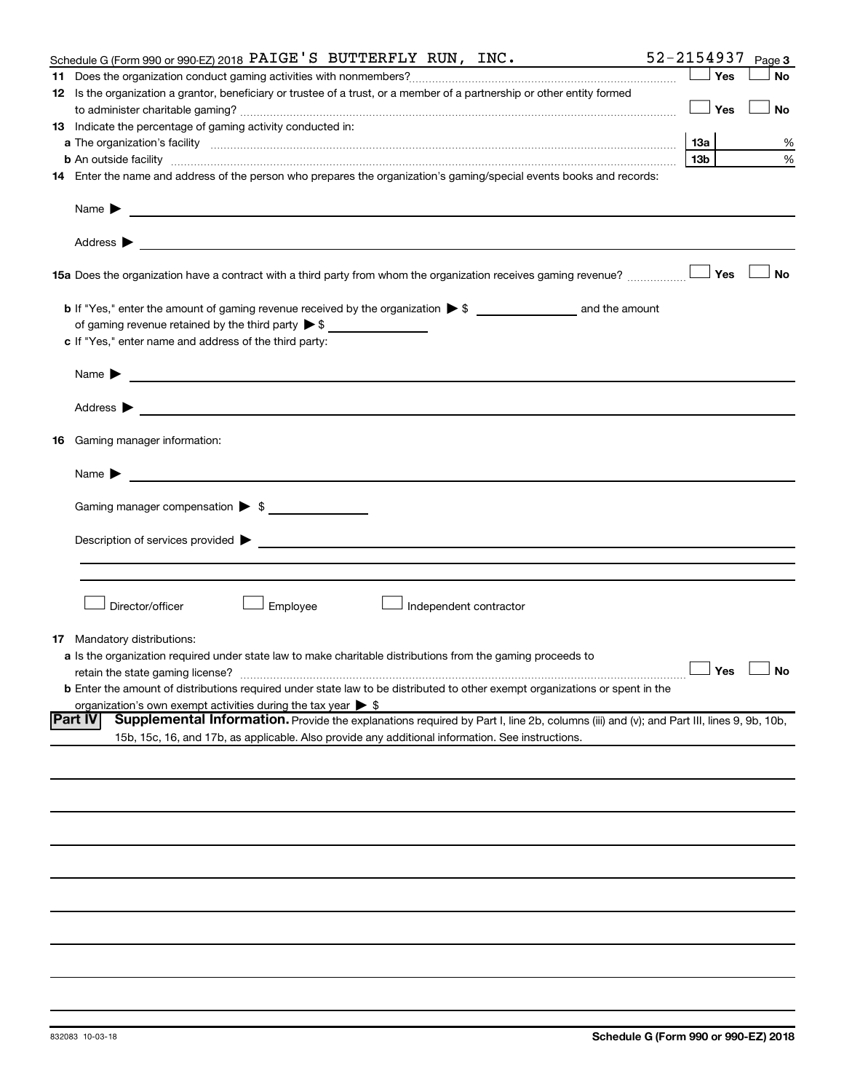| Schedule G (Form 990 or 990-EZ) 2018 PAIGE'S BUTTERFLY RUN, INC.                                                                                                                                                                          | 52-2154937 |     | Page 3               |
|-------------------------------------------------------------------------------------------------------------------------------------------------------------------------------------------------------------------------------------------|------------|-----|----------------------|
|                                                                                                                                                                                                                                           |            | Yes | <b>No</b>            |
| 12 Is the organization a grantor, beneficiary or trustee of a trust, or a member of a partnership or other entity formed                                                                                                                  |            |     |                      |
|                                                                                                                                                                                                                                           |            | Yes | No                   |
| 13 Indicate the percentage of gaming activity conducted in:                                                                                                                                                                               |            |     |                      |
| a The organization's facility <i>measurement assemble to the companion of the companisation</i> in the state of the companion of the companion of the companion of the companion of the companion of the companion of the companion       |            |     | %                    |
| <b>b</b> An outside facility <i>www.communically.communically.communically.communically.communically.communically.communically.communically.communically.communically.communically.communically.communically.communically.communicall</i> | 13b l      |     | %                    |
| 14 Enter the name and address of the person who prepares the organization's gaming/special events books and records:                                                                                                                      |            |     |                      |
| Name $\blacktriangleright$<br><u> 1989 - Johann Barbara, marka a shekara tsa 1989 - An tsa 1989 - An tsa 1989 - An tsa 1989 - An tsa 1989 - An</u>                                                                                        |            |     |                      |
|                                                                                                                                                                                                                                           |            |     |                      |
|                                                                                                                                                                                                                                           |            |     | ⊥No                  |
|                                                                                                                                                                                                                                           |            |     |                      |
| of gaming revenue retained by the third party $\triangleright$ \$                                                                                                                                                                         |            |     |                      |
| c If "Yes," enter name and address of the third party:                                                                                                                                                                                    |            |     |                      |
| Name $\blacktriangleright$<br><u> 1989 - Johann Stein, marwolaethau a bhann an t-Amhainn an t-Amhainn an t-Amhainn an t-Amhainn an t-Amhainn an</u>                                                                                       |            |     |                      |
|                                                                                                                                                                                                                                           |            |     |                      |
|                                                                                                                                                                                                                                           |            |     |                      |
| 16 Gaming manager information:                                                                                                                                                                                                            |            |     |                      |
|                                                                                                                                                                                                                                           |            |     |                      |
| Gaming manager compensation > \$                                                                                                                                                                                                          |            |     |                      |
|                                                                                                                                                                                                                                           |            |     |                      |
|                                                                                                                                                                                                                                           |            |     |                      |
|                                                                                                                                                                                                                                           |            |     |                      |
| Employee<br>Director/officer<br>Independent contractor                                                                                                                                                                                    |            |     |                      |
| <b>17</b> Mandatory distributions:                                                                                                                                                                                                        |            |     |                      |
| a Is the organization required under state law to make charitable distributions from the gaming proceeds to                                                                                                                               |            |     |                      |
| retain the state gaming license?                                                                                                                                                                                                          |            |     | $\Box$ Yes $\Box$ No |
| <b>b</b> Enter the amount of distributions required under state law to be distributed to other exempt organizations or spent in the                                                                                                       |            |     |                      |
| organization's own exempt activities during the tax year $\triangleright$ \$                                                                                                                                                              |            |     |                      |
| Supplemental Information. Provide the explanations required by Part I, line 2b, columns (iii) and (v); and Part III, lines 9, 9b, 10b,<br><b>IPart IV</b>                                                                                 |            |     |                      |
| 15b, 15c, 16, and 17b, as applicable. Also provide any additional information. See instructions.                                                                                                                                          |            |     |                      |
|                                                                                                                                                                                                                                           |            |     |                      |
|                                                                                                                                                                                                                                           |            |     |                      |
|                                                                                                                                                                                                                                           |            |     |                      |
|                                                                                                                                                                                                                                           |            |     |                      |
|                                                                                                                                                                                                                                           |            |     |                      |
|                                                                                                                                                                                                                                           |            |     |                      |
|                                                                                                                                                                                                                                           |            |     |                      |
|                                                                                                                                                                                                                                           |            |     |                      |
|                                                                                                                                                                                                                                           |            |     |                      |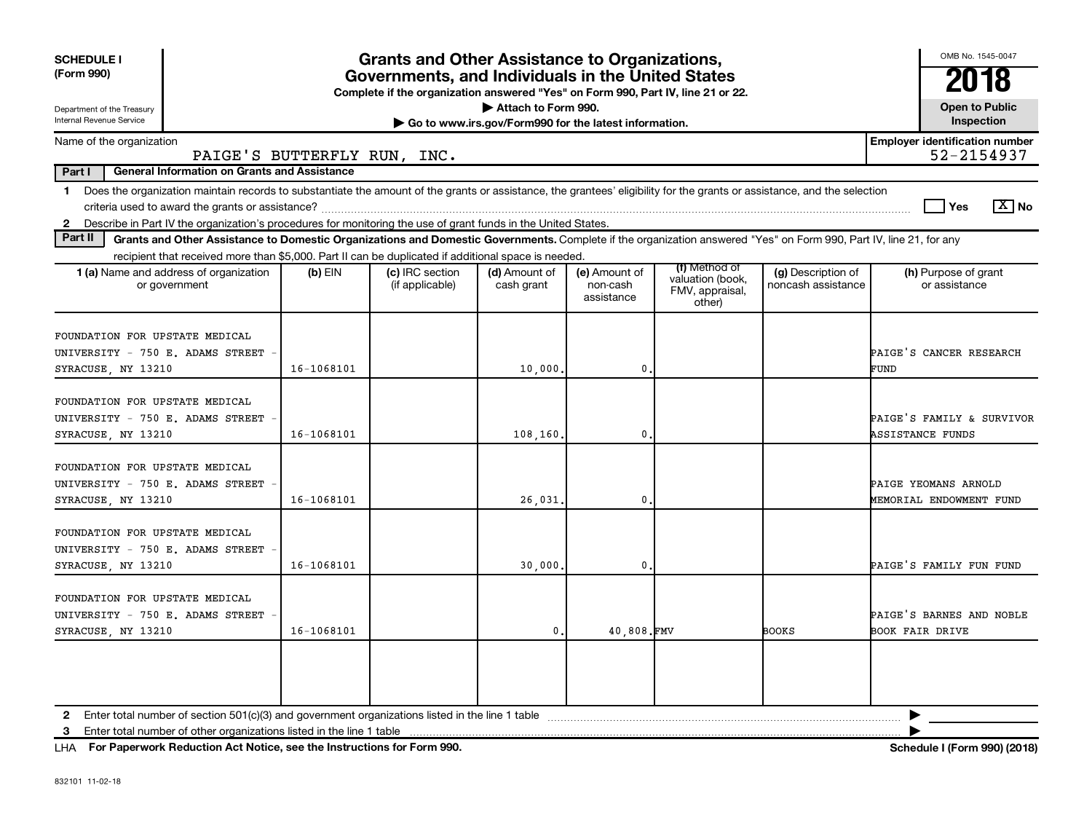| <b>SCHEDULE I</b><br>(Form 990)<br>Department of the Treasury<br>Internal Revenue Service                                                                                                                                                                                                     | <b>Grants and Other Assistance to Organizations,</b><br>Governments, and Individuals in the United States<br>Complete if the organization answered "Yes" on Form 990, Part IV, line 21 or 22.<br>Attach to Form 990.<br>Go to www.irs.gov/Form990 for the latest information. |                                    |                             |                                         |                                                                |                                          |                                                      |  |  |  |
|-----------------------------------------------------------------------------------------------------------------------------------------------------------------------------------------------------------------------------------------------------------------------------------------------|-------------------------------------------------------------------------------------------------------------------------------------------------------------------------------------------------------------------------------------------------------------------------------|------------------------------------|-----------------------------|-----------------------------------------|----------------------------------------------------------------|------------------------------------------|------------------------------------------------------|--|--|--|
| Name of the organization                                                                                                                                                                                                                                                                      |                                                                                                                                                                                                                                                                               |                                    |                             |                                         |                                                                |                                          | <b>Employer identification number</b>                |  |  |  |
| PAIGE'S BUTTERFLY RUN, INC.                                                                                                                                                                                                                                                                   |                                                                                                                                                                                                                                                                               |                                    |                             |                                         |                                                                |                                          | 52-2154937                                           |  |  |  |
| Part I<br><b>General Information on Grants and Assistance</b>                                                                                                                                                                                                                                 |                                                                                                                                                                                                                                                                               |                                    |                             |                                         |                                                                |                                          |                                                      |  |  |  |
| 1 Does the organization maintain records to substantiate the amount of the grants or assistance, the grantees' eligibility for the grants or assistance, and the selection<br>2 Describe in Part IV the organization's procedures for monitoring the use of grant funds in the United States. |                                                                                                                                                                                                                                                                               |                                    |                             |                                         |                                                                |                                          | $\boxed{\text{X}}$ No<br><b>Yes</b>                  |  |  |  |
| Part II<br>Grants and Other Assistance to Domestic Organizations and Domestic Governments. Complete if the organization answered "Yes" on Form 990, Part IV, line 21, for any                                                                                                                 |                                                                                                                                                                                                                                                                               |                                    |                             |                                         |                                                                |                                          |                                                      |  |  |  |
| recipient that received more than \$5,000. Part II can be duplicated if additional space is needed.                                                                                                                                                                                           |                                                                                                                                                                                                                                                                               |                                    |                             |                                         |                                                                |                                          |                                                      |  |  |  |
| 1 (a) Name and address of organization<br>or government                                                                                                                                                                                                                                       | (b) EIN                                                                                                                                                                                                                                                                       | (c) IRC section<br>(if applicable) | (d) Amount of<br>cash grant | (e) Amount of<br>non-cash<br>assistance | (f) Method of<br>valuation (book,<br>FMV, appraisal,<br>other) | (g) Description of<br>noncash assistance | (h) Purpose of grant<br>or assistance                |  |  |  |
| FOUNDATION FOR UPSTATE MEDICAL<br>UNIVERSITY - 750 E. ADAMS STREET<br>SYRACUSE, NY 13210                                                                                                                                                                                                      | 16-1068101                                                                                                                                                                                                                                                                    |                                    | 10,000                      | 0                                       |                                                                |                                          | PAIGE'S CANCER RESEARCH<br>FUND                      |  |  |  |
| FOUNDATION FOR UPSTATE MEDICAL<br>UNIVERSITY - 750 E. ADAMS STREET<br>SYRACUSE, NY 13210                                                                                                                                                                                                      | 16-1068101                                                                                                                                                                                                                                                                    |                                    | 108,160                     | 0                                       |                                                                |                                          | PAIGE'S FAMILY & SURVIVOR<br><b>ASSISTANCE FUNDS</b> |  |  |  |
| FOUNDATION FOR UPSTATE MEDICAL<br>UNIVERSITY - 750 E. ADAMS STREET<br>SYRACUSE, NY 13210                                                                                                                                                                                                      | 16-1068101                                                                                                                                                                                                                                                                    |                                    | 26,031.                     | $\mathbf 0$                             |                                                                |                                          | PAIGE YEOMANS ARNOLD<br>MEMORIAL ENDOWMENT FUND      |  |  |  |
| FOUNDATION FOR UPSTATE MEDICAL<br>UNIVERSITY - 750 E. ADAMS STREET<br>SYRACUSE, NY 13210                                                                                                                                                                                                      | 16-1068101                                                                                                                                                                                                                                                                    |                                    | 30,000                      | 0                                       |                                                                |                                          | PAIGE'S FAMILY FUN FUND                              |  |  |  |
| FOUNDATION FOR UPSTATE MEDICAL<br>UNIVERSITY - 750 E. ADAMS STREET<br>SYRACUSE, NY 13210                                                                                                                                                                                                      | 16-1068101                                                                                                                                                                                                                                                                    |                                    | 0.                          | 40,808.FMV                              |                                                                | <b>BOOKS</b>                             | PAIGE'S BARNES AND NOBLE<br><b>BOOK FAIR DRIVE</b>   |  |  |  |
| Enter total number of other organizations listed in the line 1 table<br>3                                                                                                                                                                                                                     |                                                                                                                                                                                                                                                                               |                                    |                             |                                         |                                                                |                                          |                                                      |  |  |  |

**For Paperwork Reduction Act Notice, see the Instructions for Form 990. Schedule I (Form 990) (2018)** LHA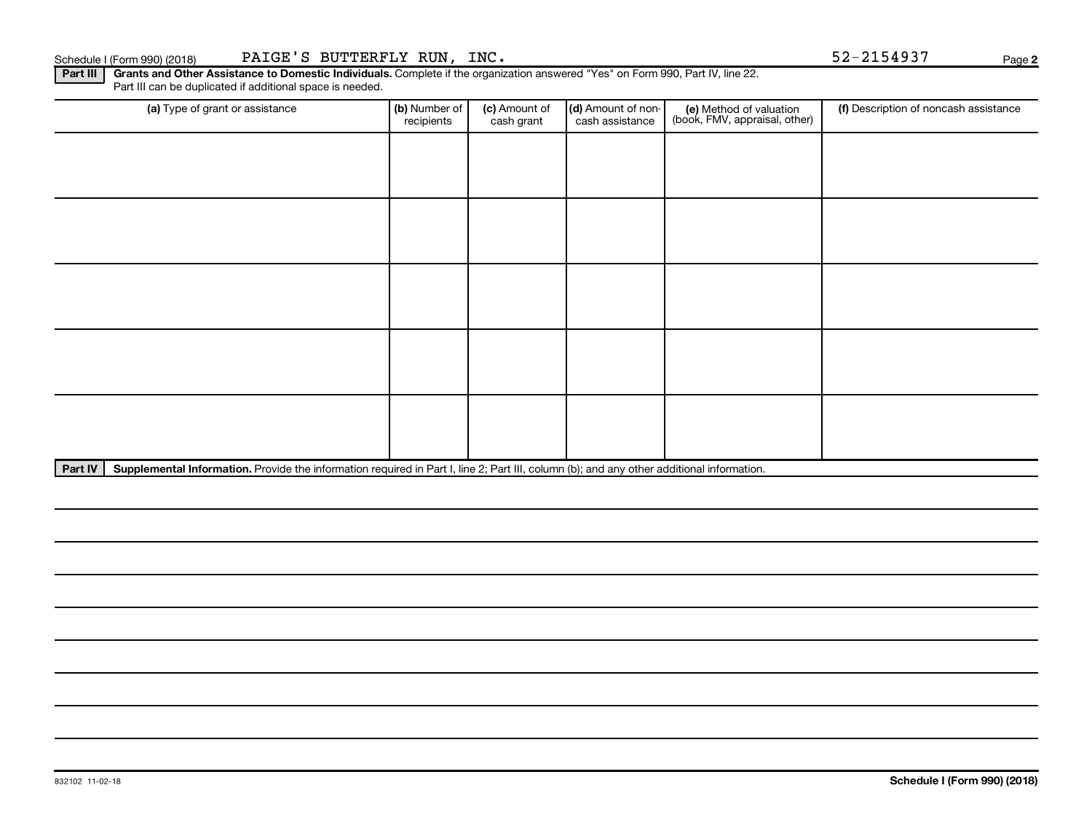Part III | Grants and Other Assistance to Domestic Individuals. Complete if the organization answered "Yes" on Form 990, Part IV, line 22. Part III can be duplicated if additional space is needed.

| (a) Type of grant or assistance | (b) Number of<br>recipients | (c) Amount of<br>cash grant | (d) Amount of non-<br>cash assistance | (e) Method of valuation<br>(book, FMV, appraisal, other) | (f) Description of noncash assistance |
|---------------------------------|-----------------------------|-----------------------------|---------------------------------------|----------------------------------------------------------|---------------------------------------|
|                                 |                             |                             |                                       |                                                          |                                       |
|                                 |                             |                             |                                       |                                                          |                                       |
|                                 |                             |                             |                                       |                                                          |                                       |
|                                 |                             |                             |                                       |                                                          |                                       |
|                                 |                             |                             |                                       |                                                          |                                       |
|                                 |                             |                             |                                       |                                                          |                                       |
|                                 |                             |                             |                                       |                                                          |                                       |
|                                 |                             |                             |                                       |                                                          |                                       |
|                                 |                             |                             |                                       |                                                          |                                       |
|                                 |                             |                             |                                       |                                                          |                                       |

Part IV | Supplemental Information. Provide the information required in Part I, line 2; Part III, column (b); and any other additional information.

**2**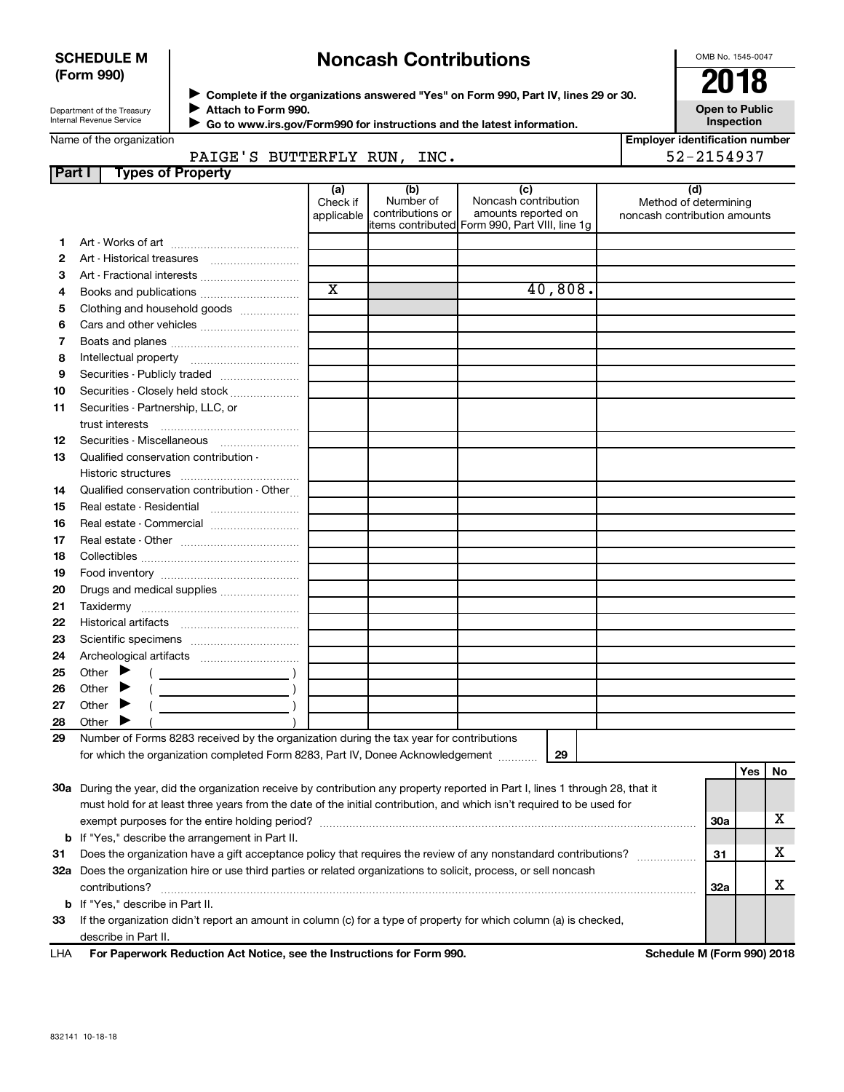### **SCHEDULE M (Form 990)**

## **Noncash Contributions**

OMB No. 1545-0047

| Department of the Treasury |  |
|----------------------------|--|
| Internal Revenue Service   |  |

**Complete if the organizations answered "Yes" on Form 990, Part IV, lines 29 or 30. Attach to Form 990.** →<br>**→** Complete if the organizations answered "Yes" on Form 990, Part IV, lines 29 or 30.<br>● Complete if the organizations answered "Yes" on Form 990, Part IV, lines 29 or 30.  $\blacktriangleright$ 

J

 **Go to www.irs.gov/Form990 for instructions and the latest information.**

**Inspection**

**Open to Public**

|    | Name of the organization<br>PAIGE'S BUTTERFLY RUN, INC.                                 |                               |                                      |                                                                                                      | <b>Employer identification number</b><br>52-2154937          |
|----|-----------------------------------------------------------------------------------------|-------------------------------|--------------------------------------|------------------------------------------------------------------------------------------------------|--------------------------------------------------------------|
|    | <b>Types of Property</b><br>Part I                                                      |                               |                                      |                                                                                                      |                                                              |
|    |                                                                                         | (a)<br>Check if<br>applicable | (b)<br>Number of<br>contributions or | (c)<br>Noncash contribution<br>amounts reported on<br>items contributed Form 990, Part VIII, line 1q | (d)<br>Method of determining<br>noncash contribution amounts |
| 1. |                                                                                         |                               |                                      |                                                                                                      |                                                              |
|    |                                                                                         |                               |                                      |                                                                                                      |                                                              |
| З  | Art - Fractional interests                                                              |                               |                                      |                                                                                                      |                                                              |
| 4  |                                                                                         | X                             |                                      | 40,808.                                                                                              |                                                              |
|    | Clothing and household goods                                                            |                               |                                      |                                                                                                      |                                                              |
|    |                                                                                         |                               |                                      |                                                                                                      |                                                              |
| 7  |                                                                                         |                               |                                      |                                                                                                      |                                                              |
| 8  |                                                                                         |                               |                                      |                                                                                                      |                                                              |
| 9  | Securities - Publicly traded                                                            |                               |                                      |                                                                                                      |                                                              |
|    | Securities - Closely held stock                                                         |                               |                                      |                                                                                                      |                                                              |
|    | Securities - Partnership, LLC, or                                                       |                               |                                      |                                                                                                      |                                                              |
|    | trust interests                                                                         |                               |                                      |                                                                                                      |                                                              |
|    | Securities - Miscellaneous                                                              |                               |                                      |                                                                                                      |                                                              |
| 13 | Qualified conservation contribution -                                                   |                               |                                      |                                                                                                      |                                                              |
|    |                                                                                         |                               |                                      |                                                                                                      |                                                              |
| 14 | Qualified conservation contribution - Other                                             |                               |                                      |                                                                                                      |                                                              |
|    |                                                                                         |                               |                                      |                                                                                                      |                                                              |
|    | Real estate - Commercial                                                                |                               |                                      |                                                                                                      |                                                              |
|    |                                                                                         |                               |                                      |                                                                                                      |                                                              |
|    |                                                                                         |                               |                                      |                                                                                                      |                                                              |
|    |                                                                                         |                               |                                      |                                                                                                      |                                                              |
|    | Drugs and medical supplies                                                              |                               |                                      |                                                                                                      |                                                              |
|    |                                                                                         |                               |                                      |                                                                                                      |                                                              |
|    |                                                                                         |                               |                                      |                                                                                                      |                                                              |
|    |                                                                                         |                               |                                      |                                                                                                      |                                                              |
|    |                                                                                         |                               |                                      |                                                                                                      |                                                              |
|    | Other $\blacktriangleright$<br>$\overline{\phantom{a}}$                                 |                               |                                      |                                                                                                      |                                                              |
|    | Other $\blacktriangleright$                                                             |                               |                                      |                                                                                                      |                                                              |
|    | Other $\blacktriangleright$                                                             |                               |                                      |                                                                                                      |                                                              |
| 28 | Other $\blacktriangleright$                                                             |                               |                                      |                                                                                                      |                                                              |
| 29 | Number of Forms 8283 received by the organization during the tax year for contributions |                               |                                      |                                                                                                      |                                                              |
|    | for which the organization completed Form 8283, Part IV, Donee Acknowledgement          |                               |                                      | 29                                                                                                   |                                                              |

|     | LIIA – Est Barcono de Barbardon, Art Nathan, and the barbard from Eston COO                                                    | $0.1.1.1.1$ $1.0.7.000$ $0.40$ |   |
|-----|--------------------------------------------------------------------------------------------------------------------------------|--------------------------------|---|
|     | describe in Part II.                                                                                                           |                                |   |
| 33  | If the organization didn't report an amount in column (c) for a type of property for which column (a) is checked,              |                                |   |
|     | <b>b</b> If "Yes," describe in Part II.                                                                                        |                                |   |
|     | contributions?                                                                                                                 | 32a                            |   |
| 32a | Does the organization hire or use third parties or related organizations to solicit, process, or sell noncash                  |                                |   |
| 31  | Does the organization have a gift acceptance policy that requires the review of any nonstandard contributions?                 | 31                             | х |
|     | <b>b</b> If "Yes," describe the arrangement in Part II.                                                                        |                                |   |
|     | exempt purposes for the entire holding period?                                                                                 | <b>30a</b>                     |   |
|     | must hold for at least three years from the date of the initial contribution, and which isn't required to be used for          |                                |   |
|     | 30a During the year, did the organization receive by contribution any property reported in Part I, lines 1 through 28, that it |                                |   |

**For Paperwork Reduction Act Notice, see the Instructions for Form 990. Schedule M (Form 990) 2018** LHA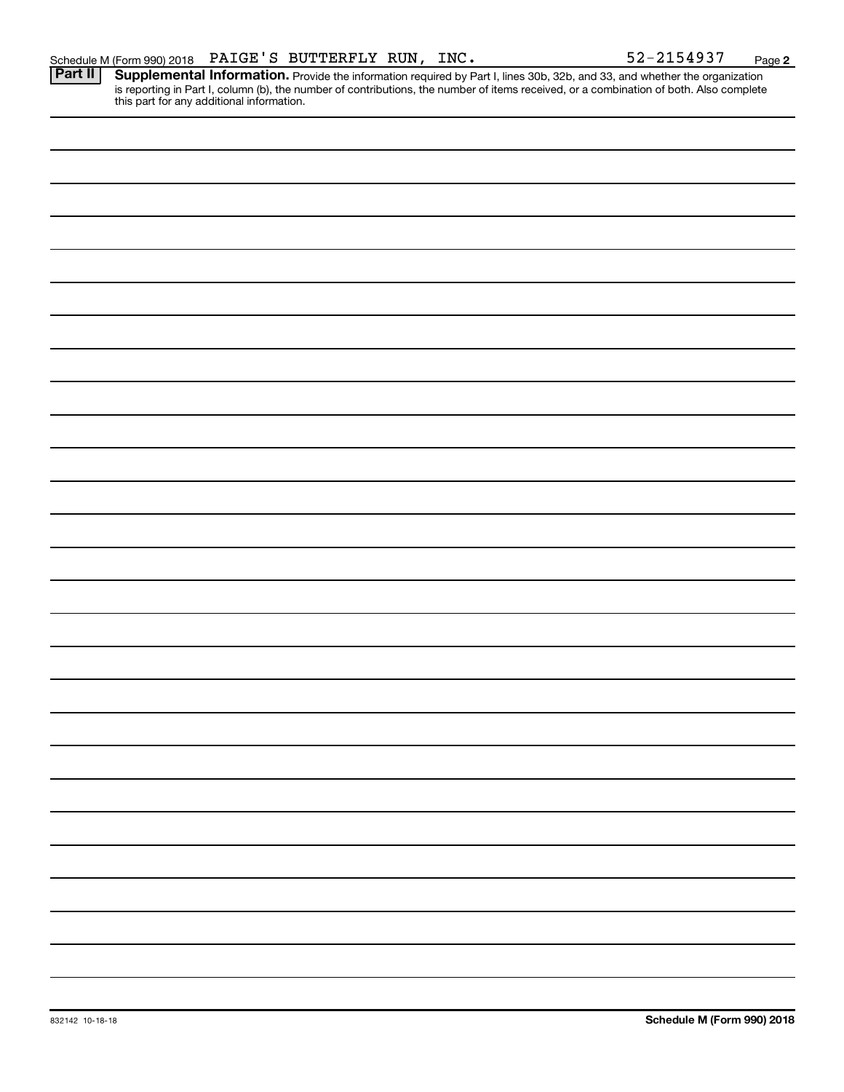**2** Provide the information required by Part I, lines 30b, 32b, and 33, and whether the organization is reporting in Part I, column (b), the number of contributions, the number of items received, or a combination of both. Also complete this part for any additional information. **Part II Supplemental Information.**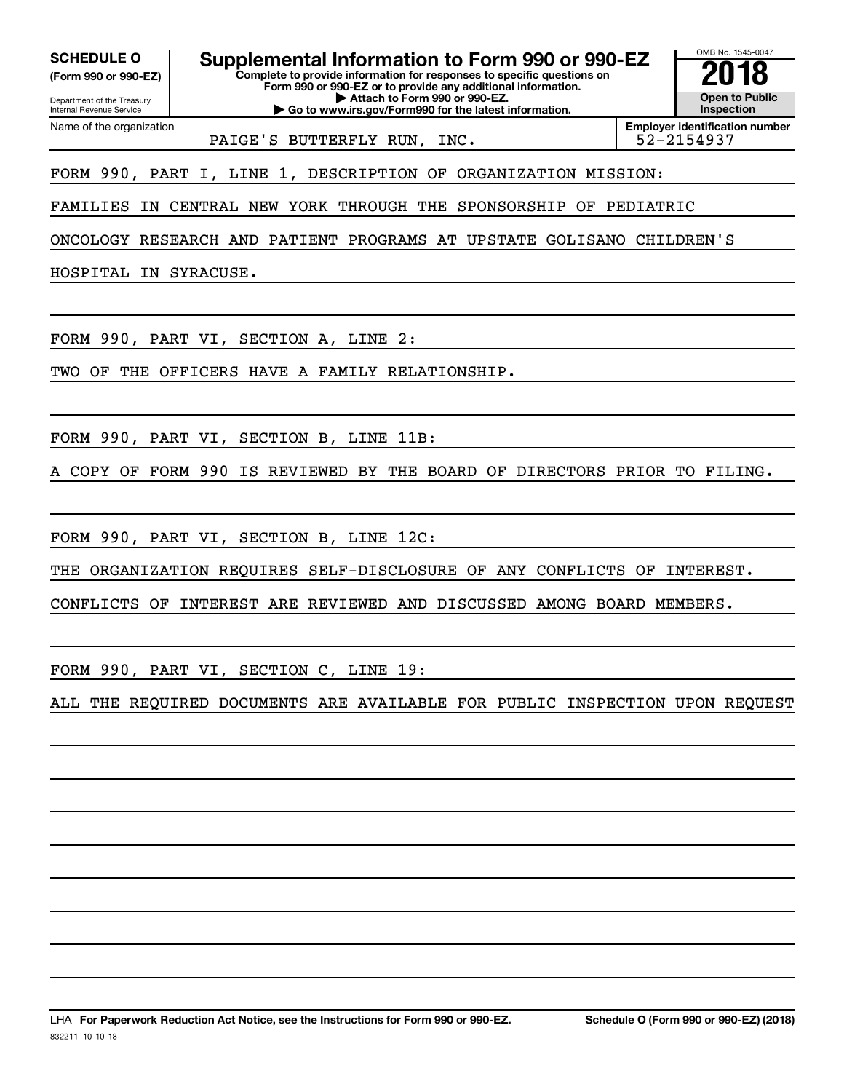Department of the Treasury **(Form 990 or 990-EZ)**

Name of the organization

Internal Revenue Service

SCHEDULE O **Supplemental Information to Form 990 or 990-EZ** 2018<br>(Form 990 or 990-EZ) **2018** Complete to provide information for responses to specific questions on

**Complete to provide information for responses to specific questions on Form 990 or 990-EZ or to provide any additional information. | Attach to Form 990 or 990-EZ.**

**| Go to www.irs.gov/Form990 for the latest information.**

**Open to Public Inspection**

OMB No. 1545-0047

PAIGE'S BUTTERFLY RUN, INC.  $\vert$  52-2154937

**Employer identification number**

FORM 990, PART I, LINE 1, DESCRIPTION OF ORGANIZATION MISSION:

FAMILIES IN CENTRAL NEW YORK THROUGH THE SPONSORSHIP OF PEDIATRIC

ONCOLOGY RESEARCH AND PATIENT PROGRAMS AT UPSTATE GOLISANO CHILDREN'S

HOSPITAL IN SYRACUSE.

FORM 990, PART VI, SECTION A, LINE 2:

TWO OF THE OFFICERS HAVE A FAMILY RELATIONSHIP.

FORM 990, PART VI, SECTION B, LINE 11B:

A COPY OF FORM 990 IS REVIEWED BY THE BOARD OF DIRECTORS PRIOR TO FILING.

FORM 990, PART VI, SECTION B, LINE 12C:

THE ORGANIZATION REQUIRES SELF-DISCLOSURE OF ANY CONFLICTS OF INTEREST.

CONFLICTS OF INTEREST ARE REVIEWED AND DISCUSSED AMONG BOARD MEMBERS.

FORM 990, PART VI, SECTION C, LINE 19:

ALL THE REQUIRED DOCUMENTS ARE AVAILABLE FOR PUBLIC INSPECTION UPON REQUEST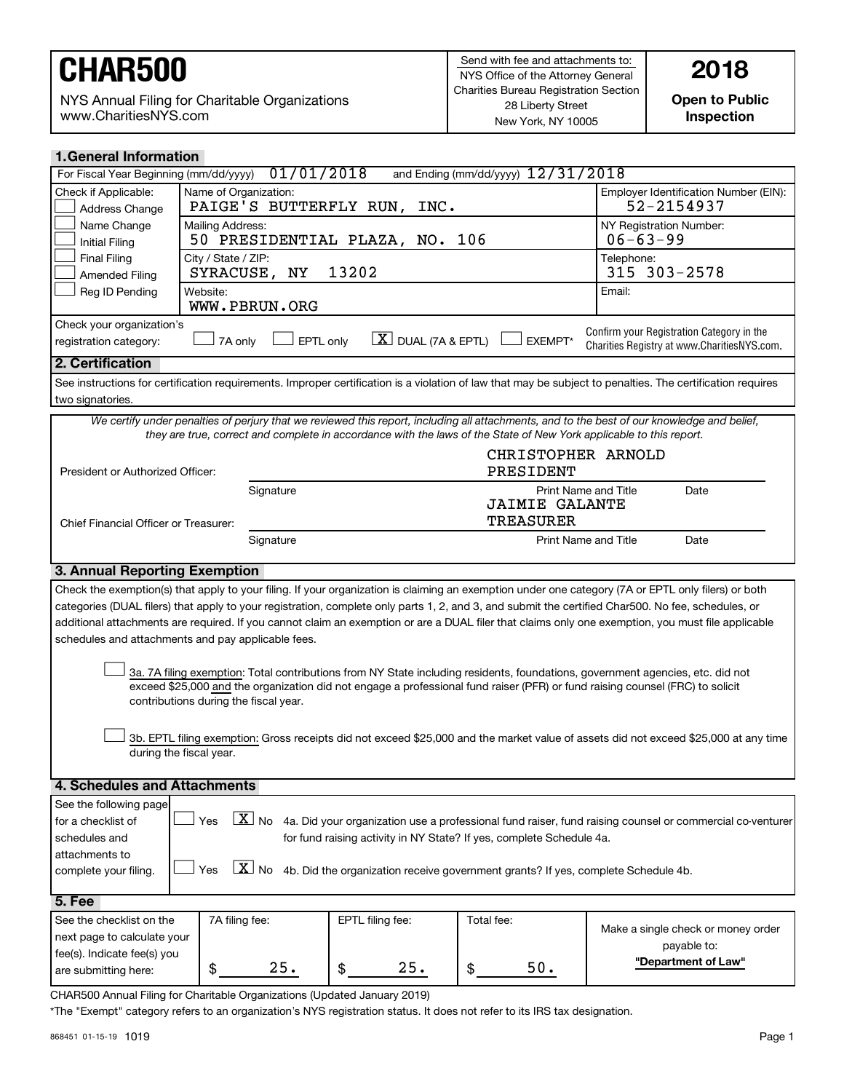NYS Annual Filing for Charitable Organizations www.CharitiesNYS.com

**Open to Public Inspection**

| <b>1. General Information</b>                                                                                                                                 |                                                                                                                                                                                                         |                                                                           |                            |                                                                                                                     |                                                                                                                                                            |  |  |
|---------------------------------------------------------------------------------------------------------------------------------------------------------------|---------------------------------------------------------------------------------------------------------------------------------------------------------------------------------------------------------|---------------------------------------------------------------------------|----------------------------|---------------------------------------------------------------------------------------------------------------------|------------------------------------------------------------------------------------------------------------------------------------------------------------|--|--|
| For Fiscal Year Beginning (mm/dd/yyyy)                                                                                                                        |                                                                                                                                                                                                         | 01/01/2018                                                                |                            | and Ending (mm/dd/yyyy) 12/31/2018                                                                                  |                                                                                                                                                            |  |  |
| Check if Applicable:<br>Address Change                                                                                                                        | Name of Organization:                                                                                                                                                                                   | PAIGE'S BUTTERFLY RUN,                                                    | INC.                       |                                                                                                                     | Employer Identification Number (EIN):<br>52-2154937                                                                                                        |  |  |
| Name Change<br><b>Initial Filing</b>                                                                                                                          | Mailing Address:                                                                                                                                                                                        |                                                                           | 50 PRESIDENTIAL PLAZA, NO. | 106                                                                                                                 | NY Registration Number:<br>$06 - 63 - 99$                                                                                                                  |  |  |
| <b>Final Filing</b><br><b>Amended Filing</b>                                                                                                                  | City / State / ZIP:<br>SYRACUSE,                                                                                                                                                                        | NY                                                                        | 13202                      |                                                                                                                     | Telephone:<br>315 303-2578                                                                                                                                 |  |  |
| Reg ID Pending                                                                                                                                                | Website:                                                                                                                                                                                                | WWW.PBRUN.ORG                                                             |                            |                                                                                                                     | Email:                                                                                                                                                     |  |  |
| registration category:                                                                                                                                        | Check your organization's<br>Confirm your Registration Category in the<br>$\lfloor X \rfloor$ DUAL (7A & EPTL)<br>EPTL only<br><b>EXEMPT*</b><br>7A only<br>Charities Registry at www.CharitiesNYS.com. |                                                                           |                            |                                                                                                                     |                                                                                                                                                            |  |  |
| 2. Certification                                                                                                                                              |                                                                                                                                                                                                         |                                                                           |                            |                                                                                                                     |                                                                                                                                                            |  |  |
|                                                                                                                                                               |                                                                                                                                                                                                         |                                                                           |                            |                                                                                                                     | See instructions for certification requirements. Improper certification is a violation of law that may be subject to penalties. The certification requires |  |  |
| two signatories.                                                                                                                                              |                                                                                                                                                                                                         |                                                                           |                            |                                                                                                                     |                                                                                                                                                            |  |  |
|                                                                                                                                                               |                                                                                                                                                                                                         |                                                                           |                            |                                                                                                                     | We certify under penalties of perjury that we reviewed this report, including all attachments, and to the best of our knowledge and belief,                |  |  |
|                                                                                                                                                               |                                                                                                                                                                                                         |                                                                           |                            | they are true, correct and complete in accordance with the laws of the State of New York applicable to this report. |                                                                                                                                                            |  |  |
| President or Authorized Officer:                                                                                                                              |                                                                                                                                                                                                         |                                                                           |                            | CHRISTOPHER ARNOLD<br>PRESIDENT                                                                                     |                                                                                                                                                            |  |  |
|                                                                                                                                                               |                                                                                                                                                                                                         | Signature                                                                 |                            | <b>Print Name and Title</b>                                                                                         | Date                                                                                                                                                       |  |  |
|                                                                                                                                                               |                                                                                                                                                                                                         |                                                                           |                            | <b>JAIMIE GALANTE</b><br><b>TREASURER</b>                                                                           |                                                                                                                                                            |  |  |
| Chief Financial Officer or Treasurer:                                                                                                                         |                                                                                                                                                                                                         | Signature                                                                 |                            | Print Name and Title                                                                                                | Date                                                                                                                                                       |  |  |
| 3. Annual Reporting Exemption                                                                                                                                 |                                                                                                                                                                                                         |                                                                           |                            |                                                                                                                     |                                                                                                                                                            |  |  |
|                                                                                                                                                               |                                                                                                                                                                                                         |                                                                           |                            |                                                                                                                     | Check the exemption(s) that apply to your filing. If your organization is claiming an exemption under one category (7A or EPTL only filers) or both        |  |  |
|                                                                                                                                                               |                                                                                                                                                                                                         |                                                                           |                            |                                                                                                                     | categories (DUAL filers) that apply to your registration, complete only parts 1, 2, and 3, and submit the certified Char500. No fee, schedules, or         |  |  |
|                                                                                                                                                               |                                                                                                                                                                                                         |                                                                           |                            |                                                                                                                     | additional attachments are required. If you cannot claim an exemption or are a DUAL filer that claims only one exemption, you must file applicable         |  |  |
| schedules and attachments and pay applicable fees.                                                                                                            |                                                                                                                                                                                                         |                                                                           |                            |                                                                                                                     |                                                                                                                                                            |  |  |
|                                                                                                                                                               |                                                                                                                                                                                                         |                                                                           |                            |                                                                                                                     |                                                                                                                                                            |  |  |
|                                                                                                                                                               |                                                                                                                                                                                                         |                                                                           |                            |                                                                                                                     | 3a. 7A filing exemption: Total contributions from NY State including residents, foundations, government agencies, etc. did not                             |  |  |
|                                                                                                                                                               |                                                                                                                                                                                                         |                                                                           |                            |                                                                                                                     | exceed \$25,000 and the organization did not engage a professional fund raiser (PFR) or fund raising counsel (FRC) to solicit                              |  |  |
|                                                                                                                                                               | contributions during the fiscal year.                                                                                                                                                                   |                                                                           |                            |                                                                                                                     |                                                                                                                                                            |  |  |
|                                                                                                                                                               |                                                                                                                                                                                                         |                                                                           |                            |                                                                                                                     |                                                                                                                                                            |  |  |
|                                                                                                                                                               |                                                                                                                                                                                                         |                                                                           |                            |                                                                                                                     | 3b. EPTL filing exemption: Gross receipts did not exceed \$25,000 and the market value of assets did not exceed \$25,000 at any time                       |  |  |
|                                                                                                                                                               | during the fiscal year.                                                                                                                                                                                 |                                                                           |                            |                                                                                                                     |                                                                                                                                                            |  |  |
|                                                                                                                                                               |                                                                                                                                                                                                         |                                                                           |                            |                                                                                                                     |                                                                                                                                                            |  |  |
| 4. Schedules and Attachments                                                                                                                                  |                                                                                                                                                                                                         |                                                                           |                            |                                                                                                                     |                                                                                                                                                            |  |  |
| See the following page                                                                                                                                        |                                                                                                                                                                                                         |                                                                           |                            |                                                                                                                     |                                                                                                                                                            |  |  |
| $\boxed{\textbf{X}}$ No 4a. Did your organization use a professional fund raiser, fund raising counsel or commercial co-venturer<br>Yes<br>for a checklist of |                                                                                                                                                                                                         |                                                                           |                            |                                                                                                                     |                                                                                                                                                            |  |  |
| for fund raising activity in NY State? If yes, complete Schedule 4a.<br>schedules and                                                                         |                                                                                                                                                                                                         |                                                                           |                            |                                                                                                                     |                                                                                                                                                            |  |  |
| attachments to                                                                                                                                                |                                                                                                                                                                                                         |                                                                           |                            |                                                                                                                     |                                                                                                                                                            |  |  |
| $\boxed{\mathbf{X}}$ No 4b. Did the organization receive government grants? If yes, complete Schedule 4b.<br>Yes<br>complete your filing.                     |                                                                                                                                                                                                         |                                                                           |                            |                                                                                                                     |                                                                                                                                                            |  |  |
| 5. Fee                                                                                                                                                        |                                                                                                                                                                                                         |                                                                           |                            |                                                                                                                     |                                                                                                                                                            |  |  |
| See the checklist on the                                                                                                                                      | 7A filing fee:                                                                                                                                                                                          |                                                                           | EPTL filing fee:           | Total fee:                                                                                                          |                                                                                                                                                            |  |  |
| next page to calculate your                                                                                                                                   |                                                                                                                                                                                                         |                                                                           |                            |                                                                                                                     | Make a single check or money order                                                                                                                         |  |  |
| fee(s). Indicate fee(s) you                                                                                                                                   |                                                                                                                                                                                                         |                                                                           |                            |                                                                                                                     | payable to:                                                                                                                                                |  |  |
| are submitting here:                                                                                                                                          | \$                                                                                                                                                                                                      | 25.                                                                       | 25.<br>\$                  | $50.$<br>\$                                                                                                         | "Department of Law"                                                                                                                                        |  |  |
|                                                                                                                                                               |                                                                                                                                                                                                         | CHAR500 Annual Filing for Charitable Organizations (Updated January 2019) |                            |                                                                                                                     |                                                                                                                                                            |  |  |

\*The "Exempt" category refers to an organization's NYS registration status. It does not refer to its IRS tax designation.